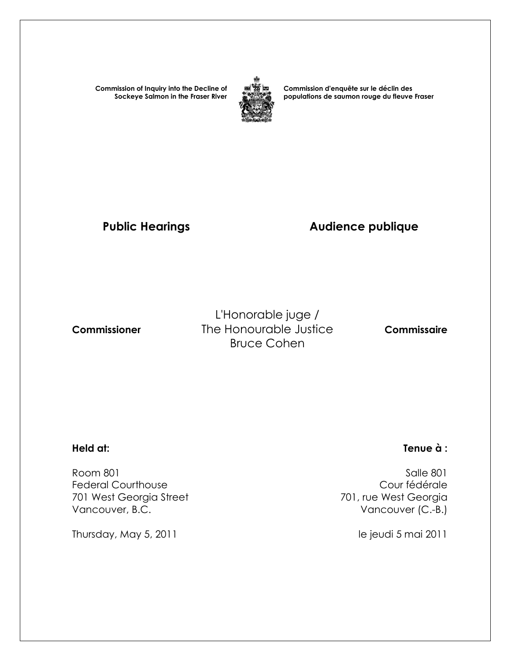**Commission of Inquiry into the Decline of Sockeye Salmon in the Fraser River**



**Commission d'enquête sur le déclin des populations de saumon rouge du fleuve Fraser** 

# Public Hearings **Audience publique**

L'Honorable juge /  **Commissioner** The Honourable Justice **Commissaire** Bruce Cohen

Room 801 Salle 801<br>Federal Courthouse and Salle 801 Salle 801 Salle 801 Federal Courthouse<br>
701 west Georgia Street<br>
701 west Georgia Street<br>
201 west Georgia 701 West Georgia Street Vancouver, B.C. **Vancouver (C.-B.)** 

Thursday, May 5, 2011 and the state of the set of the intervals of the intervals of the intervals of the intervals of the intervals of the intervals of the intervals of the intervals of the intervals of the intervals of th

## **Held at: Tenue à :**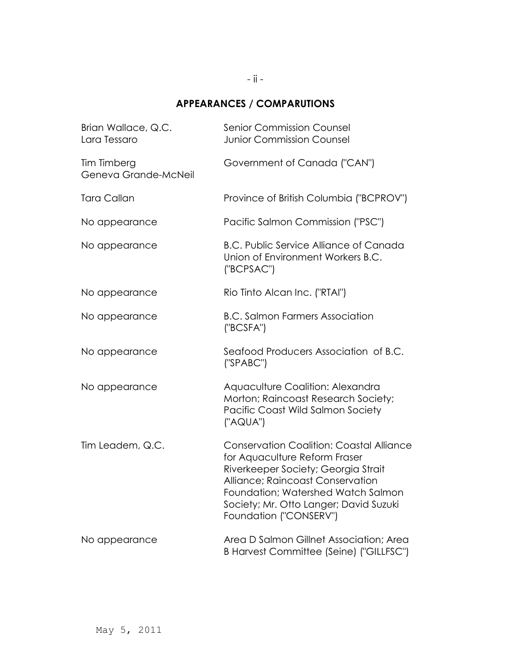### - ii -

# **APPEARANCES / COMPARUTIONS**

| Brian Wallace, Q.C.<br>Lara Tessaro | <b>Senior Commission Counsel</b><br><b>Junior Commission Counsel</b>                                                                                                                                                                                                  |
|-------------------------------------|-----------------------------------------------------------------------------------------------------------------------------------------------------------------------------------------------------------------------------------------------------------------------|
| Tim Timberg<br>Geneva Grande-McNeil | Government of Canada ("CAN")                                                                                                                                                                                                                                          |
| <b>Tara Callan</b>                  | Province of British Columbia ("BCPROV")                                                                                                                                                                                                                               |
| No appearance                       | Pacific Salmon Commission ("PSC")                                                                                                                                                                                                                                     |
| No appearance                       | <b>B.C. Public Service Alliance of Canada</b><br>Union of Environment Workers B.C.<br>("BCPSAC")                                                                                                                                                                      |
| No appearance                       | Rio Tinto Alcan Inc. ("RTAI")                                                                                                                                                                                                                                         |
| No appearance                       | <b>B.C. Salmon Farmers Association</b><br>("BCSFA")                                                                                                                                                                                                                   |
| No appearance                       | Seafood Producers Association of B.C.<br>('SPABC")                                                                                                                                                                                                                    |
| No appearance                       | Aquaculture Coalition: Alexandra<br>Morton; Raincoast Research Society;<br>Pacific Coast Wild Salmon Society<br>("AQUA")                                                                                                                                              |
| Tim Leadem, Q.C.                    | <b>Conservation Coalition: Coastal Alliance</b><br>for Aquaculture Reform Fraser<br>Riverkeeper Society; Georgia Strait<br>Alliance; Raincoast Conservation<br>Foundation; Watershed Watch Salmon<br>Society; Mr. Otto Langer; David Suzuki<br>Foundation ("CONSERV") |
| No appearance                       | Area D Salmon Gillnet Association; Area<br>B Harvest Committee (Seine) ("GILLFSC")                                                                                                                                                                                    |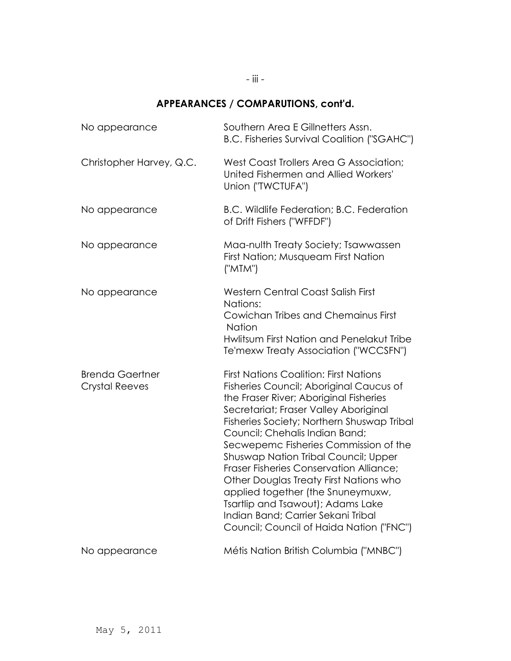## - iii -

# **APPEARANCES / COMPARUTIONS, cont'd.**

| No appearance                                   | Southern Area E Gillnetters Assn.<br><b>B.C. Fisheries Survival Coalition ("SGAHC")</b>                                                                                                                                                                                                                                                                                                                                                                                                                                                                                                              |
|-------------------------------------------------|------------------------------------------------------------------------------------------------------------------------------------------------------------------------------------------------------------------------------------------------------------------------------------------------------------------------------------------------------------------------------------------------------------------------------------------------------------------------------------------------------------------------------------------------------------------------------------------------------|
| Christopher Harvey, Q.C.                        | West Coast Trollers Area G Association;<br>United Fishermen and Allied Workers'<br>Union ("TWCTUFA")                                                                                                                                                                                                                                                                                                                                                                                                                                                                                                 |
| No appearance                                   | B.C. Wildlife Federation; B.C. Federation<br>of Drift Fishers ("WFFDF")                                                                                                                                                                                                                                                                                                                                                                                                                                                                                                                              |
| No appearance                                   | Maa-nulth Treaty Society; Tsawwassen<br>First Nation; Musqueam First Nation<br>("MTM")                                                                                                                                                                                                                                                                                                                                                                                                                                                                                                               |
| No appearance                                   | <b>Western Central Coast Salish First</b><br>Nations:<br>Cowichan Tribes and Chemainus First<br><b>Nation</b><br>Hwlitsum First Nation and Penelakut Tribe<br>Te'mexw Treaty Association ("WCCSFN")                                                                                                                                                                                                                                                                                                                                                                                                  |
| <b>Brenda Gaertner</b><br><b>Crystal Reeves</b> | <b>First Nations Coalition: First Nations</b><br>Fisheries Council; Aboriginal Caucus of<br>the Fraser River; Aboriginal Fisheries<br>Secretariat; Fraser Valley Aboriginal<br>Fisheries Society; Northern Shuswap Tribal<br>Council; Chehalis Indian Band;<br>Secwepemc Fisheries Commission of the<br><b>Shuswap Nation Tribal Council; Upper</b><br>Fraser Fisheries Conservation Alliance:<br>Other Douglas Treaty First Nations who<br>applied together (the Snuneymuxw,<br>Tsartlip and Tsawout); Adams Lake<br>Indian Band; Carrier Sekani Tribal<br>Council; Council of Haida Nation ("FNC") |
| No appearance                                   | Métis Nation British Columbia ("MNBC")                                                                                                                                                                                                                                                                                                                                                                                                                                                                                                                                                               |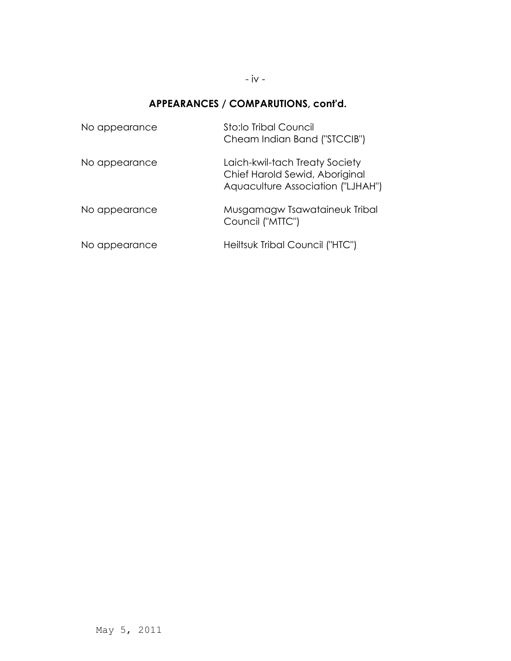#### - iv -

# **APPEARANCES / COMPARUTIONS, cont'd.**

| No appearance | Sto:lo Tribal Council<br>Cheam Indian Band ("STCCIB")                                                 |
|---------------|-------------------------------------------------------------------------------------------------------|
| No appearance | Laich-kwil-tach Treaty Society<br>Chief Harold Sewid, Aboriginal<br>Aquaculture Association ("LJHAH") |
| No appearance | Musgamagw Tsawataineuk Tribal<br>Council ("MTTC")                                                     |
| No appearance | Heiltsuk Tribal Council ("HTC")                                                                       |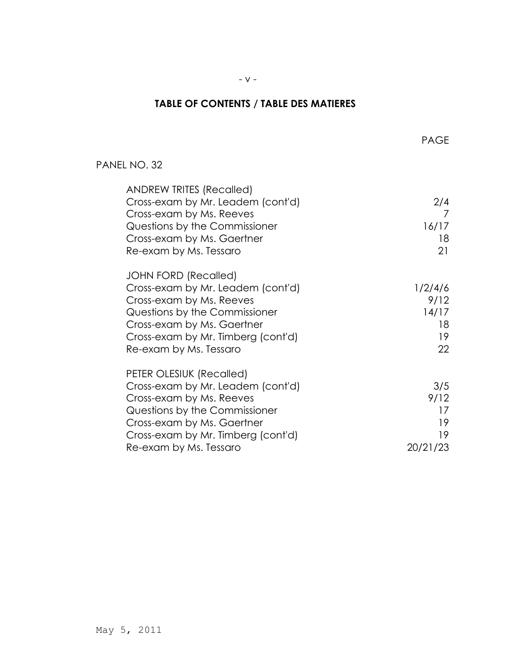### $-V -$

## **TABLE OF CONTENTS / TABLE DES MATIERES**

en de la provincia de la provincia de la provincia de la provincia de la provincia de la provincia de la provi

| PANEL NO. 32                                                                                                                                                                                                                |                                            |
|-----------------------------------------------------------------------------------------------------------------------------------------------------------------------------------------------------------------------------|--------------------------------------------|
| <b>ANDREW TRITES (Recalled)</b><br>Cross-exam by Mr. Leadem (cont'd)<br>Cross-exam by Ms. Reeves<br>Questions by the Commissioner<br>Cross-exam by Ms. Gaertner<br>Re-exam by Ms. Tessaro                                   | 2/4<br>16/17<br>18<br>21                   |
| <b>JOHN FORD (Recalled)</b><br>Cross-exam by Mr. Leadem (cont'd)<br>Cross-exam by Ms. Reeves<br>Questions by the Commissioner<br>Cross-exam by Ms. Gaertner<br>Cross-exam by Mr. Timberg (cont'd)<br>Re-exam by Ms. Tessaro | 1/2/4/6<br>9/12<br>14/17<br>18<br>19<br>22 |
| PETER OLESIUK (Recalled)<br>Cross-exam by Mr. Leadem (cont'd)<br>Cross-exam by Ms. Reeves<br>Questions by the Commissioner<br>Cross-exam by Ms. Gaertner<br>Cross-exam by Mr. Timberg (cont'd)<br>Re-exam by Ms. Tessaro    | 3/5<br>9/12<br>17<br>19<br>19<br>20/21/23  |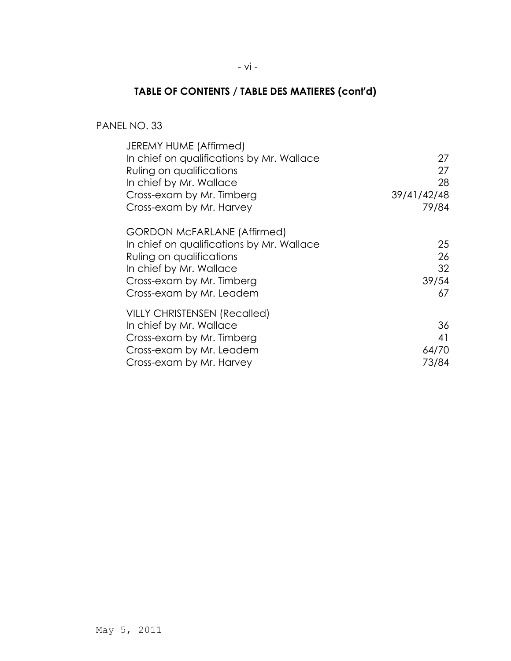# **TABLE OF CONTENTS / TABLE DES MATIERES (cont'd)**

## PANEL NO. 33

| <b>JEREMY HUME (Affirmed)</b>             |             |
|-------------------------------------------|-------------|
| In chief on qualifications by Mr. Wallace | 27          |
| Ruling on qualifications                  | 27          |
| In chief by Mr. Wallace                   | 28          |
| Cross-exam by Mr. Timberg                 | 39/41/42/48 |
| Cross-exam by Mr. Harvey                  | 79/84       |
| <b>GORDON McFARLANE (Affirmed)</b>        |             |
| In chief on qualifications by Mr. Wallace | 25          |
| Ruling on qualifications                  | 26          |
| In chief by Mr. Wallace                   | 32          |
| Cross-exam by Mr. Timberg                 | 39/54       |
| Cross-exam by Mr. Leadem                  | 67          |
| <b>VILLY CHRISTENSEN (Recalled)</b>       |             |
| In chief by Mr. Wallace                   | 36          |
| Cross-exam by Mr. Timberg                 | 41          |
| Cross-exam by Mr. Leadem                  | 64/70       |
| Cross-exam by Mr. Harvey                  | 73/84       |
|                                           |             |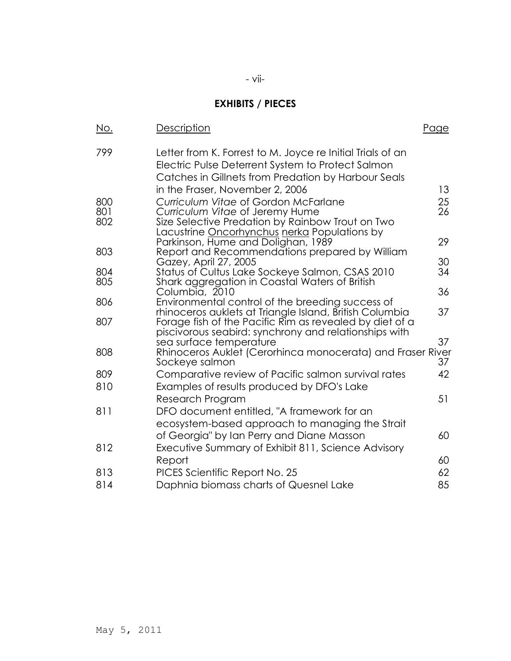## - vii-

# **EXHIBITS / PIECES**

| <u>No.</u> | <u>Description</u>                                                                                                                                                     | Page |
|------------|------------------------------------------------------------------------------------------------------------------------------------------------------------------------|------|
| 799        | Letter from K. Forrest to M. Joyce re Initial Trials of an<br>Electric Pulse Deterrent System to Protect Salmon<br>Catches in Gillnets from Predation by Harbour Seals |      |
|            | in the Fraser, November 2, 2006                                                                                                                                        | 13   |
| 800        | Curriculum Vitae of Gordon McFarlane                                                                                                                                   | 25   |
| 801<br>802 | Curriculum Vitae of Jeremy Hume                                                                                                                                        | 26   |
|            | Size Selective Predation by Rainbow Trout on Two<br>Lacustrine <u>Oncorhynchus nerka</u> Populations by                                                                |      |
|            | Parkinson, Hume and Dolighan, 1989                                                                                                                                     | 29   |
| 803        | Report and Recommendations prepared by William                                                                                                                         |      |
|            | Gazey, April 27, 2005                                                                                                                                                  | 30   |
| 804        | Status of Cultus Lake Sockeye Salmon, CSAS 2010                                                                                                                        | 34   |
| 805        | Shark aggregation in Coastal Waters of British                                                                                                                         |      |
| 806        | Columbia, 2010<br>Environmental control of the breeding success of                                                                                                     | 36   |
|            | rhinoceros auklets at Triangle Island, British Columbia                                                                                                                | 37   |
| 807        | Forage fish of the Pacific Rim as revealed by diet of a<br>piscivorous seabird: synchrony and relationships with                                                       |      |
|            | sea surface temperature                                                                                                                                                | 37   |
| 808        | Rhinoceros Auklet (Cerorhinca monocerata) and Fraser River<br>Sockeye salmon                                                                                           | 37   |
| 809        | Comparative review of Pacific salmon survival rates                                                                                                                    | 42   |
| 810        | Examples of results produced by DFO's Lake                                                                                                                             |      |
|            | Research Program                                                                                                                                                       | 51   |
| 811        | DFO document entitled, "A framework for an                                                                                                                             |      |
|            | ecosystem-based approach to managing the Strait                                                                                                                        |      |
|            | of Georgia" by Ian Perry and Diane Masson                                                                                                                              | 60   |
| 812        | Executive Summary of Exhibit 811, Science Advisory                                                                                                                     |      |
|            |                                                                                                                                                                        |      |
|            | Report                                                                                                                                                                 | 60   |
| 813        | PICES Scientific Report No. 25                                                                                                                                         | 62   |
| 814        | Daphnia biomass charts of Quesnel Lake                                                                                                                                 | 85   |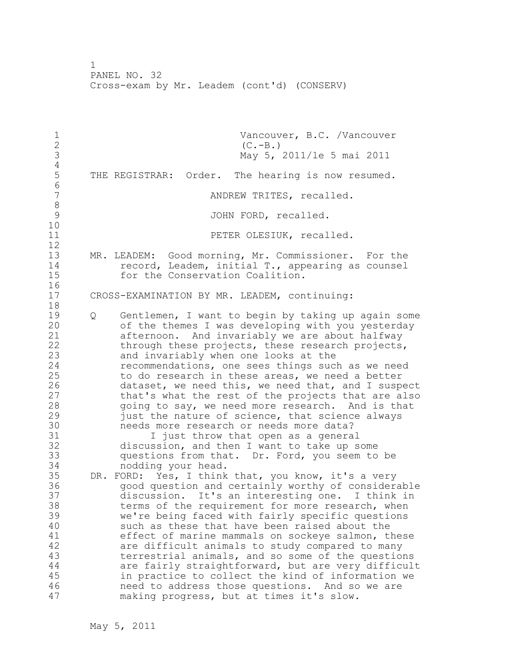1 Vancouver, B.C. /Vancouver<br>2 (C.-B.) 2 (C.–B.)<br>3 May 5, May 5, 2011/le 5 mai 2011  $\frac{4}{5}$ THE REGISTRAR: Order. The hearing is now resumed. 6<br>7 ANDREW TRITES, recalled. 8 JOHN FORD, recalled. 10 11 **PETER OLESIUK, recalled.** 12 13 MR. LEADEM: Good morning, Mr. Commissioner. For the 14 record, Leadem, initial T., appearing as counsel 15 for the Conservation Coalition. 16 17 CROSS-EXAMINATION BY MR. LEADEM, continuing: 18 19 Q Gentlemen, I want to begin by taking up again some<br>20 of the themes I was developing with you vesterday of the themes I was developing with you yesterday 21 afternoon. And invariably we are about halfway 22 through these projects, these research projects, 23 and invariably when one looks at the 24 recommendations, one sees things such as we need 25 to do research in these areas, we need a better 26 dataset, we need this, we need that, and I suspect<br>27 that's what the rest of the projects that are also that's what the rest of the projects that are also 28 going to say, we need more research. And is that 29 just the nature of science, that science always 30 needs more research or needs more data?<br>31 1 1ust throw that open as a genera I just throw that open as a general 32 discussion, and then I want to take up some 33 questions from that. Dr. Ford, you seem to be 34 nodding your head. 35 DR. FORD: Yes, I think that, you know, it's a very 36 good question and certainly worthy of considerable 37 discussion. It's an interesting one. I think in 38 terms of the requirement for more research, when 39 we're being faced with fairly specific questions 40 such as these that have been raised about the 41 effect of marine mammals on sockeye salmon, these<br>42 are difficult animals to study compared to many are difficult animals to study compared to many 43 terrestrial animals, and so some of the questions 44 are fairly straightforward, but are very difficult 45 in practice to collect the kind of information we 46 need to address those questions. And so we are 47 making progress, but at times it's slow.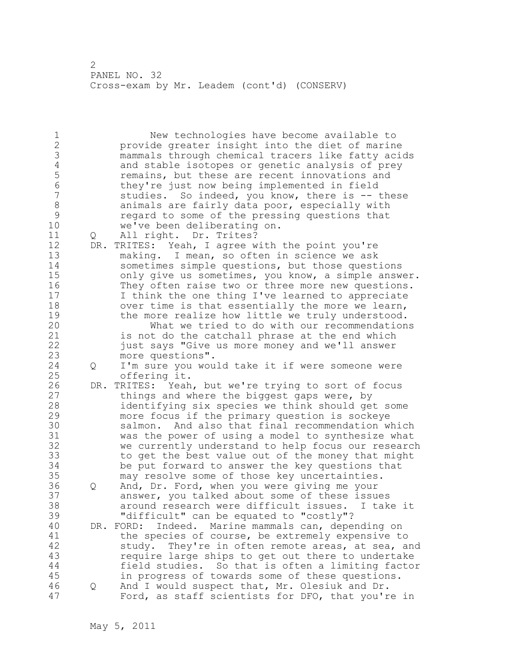1 New technologies have become available to 2 provide greater insight into the diet of marine 3 mammals through chemical tracers like fatty acids 4 and stable isotopes or genetic analysis of prey<br>5 cmains, but these are recent innovations and 5 communis, but these are recent innovations and<br>6 thev're just now being implemented in field 6 they're just now being implemented in field<br>7 studies. So indeed, you know, there is -studies. So indeed, you know, there is -- these 8 animals are fairly data poor, especially with<br>9 regard to some of the pressing questions that 9 egard to some of the pressing questions that<br>10 we've been deliberating on. we've been deliberating on. 11 Q All right. Dr. Trites? 12 DR. TRITES: Yeah, I agree with the point you're 13 making. I mean, so often in science we ask 14 sometimes simple questions, but those questions 15 only give us sometimes, you know, a simple answer. 16 They often raise two or three more new questions. 17 I think the one thing I've learned to appreciate 18 over time is that essentially the more we learn, 19 the more realize how little we truly understood.<br>20 What we tried to do with our recommendation What we tried to do with our recommendations 21 is not do the catchall phrase at the end which 22 just says "Give us more money and we'll answer 23 more questions". 24 Q I'm sure you would take it if were someone were 25 offering it. 26 DR. TRITES: Yeah, but we're trying to sort of focus<br>27 things and where the biggest gaps were, by things and where the biggest gaps were, by 28 identifying six species we think should get some 29 more focus if the primary question is sockeye 30 salmon. And also that final recommendation which<br>31 was the power of using a model to synthesize what was the power of using a model to synthesize what 32 we currently understand to help focus our research 33 to get the best value out of the money that might 34 be put forward to answer the key questions that 35 may resolve some of those key uncertainties. 36 Q And, Dr. Ford, when you were giving me your 37 answer, you talked about some of these issues 38 around research were difficult issues. I take it 39 "difficult" can be equated to "costly"? 40 DR. FORD: Indeed. Marine mammals can, depending on 41 the species of course, be extremely expensive to<br>42 study. They're in often remote areas, at sea, a study. They're in often remote areas, at sea, and 43 require large ships to get out there to undertake 44 field studies. So that is often a limiting factor 45 in progress of towards some of these questions. 46 Q And I would suspect that, Mr. Olesiuk and Dr. 47 Ford, as staff scientists for DFO, that you're in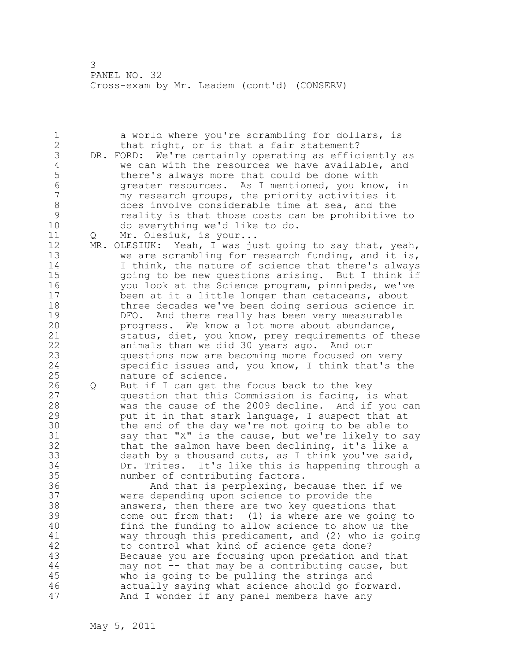1 a world where you're scrambling for dollars, is 2 that right, or is that a fair statement? 3 DR. FORD: We're certainly operating as efficiently as<br>4 we can with the resources we have available, and 4 we can with the resources we have available, and<br>5 there's always more that could be done with 5 there's always more that could be done with<br>6 oreater resources. As I mentioned, you know 6 greater resources. As I mentioned, you know, in my research groups, the priority activities it 8 does involve considerable time at sea, and the 9 reality is that those costs can be prohibitive to<br>10 do everything we'd like to do. do everything we'd like to do. 11 Q Mr. Olesiuk, is your... 12 MR. OLESIUK: Yeah, I was just going to say that, yeah, 13 we are scrambling for research funding, and it is, 14 I think, the nature of science that there's always 15 going to be new questions arising. But I think if 16 you look at the Science program, pinnipeds, we've 17 been at it a little longer than cetaceans, about 18 three decades we've been doing serious science in 19 DFO. And there really has been very measurable<br>20 progress. We know a lot more about abundance, progress. We know a lot more about abundance, 21 status, diet, you know, prey requirements of these 22 animals than we did 30 years ago. And our 23 questions now are becoming more focused on very 24 specific issues and, you know, I think that's the 25 nature of science. 26 Q But if I can get the focus back to the key<br>27 question that this Commission is facing, i question that this Commission is facing, is what 28 was the cause of the 2009 decline. And if you can 29 put it in that stark language, I suspect that at 30 the end of the day we're not going to be able to<br>31 say that "X" is the cause, but we're likely to s 31 say that "X" is the cause, but we're likely to say<br>32 that the salmon have been declining, it's like a that the salmon have been declining, it's like a 33 death by a thousand cuts, as I think you've said, 34 Dr. Trites. It's like this is happening through a 35 number of contributing factors. 36 And that is perplexing, because then if we 37 were depending upon science to provide the 38 answers, then there are two key questions that 39 come out from that: (1) is where are we going to 40 find the funding to allow science to show us the 41 way through this predicament, and (2) who is going<br>42 to control what kind of science gets done? to control what kind of science gets done? 43 Because you are focusing upon predation and that 44 may not -- that may be a contributing cause, but 45 who is going to be pulling the strings and 46 actually saying what science should go forward. 47 And I wonder if any panel members have any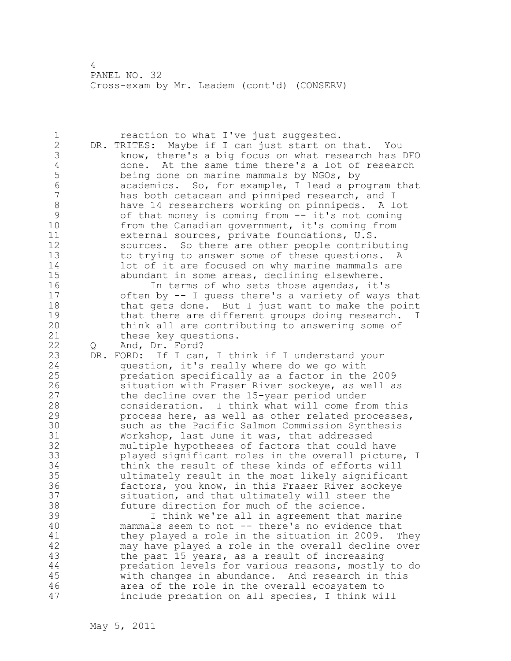1 **reaction to what I've just suggested.** 2 DR. TRITES: Maybe if I can just start on that. You 3 know, there's a big focus on what research has DFO<br>4 done. At the same time there's a lot of research 4 done. At the same time there's a lot of research<br>5 being done on marine mammals by NGOs, by 5 being done on marine mammals by NGOs, by<br>6 academics. So, for example, I lead a pro 6 academics. So, for example, I lead a program that<br>7 has both cetacean and pinniped research, and I has both cetacean and pinniped research, and I 8 have 14 researchers working on pinnipeds. A lot 9 of that money is coming from -- it's not coming<br>10 from the Canadian government, it's coming from from the Canadian government, it's coming from 11 external sources, private foundations, U.S. 12 sources. So there are other people contributing 13 to trying to answer some of these questions. A 14 lot of it are focused on why marine mammals are 15 abundant in some areas, declining elsewhere. 16 In terms of who sets those agendas, it's 17 often by -- I guess there's a variety of ways that 18 that gets done. But I just want to make the point 19 that there are different groups doing research. I<br>20 think all are contributing to answering some of think all are contributing to answering some of 21 these key questions. 22 Q And, Dr. Ford? 23 DR. FORD: If I can, I think if I understand your 24 question, it's really where do we go with 25 predation specifically as a factor in the 2009 26 situation with Fraser River sockeye, as well as<br>27 the decline over the 15-year period under the decline over the 15-year period under 28 consideration. I think what will come from this 29 process here, as well as other related processes, 30 such as the Pacific Salmon Commission Synthesis<br>31 Workshop, last June it was, that addressed Workshop, last June it was, that addressed 32 multiple hypotheses of factors that could have 33 played significant roles in the overall picture, I 34 think the result of these kinds of efforts will 35 ultimately result in the most likely significant 36 factors, you know, in this Fraser River sockeye 37 situation, and that ultimately will steer the 38 future direction for much of the science. 39 I think we're all in agreement that marine 40 mammals seem to not -- there's no evidence that 41 they played a role in the situation in 2009. They<br>42 may have played a role in the overall decline over may have played a role in the overall decline over 43 the past 15 years, as a result of increasing 44 predation levels for various reasons, mostly to do 45 with changes in abundance. And research in this 46 area of the role in the overall ecosystem to 47 include predation on all species, I think will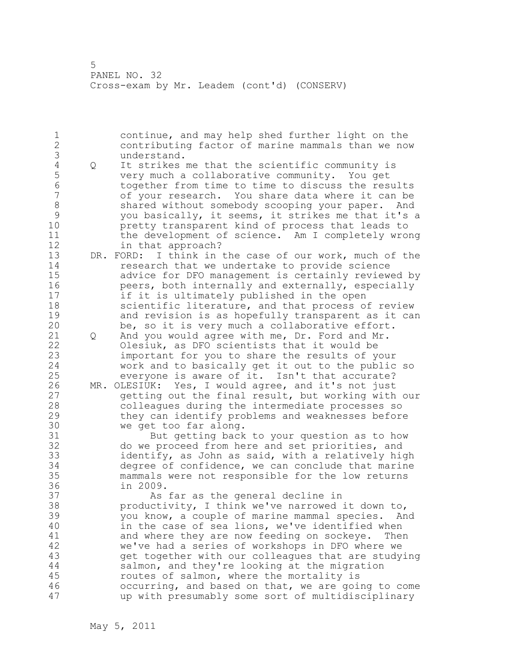1 continue, and may help shed further light on the 2 contributing factor of marine mammals than we now 3 understand.<br>4 Q It strikes 4 Q It strikes me that the scientific community is<br>5 very much a collaborative community. You get 5 very much a collaborative community. You get 6 together from time to time to discuss the results of your research. You share data where it can be 8 shared without somebody scooping your paper. And<br>9 vou basically, it seems, it strikes me that it's 9 you basically, it seems, it strikes me that it's a pretty transparent kind of process that leads to 11 the development of science. Am I completely wrong 12 in that approach? 13 DR. FORD: I think in the case of our work, much of the 14 research that we undertake to provide science 15 advice for DFO management is certainly reviewed by 16 **peers, both internally and externally, especially** 17 if it is ultimately published in the open 18 scientific literature, and that process of review 19 and revision is as hopefully transparent as it can<br>20 be, so it is very much a collaborative effort. be, so it is very much a collaborative effort. 21 Q And you would agree with me, Dr. Ford and Mr. 22 Olesiuk, as DFO scientists that it would be 23 important for you to share the results of your 24 work and to basically get it out to the public so 25 everyone is aware of it. Isn't that accurate? 26 MR. OLESIUK: Yes, I would agree, and it's not just<br>27 detting out the final result, but working with getting out the final result, but working with our 28 colleagues during the intermediate processes so 29 they can identify problems and weaknesses before 30 we get too far along.<br>31 But getting back 31 But getting back to your question as to how<br>32 do we proceed from here and set priorities, and do we proceed from here and set priorities, and 33 identify, as John as said, with a relatively high 34 degree of confidence, we can conclude that marine 35 mammals were not responsible for the low returns 36 in 2009. 37 As far as the general decline in 38 productivity, I think we've narrowed it down to, 39 you know, a couple of marine mammal species. And 40 in the case of sea lions, we've identified when 41 and where they are now feeding on sockeye. Then<br>42 we've had a series of workshops in DFO where we we've had a series of workshops in DFO where we 43 get together with our colleagues that are studying 44 salmon, and they're looking at the migration 45 routes of salmon, where the mortality is 46 occurring, and based on that, we are going to come 47 up with presumably some sort of multidisciplinary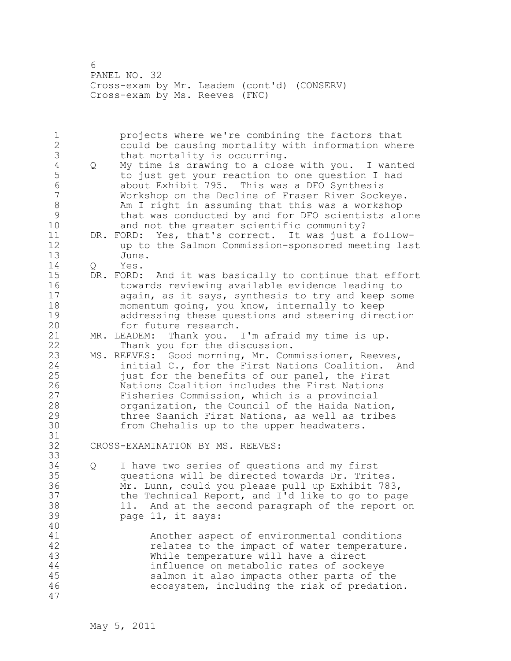6 PANEL NO. 32 Cross-exam by Mr. Leadem (cont'd) (CONSERV) Cross-exam by Ms. Reeves (FNC)

1 projects where we're combining the factors that 2 could be causing mortality with information where 3 that mortality is occurring.<br>4 Q My time is drawing to a clos 4 Q My time is drawing to a close with you. I wanted 5 to just get your reaction to one question I had 6 about Exhibit 795. This was a DFO Synthesis Workshop on the Decline of Fraser River Sockeye. 8 Am I right in assuming that this was a workshop 9 that was conducted by and for DFO scientists alone and not the greater scientific community? 11 DR. FORD: Yes, that's correct. It was just a follow-12 up to the Salmon Commission-sponsored meeting last 13 June. 14 Q Yes. 15 DR. FORD: And it was basically to continue that effort 16 towards reviewing available evidence leading to 17 again, as it says, synthesis to try and keep some 18 momentum going, you know, internally to keep 19 addressing these questions and steering direction<br>20 6 for future research. for future research. 21 MR. LEADEM: Thank you. I'm afraid my time is up. 22 Thank you for the discussion. 23 MS. REEVES: Good morning, Mr. Commissioner, Reeves, 24 initial C., for the First Nations Coalition. And 25 just for the benefits of our panel, the First 26 Nations Coalition includes the First Nations<br>27 Fisheries Commission, which is a provincial Fisheries Commission, which is a provincial 28 organization, the Council of the Haida Nation, 29 three Saanich First Nations, as well as tribes 30 from Chehalis up to the upper headwaters. 31<br>32 CROSS-EXAMINATION BY MS. REEVES: 33 34 Q I have two series of questions and my first 35 questions will be directed towards Dr. Trites. 36 Mr. Lunn, could you please pull up Exhibit 783, 37 the Technical Report, and I'd like to go to page 38 11. And at the second paragraph of the report on 39 page 11, it says: 40 41 Another aspect of environmental conditions<br>42 Telates to the impact of water temperature relates to the impact of water temperature. 43 While temperature will have a direct 44 influence on metabolic rates of sockeye 45 salmon it also impacts other parts of the 46 ecosystem, including the risk of predation. 47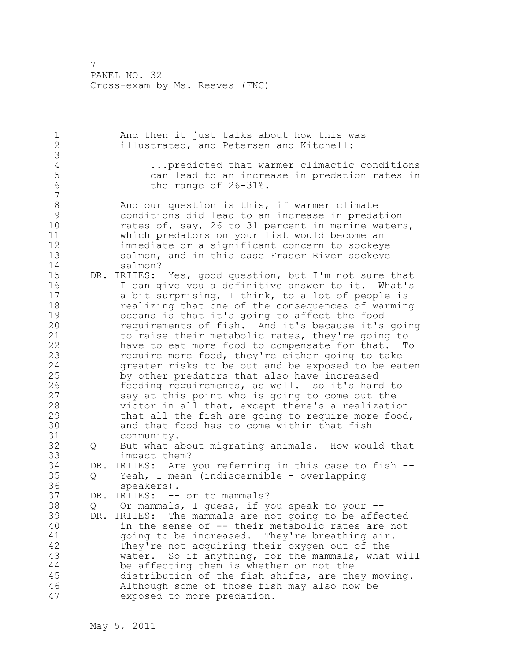1 And then it just talks about how this was 2 illustrated, and Petersen and Kitchell: 3 4 ...predicted that warmer climactic conditions<br>5 ... can lead to an increase in predation rates in 5 can lead to an increase in predation rates in<br>6 the range of 26-31%. the range of 26-31%. 7 8 And our question is this, if warmer climate<br>9 conditions did lead to an increase in preda 9 conditions did lead to an increase in predation<br>10 cates of, sav, 26 to 31 percent in marine water rates of, say, 26 to 31 percent in marine waters, 11 which predators on your list would become an 12 immediate or a significant concern to sockeye 13 salmon, and in this case Fraser River sockeye 14 salmon? 15 DR. TRITES: Yes, good question, but I'm not sure that 16 I can give you a definitive answer to it. What's 17 a bit surprising, I think, to a lot of people is 18 realizing that one of the consequences of warming 19 oceans is that it's going to affect the food<br>20 mequirements of fish. And it's because it's requirements of fish. And it's because it's going 21 to raise their metabolic rates, they're going to 22 have to eat more food to compensate for that. To 23 require more food, they're either going to take 24 greater risks to be out and be exposed to be eaten 25 by other predators that also have increased 26 feeding requirements, as well. so it's hard to<br>27 say at this point who is going to come out the say at this point who is going to come out the 28 victor in all that, except there's a realization 29 that all the fish are going to require more food, 30 and that food has to come within that fish<br>31 community. community. 32 Q But what about migrating animals. How would that 33 impact them? 34 DR. TRITES: Are you referring in this case to fish -- 35 Q Yeah, I mean (indiscernible - overlapping 36 speakers). 37 DR. TRITES: -- or to mammals? 38 Q Or mammals, I guess, if you speak to your -- 39 DR. TRITES: The mammals are not going to be affected 40 in the sense of -- their metabolic rates are not 41 going to be increased. They're breathing air.<br>42 They're not acquiring their oxygen out of the They're not acquiring their oxygen out of the 43 water. So if anything, for the mammals, what will 44 be affecting them is whether or not the 45 distribution of the fish shifts, are they moving. 46 Although some of those fish may also now be 47 exposed to more predation.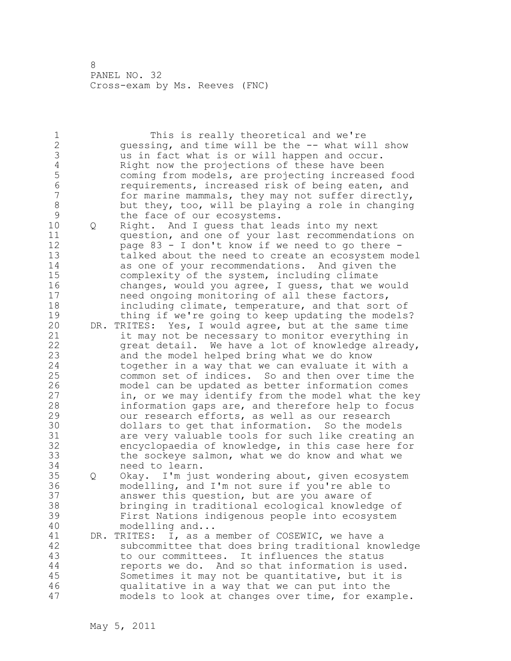1 This is really theoretical and we're 2 guessing, and time will be the -- what will show 3 us in fact what is or will happen and occur.<br>4 Right now the projections of these have been 4 Right now the projections of these have been<br>5 coming from models, are projecting increased 5 coming from models, are projecting increased food<br>6 coming from models, are projecting increased food 6 6 requirements, increased risk of being eaten, and<br>7 for marine mammals, they may not suffer directly. for marine mammals, they may not suffer directly, 8 but they, too, will be playing a role in changing 9 the face of our ecosystems.<br>10 0 Right. And I quess that le 10 Q Right. And I guess that leads into my next 11 question, and one of your last recommendations on 12 page 83 - I don't know if we need to go there - 13 talked about the need to create an ecosystem model 14 as one of your recommendations. And given the 15 complexity of the system, including climate 16 changes, would you agree, I guess, that we would 17 need ongoing monitoring of all these factors, 18 including climate, temperature, and that sort of 19 thing if we're going to keep updating the models?<br>20 DR. TRITES: Yes, I would agree, but at the same time DR. TRITES: Yes, I would agree, but at the same time 21 it may not be necessary to monitor everything in 22 great detail. We have a lot of knowledge already, 23 and the model helped bring what we do know 24 together in a way that we can evaluate it with a 25 common set of indices. So and then over time the 26 model can be updated as better information comes<br>27 in, or we may identify from the model what the k in, or we may identify from the model what the key 28 information gaps are, and therefore help to focus 29 our research efforts, as well as our research 30 dollars to get that information. So the models<br>31 are very valuable tools for such like creating are very valuable tools for such like creating an 32 encyclopaedia of knowledge, in this case here for 33 the sockeye salmon, what we do know and what we 34 need to learn. 35 Q Okay. I'm just wondering about, given ecosystem 36 modelling, and I'm not sure if you're able to 37 answer this question, but are you aware of 38 bringing in traditional ecological knowledge of 39 First Nations indigenous people into ecosystem 40 modelling and... 41 DR. TRITES: I, as a member of COSEWIC, we have a<br>42 Subcommittee that does bring traditional know subcommittee that does bring traditional knowledge 43 to our committees. It influences the status 44 reports we do. And so that information is used. 45 Sometimes it may not be quantitative, but it is 46 qualitative in a way that we can put into the 47 models to look at changes over time, for example.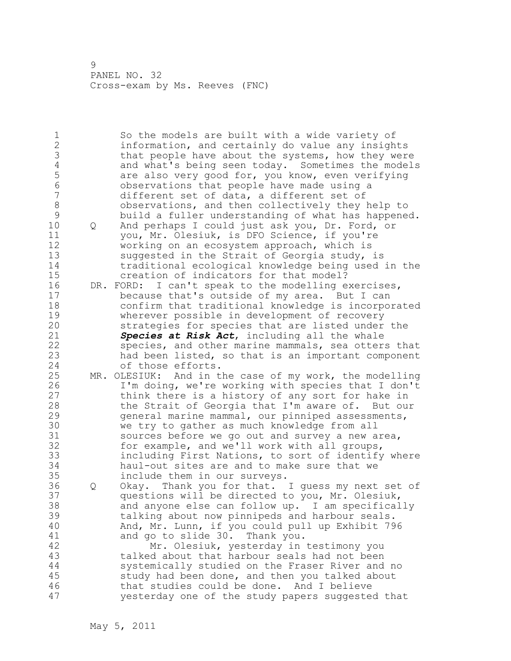1 So the models are built with a wide variety of 2 information, and certainly do value any insights 3 that people have about the systems, how they were<br>4 and what's being seen today. Sometimes the model. 4 and what's being seen today. Sometimes the models<br>5 are also very good for, you know, even verifying 5 are also very good for, you know, even verifying<br>6 betwations that people have made using a 6 observations that people have made using a different set of data, a different set of 8 observations, and then collectively they help to 9 build a fuller understanding of what has happened.<br>10 0 And perhaps I could just ask you, Dr. Ford, or 10 Q And perhaps I could just ask you, Dr. Ford, or 11 you, Mr. Olesiuk, is DFO Science, if you're 12 working on an ecosystem approach, which is 13 suggested in the Strait of Georgia study, is 14 traditional ecological knowledge being used in the 15 creation of indicators for that model? 16 DR. FORD: I can't speak to the modelling exercises, 17 because that's outside of my area. But I can 18 confirm that traditional knowledge is incorporated 19 wherever possible in development of recovery<br>20 strategies for species that are listed under strategies for species that are listed under the 21 *Species at Risk Act*, including all the whale 22 species, and other marine mammals, sea otters that 23 had been listed, so that is an important component 24 of those efforts. 25 MR. OLESIUK: And in the case of my work, the modelling 26 I'm doing, we're working with species that I don't<br>27 think there is a history of any sort for hake in think there is a history of any sort for hake in 28 the Strait of Georgia that I'm aware of. But our 29 general marine mammal, our pinniped assessments, 30 we try to gather as much knowledge from all sources before we go out and survey a new area, 32 for example, and we'll work with all groups, 33 including First Nations, to sort of identify where 34 haul-out sites are and to make sure that we 35 include them in our surveys. 36 Q Okay. Thank you for that. I guess my next set of 37 questions will be directed to you, Mr. Olesiuk, 38 and anyone else can follow up. I am specifically 39 talking about now pinnipeds and harbour seals. 40 And, Mr. Lunn, if you could pull up Exhibit 796 41 and go to slide 30. Thank you.<br>42 Mr. Olesiuk, yesterday in Mr. Olesiuk, yesterday in testimony you 43 talked about that harbour seals had not been 44 systemically studied on the Fraser River and no 45 study had been done, and then you talked about 46 that studies could be done. And I believe 47 yesterday one of the study papers suggested that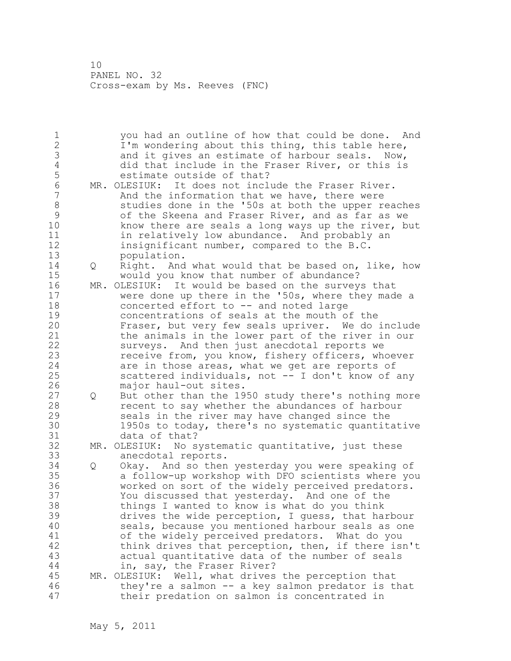1 you had an outline of how that could be done. And 2 I'm wondering about this thing, this table here, 3 and it gives an estimate of harbour seals. Now, 4 did that include in the Fraser River, or this is<br>5 estimate outside of that? estimate outside of that? 6 MR. OLESIUK: It does not include the Fraser River.<br>7 and the information that we have, there were And the information that we have, there were 8 studies done in the '50s at both the upper reaches 9 of the Skeena and Fraser River, and as far as we know there are seals a long ways up the river, but 11 in relatively low abundance. And probably an 12 insignificant number, compared to the B.C. 13 population. 14 Q Right. And what would that be based on, like, how 15 would you know that number of abundance? 16 MR. OLESIUK: It would be based on the surveys that 17 were done up there in the '50s, where they made a 18 concerted effort to -- and noted large 19 concentrations of seals at the mouth of the<br>20 Fraser, but very few seals upriver. We do Fraser, but very few seals upriver. We do include 21 the animals in the lower part of the river in our 22 surveys. And then just anecdotal reports we 23 receive from, you know, fishery officers, whoever 24 are in those areas, what we get are reports of 25 scattered individuals, not -- I don't know of any 26 major haul-out sites.<br>27 0 But other than the 19 27 Q But other than the 1950 study there's nothing more 28 recent to say whether the abundances of harbour 29 seals in the river may have changed since the 30 1950s to today, there's no systematic quantitative data of that? 32 MR. OLESIUK: No systematic quantitative, just these 33 anecdotal reports. 34 Q Okay. And so then yesterday you were speaking of 35 a follow-up workshop with DFO scientists where you 36 worked on sort of the widely perceived predators. 37 You discussed that yesterday. And one of the 38 things I wanted to know is what do you think 39 drives the wide perception, I guess, that harbour 40 seals, because you mentioned harbour seals as one 41 of the widely perceived predators. What do you<br>42 think drives that perception, then, if there is think drives that perception, then, if there isn't 43 actual quantitative data of the number of seals 44 in, say, the Fraser River? 45 MR. OLESIUK: Well, what drives the perception that 46 they're a salmon -- a key salmon predator is that 47 their predation on salmon is concentrated in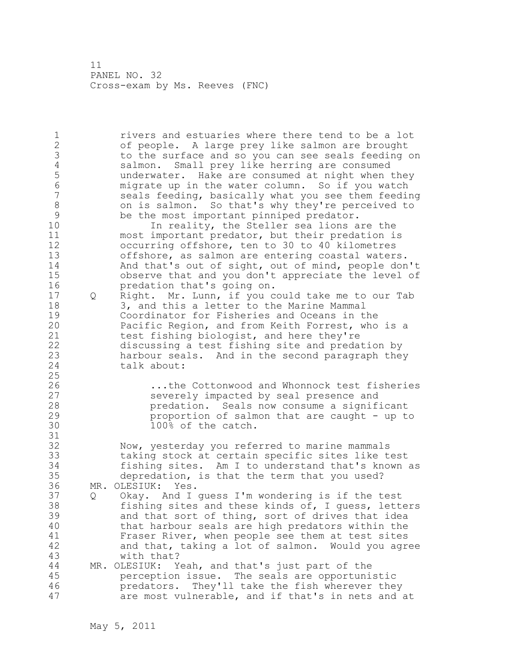1 rivers and estuaries where there tend to be a lot 2 of people. A large prey like salmon are brought 3 to the surface and so you can see seals feeding on<br>4 salmon. Small prey like herring are consumed 4 salmon. Small prey like herring are consumed<br>5 underwater. Hake are consumed at night when 5 underwater. Hake are consumed at night when they 6 migrate up in the water column. So if you watch seals feeding, basically what you see them feeding 8 on is salmon. So that's why they're perceived to<br>9 be the most important pinniped predator. 9 be the most important pinniped predator.<br>10 10 In reality, the Steller sea lions a In reality, the Steller sea lions are the 11 most important predator, but their predation is 12 occurring offshore, ten to 30 to 40 kilometres 13 offshore, as salmon are entering coastal waters. 14 And that's out of sight, out of mind, people don't 15 observe that and you don't appreciate the level of 16 predation that's going on. 17 Q Right. Mr. Lunn, if you could take me to our Tab 18 3, and this a letter to the Marine Mammal 19 Coordinator for Fisheries and Oceans in the<br>20 Pacific Region, and from Keith Forrest, who Pacific Region, and from Keith Forrest, who is a 21 test fishing biologist, and here they're 22 discussing a test fishing site and predation by 23 harbour seals. And in the second paragraph they<br>24 talk about: talk about: 25 26 ...the Cottonwood and Whonnock test fisheries<br>27 severely impacted by seal presence and 27 severely impacted by seal presence and<br>28 series by Seals now consume a signif predation. Seals now consume a significant 29 proportion of salmon that are caught - up to 30 100% of the catch. 31 32 Now, yesterday you referred to marine mammals 33 taking stock at certain specific sites like test 34 fishing sites. Am I to understand that's known as 35 depredation, is that the term that you used? 36 MR. OLESIUK: Yes. 37 Q Okay. And I guess I'm wondering is if the test 38 fishing sites and these kinds of, I guess, letters 39 and that sort of thing, sort of drives that idea 40 that harbour seals are high predators within the 41 Fraser River, when people see them at test sites<br>42 and that, taking a lot of salmon. Would you agre and that, taking a lot of salmon. Would you agree 43 with that? 44 MR. OLESIUK: Yeah, and that's just part of the 45 perception issue. The seals are opportunistic 46 predators. They'll take the fish wherever they 47 are most vulnerable, and if that's in nets and at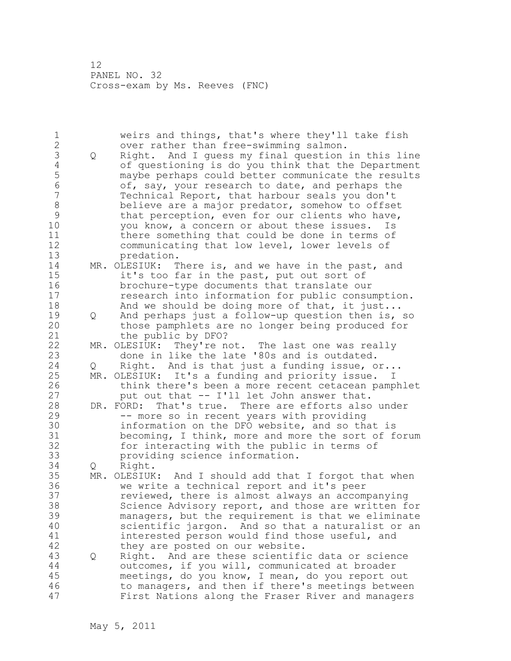1 weirs and things, that's where they'll take fish 2 over rather than free-swimming salmon. 3 Q Right. And I guess my final question in this line 4 of questioning is do you think that the Department 5 maybe perhaps could better communicate the results<br>6 6 of, sav, your research to date, and perhaps the 6 of, say, your research to date, and perhaps the 7 Technical Report, that harbour seals you don't 8 believe are a major predator, somehow to offset 9 that perception, even for our clients who have,<br>10 vou know, a concern or about these issues. Is you know, a concern or about these issues. Is 11 there something that could be done in terms of 12 communicating that low level, lower levels of 13 predation. 14 MR. OLESIUK: There is, and we have in the past, and 15 it's too far in the past, put out sort of 16 brochure-type documents that translate our 17 research into information for public consumption. 18 And we should be doing more of that, it just... 19 Q And perhaps just a follow-up question then is, so<br>20 those pamphlets are no longer being produced for those pamphlets are no longer being produced for 21 the public by DFO? 22 MR. OLESIUK: They're not. The last one was really 23 done in like the late '80s and is outdated. 24 Q Right. And is that just a funding issue, or... 25 MR. OLESIUK: It's a funding and priority issue. I 26 think there's been a more recent cetacean pamphlet<br>27 but out that -- I'll let John answer that. put out that -- I'll let John answer that. 28 DR. FORD: That's true. There are efforts also under 29 -- more so in recent years with providing 30 information on the DFO website, and so that is<br>31 becoming, I think, more and more the sort of f becoming, I think, more and more the sort of forum 32 for interacting with the public in terms of 33 providing science information. 34 Q Right. 35 MR. OLESIUK: And I should add that I forgot that when 36 we write a technical report and it's peer 37 reviewed, there is almost always an accompanying 38 Science Advisory report, and those are written for 39 managers, but the requirement is that we eliminate 40 scientific jargon. And so that a naturalist or an 41 interested person would find those useful, and<br>42 they are posted on our website. they are posted on our website. 43 Q Right. And are these scientific data or science 44 outcomes, if you will, communicated at broader 45 meetings, do you know, I mean, do you report out 46 to managers, and then if there's meetings between 47 First Nations along the Fraser River and managers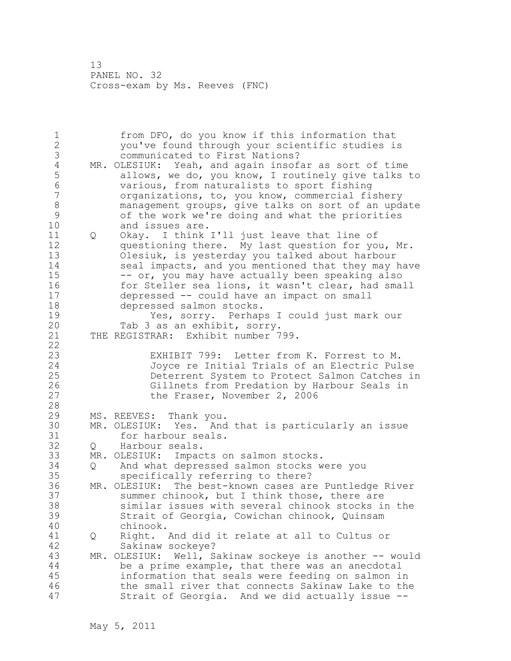1 from DFO, do you know if this information that 2 you've found through your scientific studies is 3 communicated to First Nations?<br>4 MR. OLESIUK: Yeah, and again insof 4 MR. OLESIUK: Yeah, and again insofar as sort of time<br>5 allows, we do, you know, I routinely give talks t 5 allows, we do, you know, I routinely give talks to<br>6 various, from naturalists to sport fishing 6 various, from naturalists to sport fishing organizations, to, you know, commercial fishery 8 management groups, give talks on sort of an update<br>9 of the work we're doing and what the priorities 9 of the work we're doing and what the priorities and issues are. 11 Q Okay. I think I'll just leave that line of 12 questioning there. My last question for you, Mr. 13 Olesiuk, is yesterday you talked about harbour 14 seal impacts, and you mentioned that they may have 15 -- or, you may have actually been speaking also 16 for Steller sea lions, it wasn't clear, had small 17 depressed -- could have an impact on small 18 depressed salmon stocks. 19 Yes, sorry. Perhaps I could just mark our<br>20 Tab 3 as an exhibit, sorry. Tab 3 as an exhibit, sorry. 21 THE REGISTRAR: Exhibit number 799. 22 23 EXHIBIT 799: Letter from K. Forrest to M. 24 Joyce re Initial Trials of an Electric Pulse 25 Deterrent System to Protect Salmon Catches in 26 Gillnets from Predation by Harbour Seals in<br>27 the Fraser, November 2, 2006 the Fraser, November 2, 2006 28 29 MS. REEVES: Thank you. 30 MR. OLESIUK: Yes. And that is particularly an issue 31 for harbour seals.<br>32 0 Harbour seals. Q Harbour seals. 33 MR. OLESIUK: Impacts on salmon stocks. 34 Q And what depressed salmon stocks were you 35 specifically referring to there? 36 MR. OLESIUK: The best-known cases are Puntledge River 37 summer chinook, but I think those, there are 38 similar issues with several chinook stocks in the 39 Strait of Georgia, Cowichan chinook, Quinsam 40 chinook. 41 Q Right. And did it relate at all to Cultus or Sakinaw sockeye? 43 MR. OLESIUK: Well, Sakinaw sockeye is another -- would 44 be a prime example, that there was an anecdotal 45 information that seals were feeding on salmon in 46 the small river that connects Sakinaw Lake to the 47 Strait of Georgia. And we did actually issue --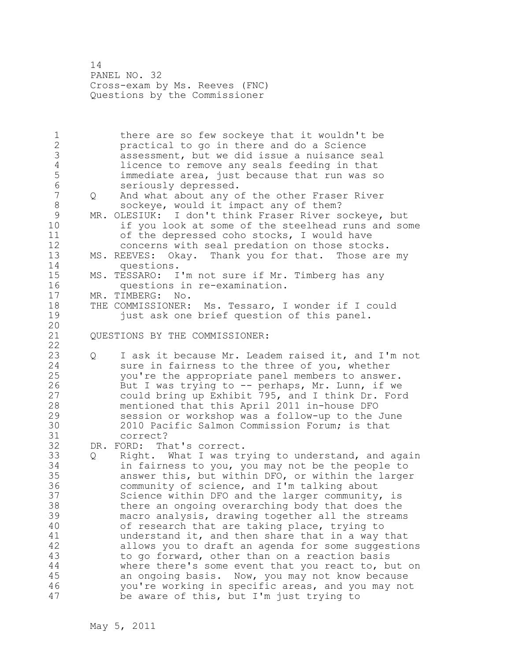14 PANEL NO. 32 Cross-exam by Ms. Reeves (FNC) Questions by the Commissioner

1 there are so few sockeye that it wouldn't be 2 practical to go in there and do a Science 3 assessment, but we did issue a nuisance seal 4 licence to remove any seals feeding in that<br>5 immediate area, just because that run was so 5 immediate area, just because that run was so 6 seriously depressed.<br>7 0 And what about any o 7 Q And what about any of the other Fraser River 8 sockeye, would it impact any of them? 9 MR. OLESIUK: I don't think Fraser River sockeye, but<br>10 if you look at some of the steelhead runs and som if you look at some of the steelhead runs and some 11 of the depressed coho stocks, I would have 12 concerns with seal predation on those stocks. 13 MS. REEVES: Okay. Thank you for that. Those are my 14 questions. 15 MS. TESSARO: I'm not sure if Mr. Timberg has any 16 questions in re-examination. 17 MR. TIMBERG: No. 18 THE COMMISSIONER: Ms. Tessaro, I wonder if I could 19 just ask one brief question of this panel. 20 21 QUESTIONS BY THE COMMISSIONER: 22 23 Q I ask it because Mr. Leadem raised it, and I'm not 24 sure in fairness to the three of you, whether 25 you're the appropriate panel members to answer. 26 But I was trying to -- perhaps, Mr. Lunn, if we<br>27 could bring up Exhibit 795, and I think Dr. Fore could bring up Exhibit 795, and I think Dr. Ford 28 mentioned that this April 2011 in-house DFO 29 session or workshop was a follow-up to the June 30 2010 Pacific Salmon Commission Forum; is that correct? 32 DR. FORD: That's correct. 33 Q Right. What I was trying to understand, and again 34 in fairness to you, you may not be the people to 35 answer this, but within DFO, or within the larger 36 community of science, and I'm talking about 37 Science within DFO and the larger community, is 38 there an ongoing overarching body that does the 39 macro analysis, drawing together all the streams 40 of research that are taking place, trying to 41 understand it, and then share that in a way that<br>42 allows you to draft an agenda for some suggestio allows you to draft an agenda for some suggestions 43 to go forward, other than on a reaction basis 44 where there's some event that you react to, but on 45 an ongoing basis. Now, you may not know because 46 you're working in specific areas, and you may not 47 be aware of this, but I'm just trying to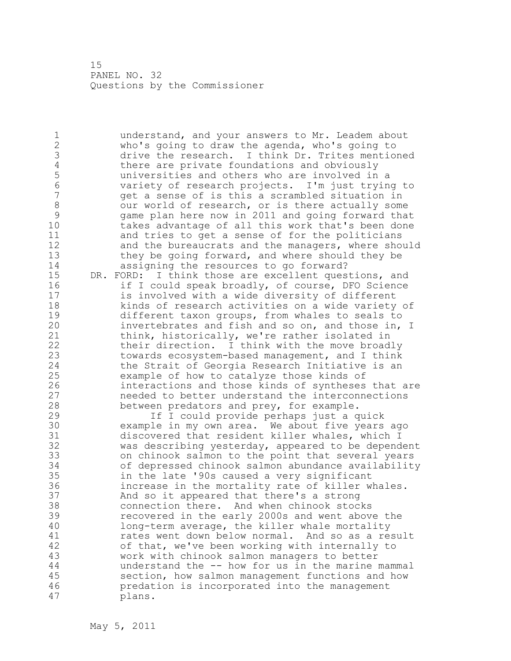15 PANEL NO. 32 Questions by the Commissioner

1 understand, and your answers to Mr. Leadem about 2 who's going to draw the agenda, who's going to 3 drive the research. I think Dr. Trites mentioned<br>4 there are private foundations and obviously 4 there are private foundations and obviously<br>5 universities and others who are involved in 5 universities and others who are involved in a 6 variety of research projects. I'm just trying to get a sense of is this a scrambled situation in 8 our world of research, or is there actually some<br>9 oame plan here now in 2011 and going forward tha 9 game plan here now in 2011 and going forward that<br>10 takes advantage of all this work that's been done takes advantage of all this work that's been done 11 and tries to get a sense of for the politicians 12 and the bureaucrats and the managers, where should 13 they be going forward, and where should they be 14 assigning the resources to go forward? 15 DR. FORD: I think those are excellent questions, and 16 if I could speak broadly, of course, DFO Science<br>17 is involved with a wide diversity of different is involved with a wide diversity of different 18 kinds of research activities on a wide variety of 19 different taxon groups, from whales to seals to<br>20 invertebrates and fish and so on, and those in, invertebrates and fish and so on, and those in, I 21 think, historically, we're rather isolated in 22 their direction. I think with the move broadly 23 towards ecosystem-based management, and I think 24 the Strait of Georgia Research Initiative is an 25 example of how to catalyze those kinds of 26 interactions and those kinds of syntheses that are<br>27 meeded to better understand the interconnections 27 heeded to better understand the interconnections<br>28 hetween predators and prev. for example. between predators and prey, for example. 29 If I could provide perhaps just a quick 30 example in my own area. We about five years ago discovered that resident killer whales, which I 32 was describing yesterday, appeared to be dependent 33 on chinook salmon to the point that several years 34 of depressed chinook salmon abundance availability 35 in the late '90s caused a very significant 36 increase in the mortality rate of killer whales. 37 And so it appeared that there's a strong 38 connection there. And when chinook stocks 39 recovered in the early 2000s and went above the 40 long-term average, the killer whale mortality 41 rates went down below normal. And so as a result<br>42 of that, we've been working with internally to of that, we've been working with internally to 43 work with chinook salmon managers to better 44 understand the -- how for us in the marine mammal 45 section, how salmon management functions and how 46 predation is incorporated into the management 47 plans.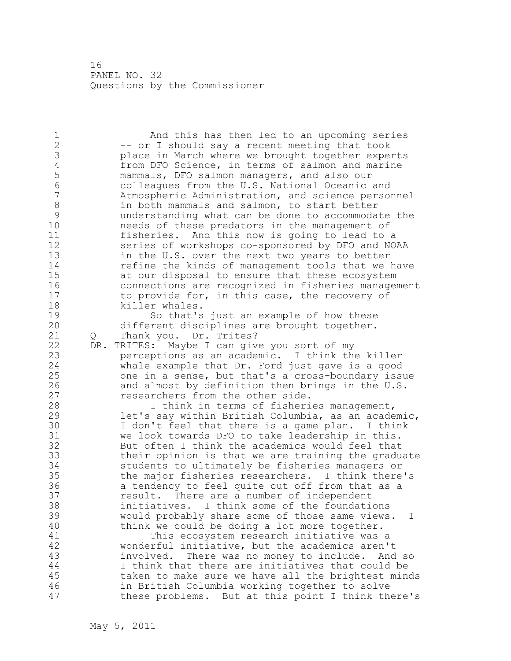16 PANEL NO. 32 Questions by the Commissioner

1 And this has then led to an upcoming series 2 -- or I should say a recent meeting that took 3 place in March where we brought together experts<br>4 from DFO Science, in terms of salmon and marine 4 from DFO Science, in terms of salmon and marine<br>5 mammals, DFO salmon managers, and also our 5 mammals, DFO salmon managers, and also our 6 colleagues from the U.S. National Oceanic and Atmospheric Administration, and science personnel 8 in both mammals and salmon, to start better<br>9 understanding what can be done to accommoda 9 understanding what can be done to accommodate the needs of these predators in the management of 11 fisheries. And this now is going to lead to a 12 series of workshops co-sponsored by DFO and NOAA 13 in the U.S. over the next two years to better 14 **refine the kinds of management tools that we have** 15 at our disposal to ensure that these ecosystem 16 connections are recognized in fisheries management 17 to provide for, in this case, the recovery of 18 killer whales. 19 So that's just an example of how these<br>20 different disciplines are brought together. different disciplines are brought together. 21 Q Thank you. Dr. Trites? 22 DR. TRITES: Maybe I can give you sort of my 23 perceptions as an academic. I think the killer 24 whale example that Dr. Ford just gave is a good 25 one in a sense, but that's a cross-boundary issue 26 and almost by definition then brings in the U.S.<br>27 esearchers from the other side. 27 **researchers from the other side.**<br>28 T think in terms of fisheri I think in terms of fisheries management, 29 let's say within British Columbia, as an academic, 30 I don't feel that there is a game plan. I think<br>31 We look towards DFO to take leadership in this. 31 we look towards DFO to take leadership in this.<br>32 But often I think the academics would feel that But often I think the academics would feel that 33 their opinion is that we are training the graduate 34 students to ultimately be fisheries managers or 35 the major fisheries researchers. I think there's 36 a tendency to feel quite cut off from that as a 37 result. There are a number of independent 38 initiatives. I think some of the foundations 39 would probably share some of those same views. I 40 think we could be doing a lot more together. 41 This ecosystem research initiative was a<br>42 wonderful initiative, but the academics aren' wonderful initiative, but the academics aren't 43 involved. There was no money to include. And so 44 I think that there are initiatives that could be 45 taken to make sure we have all the brightest minds 46 in British Columbia working together to solve 47 these problems. But at this point I think there's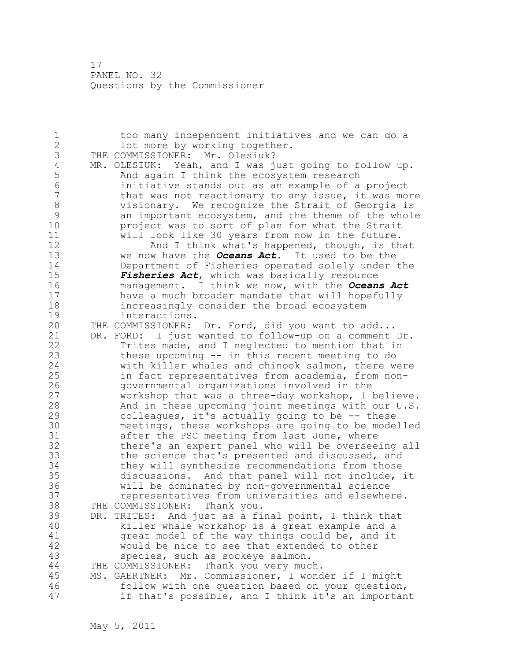17 PANEL NO. 32 Questions by the Commissioner

| 1<br>$\overline{2}$<br>3 | too many independent initiatives and we can do a<br>lot more by working together.<br>THE COMMISSIONER: Mr. Olesiuk? |
|--------------------------|---------------------------------------------------------------------------------------------------------------------|
| 4                        | MR. OLESIUK: Yeah, and I was just going to follow up.                                                               |
| 5                        | And again I think the ecosystem research                                                                            |
| 6                        | initiative stands out as an example of a project                                                                    |
| $\overline{7}$           | that was not reactionary to any issue, it was more                                                                  |
| 8                        | visionary. We recognize the Strait of Georgia is                                                                    |
| 9                        | an important ecosystem, and the theme of the whole                                                                  |
| 10                       | project was to sort of plan for what the Strait                                                                     |
| 11                       | will look like 30 years from now in the future.                                                                     |
| 12                       | And I think what's happened, though, is that                                                                        |
| 13                       | we now have the <b>Oceans Act</b> . It used to be the                                                               |
| 14                       | Department of Fisheries operated solely under the                                                                   |
| 15                       | Fisheries Act, which was basically resource                                                                         |
| 16                       | management. I think we now, with the Oceans Act                                                                     |
| 17                       | have a much broader mandate that will hopefully                                                                     |
| 18                       | increasingly consider the broad ecosystem                                                                           |
| 19                       | interactions.                                                                                                       |
| 20                       | THE COMMISSIONER: Dr. Ford, did you want to add                                                                     |
| 21<br>22                 | DR. FORD: I just wanted to follow-up on a comment Dr.<br>Trites made, and I neglected to mention that in            |
| 23                       | these upcoming -- in this recent meeting to do                                                                      |
| 24                       | with killer whales and chinook salmon, there were                                                                   |
| 25                       | in fact representatives from academia, from non-                                                                    |
| 26                       | governmental organizations involved in the                                                                          |
| 27                       | workshop that was a three-day workshop, I believe.                                                                  |
| 28                       | And in these upcoming joint meetings with our U.S.                                                                  |
| 29                       | colleagues, it's actually going to be -- these                                                                      |
| 30                       | meetings, these workshops are going to be modelled                                                                  |
| 31                       | after the PSC meeting from last June, where                                                                         |
| 32                       | there's an expert panel who will be overseeing all                                                                  |
| 33                       | the science that's presented and discussed, and                                                                     |
| 34                       | they will synthesize recommendations from those                                                                     |
| 35                       | discussions. And that panel will not include, it                                                                    |
| 36                       | will be dominated by non-governmental science                                                                       |
| 37<br>38                 | representatives from universities and elsewhere.<br>THE COMMISSIONER:                                               |
| 39                       | Thank you.<br>DR. TRITES: And just as a final point, I think that                                                   |
| 40                       | killer whale workshop is a great example and a                                                                      |
| 41                       | great model of the way things could be, and it                                                                      |
| 42                       | would be nice to see that extended to other                                                                         |
| 43                       | species, such as sockeye salmon.                                                                                    |
| 44                       | THE COMMISSIONER:<br>Thank you very much.                                                                           |
| 45                       | Mr. Commissioner, I wonder if I might<br>MS. GAERTNER:                                                              |
| 46                       | follow with one question based on your question,                                                                    |
| 47                       | if that's possible, and I think it's an important                                                                   |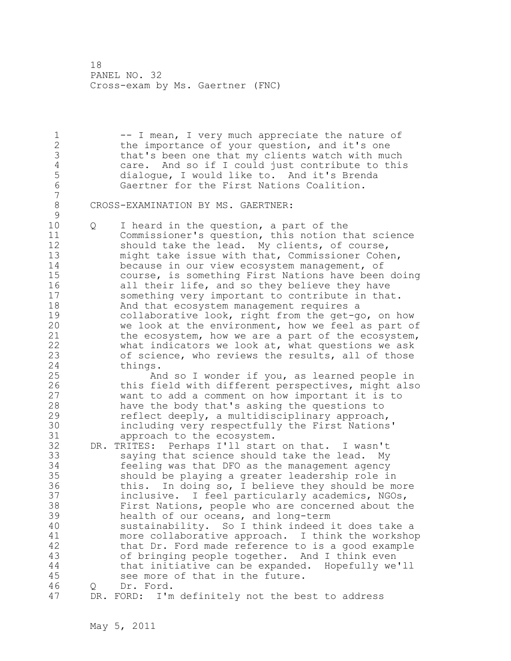18 PANEL NO. 32 Cross-exam by Ms. Gaertner (FNC)

1 -- I mean, I very much appreciate the nature of 2 the importance of your question, and it's one 3 that's been one that my clients watch with much<br>4 care. And so if I could just contribute to thi: 4 care. And so if I could just contribute to this<br>5 dialoque, I would like to. And it's Brenda 5 dialogue, I would like to. And it's Brenda<br>6 Gaertner for the First Nations Coalition. 6 Gaertner for the First Nations Coalition. 7 8 CROSS-EXAMINATION BY MS. GAERTNER:  $\begin{array}{c} 9 \\ 10 \end{array}$ 10 Q I heard in the question, a part of the 11 Commissioner's question, this notion that science 12 should take the lead. My clients, of course, 13 might take issue with that, Commissioner Cohen, 14 because in our view ecosystem management, of 15 course, is something First Nations have been doing 16 all their life, and so they believe they have 17 something very important to contribute in that. 18 And that ecosystem management requires a 19 collaborative look, right from the get-go, on how<br>20 we look at the environment, how we feel as part o we look at the environment, how we feel as part of 21 the ecosystem, how we are a part of the ecosystem, 22 what indicators we look at, what questions we ask 23 of science, who reviews the results, all of those 24 things. 25 And so I wonder if you, as learned people in 26 this field with different perspectives, might also<br>27 want to add a comment on how important it is to want to add a comment on how important it is to 28 have the body that's asking the questions to 29 reflect deeply, a multidisciplinary approach, 30 including very respectfully the First Nations'<br>31 approach to the ecosystem. approach to the ecosystem. 32 DR. TRITES: Perhaps I'll start on that. I wasn't 33 saying that science should take the lead. My 34 feeling was that DFO as the management agency 35 should be playing a greater leadership role in 36 this. In doing so, I believe they should be more 37 inclusive. I feel particularly academics, NGOs, 38 First Nations, people who are concerned about the 39 health of our oceans, and long-term 40 sustainability. So I think indeed it does take a 41 more collaborative approach. I think the workshop<br>42 that Dr. Ford made reference to is a good example that Dr. Ford made reference to is a good example 43 of bringing people together. And I think even 44 that initiative can be expanded. Hopefully we'll 45 see more of that in the future. 46 Q Dr. Ford. 47 DR. FORD: I'm definitely not the best to address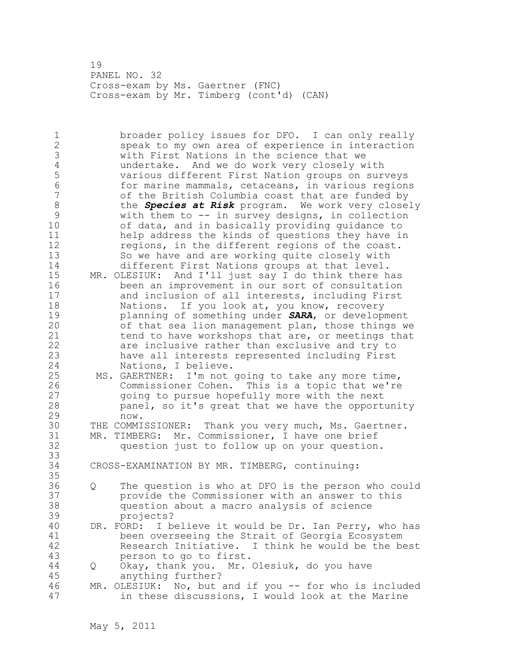19 PANEL NO. 32 Cross-exam by Ms. Gaertner (FNC) Cross-exam by Mr. Timberg (cont'd) (CAN)

1 broader policy issues for DFO. I can only really 2 speak to my own area of experience in interaction 3 with First Nations in the science that we<br>4 and undertake. And we do work very closely w 4 undertake. And we do work very closely with<br>5 various different First Nation groups on sur 5 various different First Nation groups on surveys 6 for marine mammals, cetaceans, in various regions of the British Columbia coast that are funded by 8 the *Species at Risk* program. We work very closely<br>9 with them to -- in survey designs, in collection 9 with them to -- in survey designs, in collection of data, and in basically providing guidance to 11 help address the kinds of questions they have in 12 regions, in the different regions of the coast. 13 So we have and are working quite closely with<br>14 different First Nations groups at that level. different First Nations groups at that level. 15 MR. OLESIUK: And I'll just say I do think there has 16 been an improvement in our sort of consultation 17 and inclusion of all interests, including First 18 Nations. If you look at, you know, recovery 19 **planning of something under SARA,** or development<br>20 of that sea lion management plan, those things w of that sea lion management plan, those things we 21 tend to have workshops that are, or meetings that 22 are inclusive rather than exclusive and try to 23 have all interests represented including First 24 Nations, I believe. 25 MS. GAERTNER: I'm not going to take any more time, 26 Commissioner Cohen. This is a topic that we're<br>27 oping to pursue hopefully more with the next going to pursue hopefully more with the next 28 panel, so it's great that we have the opportunity 29 now. 30 THE COMMISSIONER: Thank you very much, Ms. Gaertner.<br>31 MR. TIMBERG: Mr. Commissioner, I have one brief MR. TIMBERG: Mr. Commissioner, I have one brief 32 question just to follow up on your question. 33 34 CROSS-EXAMINATION BY MR. TIMBERG, continuing: 35 36 Q The question is who at DFO is the person who could 37 provide the Commissioner with an answer to this 38 question about a macro analysis of science 39 projects? 40 DR. FORD: I believe it would be Dr. Ian Perry, who has 41 been overseeing the Strait of Georgia Ecosystem<br>42 Research Initiative. I think he would be the be Research Initiative. I think he would be the best 43 person to go to first. 44 Q Okay, thank you. Mr. Olesiuk, do you have 45 anything further? 46 MR. OLESIUK: No, but and if you -- for who is included 47 in these discussions, I would look at the Marine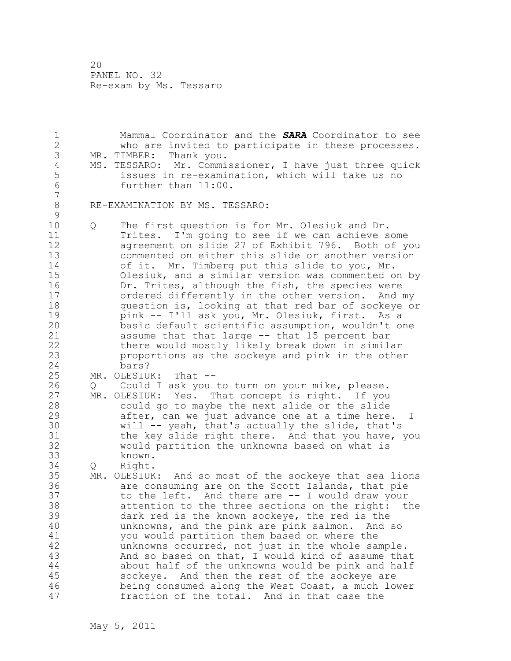1 Mammal Coordinator and the *SARA* Coordinator to see 2 who are invited to participate in these processes. 3 MR. TIMBER: Thank you.<br>4 MS. TESSARO: Mr. Commi 4 MS. TESSARO: Mr. Commissioner, I have just three quick<br>5 issues in re-examination, which will take us no 5 issues in re-examination, which will take us no<br>6 further than 11:00. further than 11:00. 7 8 RE-EXAMINATION BY MS. TESSARO:  $\begin{array}{c} 9 \\ 10 \end{array}$ 0 The first question is for Mr. Olesiuk and Dr. 11 Trites. I'm going to see if we can achieve some 12 agreement on slide 27 of Exhibit 796. Both of you 13 commented on either this slide or another version 14 of it. Mr. Timberg put this slide to you, Mr. 15 Olesiuk, and a similar version was commented on by 16 Dr. Trites, although the fish, the species were 17 ordered differently in the other version. And my 18 question is, looking at that red bar of sockeye or 19 pink -- I'll ask you, Mr. Olesiuk, first. As a<br>20 basic default scientific assumption, wouldn't or basic default scientific assumption, wouldn't one 21 assume that that large -- that 15 percent bar 22 there would mostly likely break down in similar 23 proportions as the sockeye and pink in the other 24 bars? 25 MR. OLESIUK: That -- 26 Q Could I ask you to turn on your mike, please.<br>27 MR. OLESIUK: Yes. That concept is right. If you MR. OLESIUK: Yes. That concept is right. If you 28 could go to maybe the next slide or the slide 29 after, can we just advance one at a time here. I 30 will -- yeah, that's actually the slide, that's<br>31 the key slide right there. And that you have, the key slide right there. And that you have, you 32 would partition the unknowns based on what is 33 known. 34 Q Right. 35 MR. OLESIUK: And so most of the sockeye that sea lions 36 are consuming are on the Scott Islands, that pie 37 to the left. And there are -- I would draw your 38 attention to the three sections on the right: the 39 dark red is the known sockeye, the red is the 40 unknowns, and the pink are pink salmon. And so 41 you would partition them based on where the<br>42 unknowns occurred, not just in the whole sam unknowns occurred, not just in the whole sample. 43 And so based on that, I would kind of assume that 44 about half of the unknowns would be pink and half 45 sockeye. And then the rest of the sockeye are 46 being consumed along the West Coast, a much lower 47 fraction of the total. And in that case the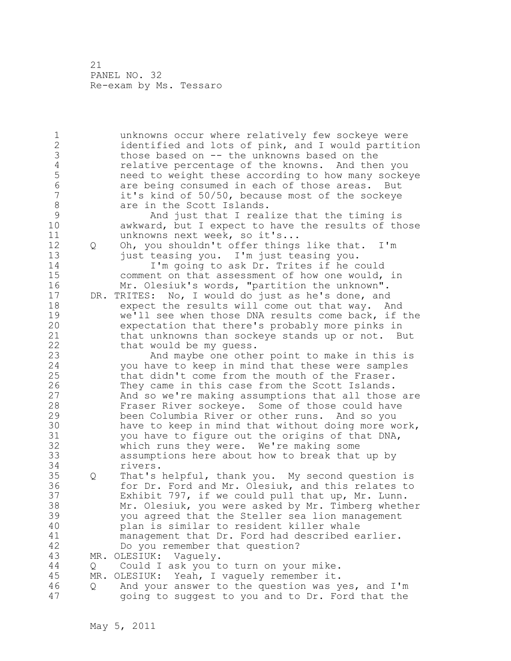1 unknowns occur where relatively few sockeye were 2 identified and lots of pink, and I would partition 3 those based on -- the unknowns based on the<br>4 selative percentage of the knowns. And the 4 relative percentage of the knowns. And then you<br>5 meed to weight these according to how many socke 5 need to weight these according to how many sockeye 6 are being consumed in each of those areas. But it's kind of 50/50, because most of the sockeye 8 are in the Scott Islands.<br>9 And just that I real 9 And just that I realize that the timing is<br>10 awkward, but I expect to have the results of th awkward, but I expect to have the results of those 11 unknowns next week, so it's... 12 Q Oh, you shouldn't offer things like that. I'm 13 just teasing you. I'm just teasing you. 14 I'm going to ask Dr. Trites if he could 15 comment on that assessment of how one would, in 16 Mr. Olesiuk's words, "partition the unknown". 17 DR. TRITES: No, I would do just as he's done, and 18 expect the results will come out that way. And 19 we'll see when those DNA results come back, if the<br>20 expectation that there's probably more pinks in expectation that there's probably more pinks in 21 that unknowns than sockeye stands up or not. But 22 that would be my quess. 23 And maybe one other point to make in this is 24 you have to keep in mind that these were samples 25 that didn't come from the mouth of the Fraser. 26 They came in this case from the Scott Islands.<br>27 And so we're making assumptions that all those And so we're making assumptions that all those are 28 Fraser River sockeye. Some of those could have 29 been Columbia River or other runs. And so you 30 have to keep in mind that without doing more work,<br>31 vou have to fiqure out the origins of that DNA, you have to figure out the origins of that DNA, 32 which runs they were. We're making some 33 assumptions here about how to break that up by 34 rivers. 35 Q That's helpful, thank you. My second question is 36 for Dr. Ford and Mr. Olesiuk, and this relates to 37 Exhibit 797, if we could pull that up, Mr. Lunn. 38 Mr. Olesiuk, you were asked by Mr. Timberg whether 39 you agreed that the Steller sea lion management 40 plan is similar to resident killer whale 41 management that Dr. Ford had described earlier.<br>42 Do you remember that question? Do you remember that question? 43 MR. OLESIUK: Vaguely. 44 Q Could I ask you to turn on your mike. 45 MR. OLESIUK: Yeah, I vaguely remember it. 46 Q And your answer to the question was yes, and I'm 47 going to suggest to you and to Dr. Ford that the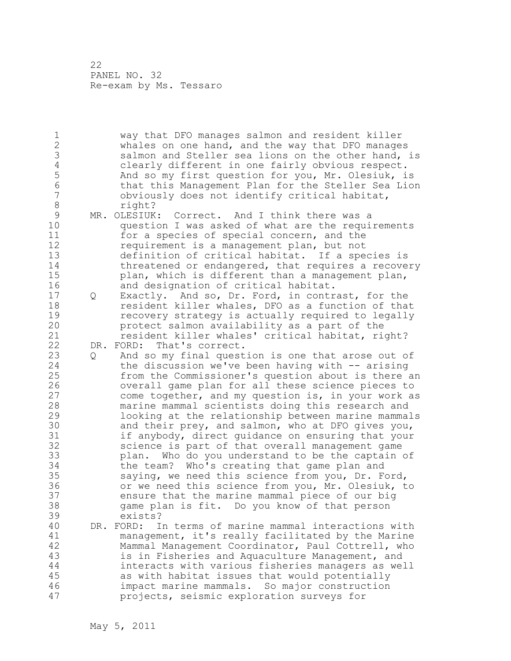1 way that DFO manages salmon and resident killer 2 whales on one hand, and the way that DFO manages 3 salmon and Steller sea lions on the other hand, is<br>4 clearly different in one fairly obvious respect. 4 clearly different in one fairly obvious respect.<br>5 And so my first question for you, Mr. Olesiuk, i 5 And so my first question for you, Mr. Olesiuk, is<br>6 that this Management Plan for the Steller Sea Lio: 6 that this Management Plan for the Steller Sea Lion obviously does not identify critical habitat, 8 right? 9 MR. OLESIUK: Correct. And I think there was a<br>10 denotion I was asked of what are the requing question I was asked of what are the requirements 11 for a species of special concern, and the 12 requirement is a management plan, but not 13 definition of critical habitat. If a species is 14 threatened or endangered, that requires a recovery 15 plan, which is different than a management plan, 16 and designation of critical habitat. 17 Q Exactly. And so, Dr. Ford, in contrast, for the 18 resident killer whales, DFO as a function of that 19 **19** recovery strategy is actually required to legally<br>20 **protect salmon availability as a part of the** protect salmon availability as a part of the 21 resident killer whales' critical habitat, right? 22 DR. FORD: That's correct. 23 Q And so my final question is one that arose out of 24 the discussion we've been having with -- arising 25 from the Commissioner's question about is there an 26 overall game plan for all these science pieces to<br>27 come together, and my question is, in your work a come together, and my question is, in your work as 28 marine mammal scientists doing this research and 29 looking at the relationship between marine mammals 30 and their prey, and salmon, who at DFO gives you,<br>31 if anybody, direct quidance on ensuring that your if anybody, direct guidance on ensuring that your 32 science is part of that overall management game 33 plan. Who do you understand to be the captain of 34 the team? Who's creating that game plan and 35 saying, we need this science from you, Dr. Ford, 36 or we need this science from you, Mr. Olesiuk, to 37 ensure that the marine mammal piece of our big 38 game plan is fit. Do you know of that person 39 exists? 40 DR. FORD: In terms of marine mammal interactions with 41 management, it's really facilitated by the Marine<br>42 Mammal Management Coordinator, Paul Cottrell, who Mammal Management Coordinator, Paul Cottrell, who 43 is in Fisheries and Aquaculture Management, and 44 interacts with various fisheries managers as well 45 as with habitat issues that would potentially 46 impact marine mammals. So major construction 47 projects, seismic exploration surveys for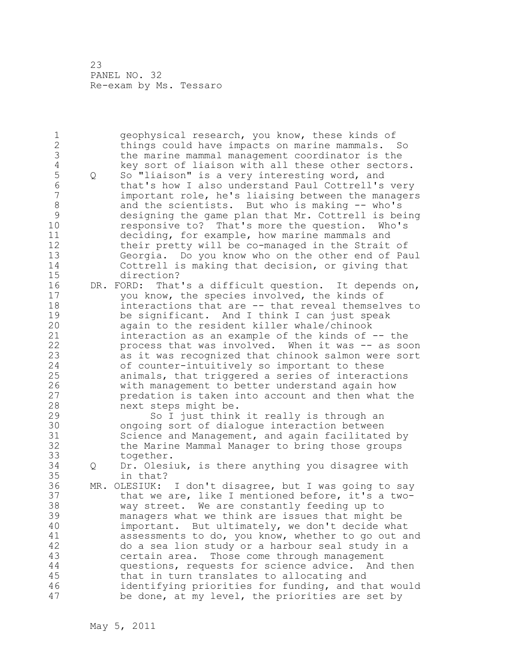| $\mathbf 1$<br>$\overline{c}$<br>3<br>$\overline{4}$<br>5<br>$\sqrt{6}$<br>$\overline{7}$<br>8<br>9 | Q | geophysical research, you know, these kinds of<br>things could have impacts on marine mammals. So<br>the marine mammal management coordinator is the<br>key sort of liaison with all these other sectors.<br>So "liaison" is a very interesting word, and<br>that's how I also understand Paul Cottrell's very<br>important role, he's liaising between the managers<br>and the scientists. But who is making -- who's<br>designing the game plan that Mr. Cottrell is being                                                                                                                                                                                                                          |
|-----------------------------------------------------------------------------------------------------|---|-------------------------------------------------------------------------------------------------------------------------------------------------------------------------------------------------------------------------------------------------------------------------------------------------------------------------------------------------------------------------------------------------------------------------------------------------------------------------------------------------------------------------------------------------------------------------------------------------------------------------------------------------------------------------------------------------------|
| 10<br>$11$<br>12<br>13<br>14<br>15<br>16<br>17                                                      |   | responsive to? That's more the question. Who's<br>deciding, for example, how marine mammals and<br>their pretty will be co-managed in the Strait of<br>Georgia. Do you know who on the other end of Paul<br>Cottrell is making that decision, or giving that<br>direction?<br>DR. FORD: That's a difficult question. It depends on,<br>you know, the species involved, the kinds of                                                                                                                                                                                                                                                                                                                   |
| 18<br>19<br>20<br>21<br>22<br>23<br>24<br>25<br>26                                                  |   | interactions that are -- that reveal themselves to<br>be significant. And I think I can just speak<br>again to the resident killer whale/chinook<br>interaction as an example of the kinds of -- the<br>process that was involved. When it was -- as soon<br>as it was recognized that chinook salmon were sort<br>of counter-intuitively so important to these<br>animals, that triggered a series of interactions<br>with management to better understand again how                                                                                                                                                                                                                                 |
| 27<br>28<br>29<br>30<br>31<br>32<br>33                                                              |   | predation is taken into account and then what the<br>next steps might be.<br>So I just think it really is through an<br>ongoing sort of dialogue interaction between<br>Science and Management, and again facilitated by<br>the Marine Mammal Manager to bring those groups<br>together.                                                                                                                                                                                                                                                                                                                                                                                                              |
| 34<br>35<br>36<br>37<br>38<br>39<br>40<br>41<br>42<br>43<br>44<br>45<br>46<br>47                    | Q | Dr. Olesiuk, is there anything you disagree with<br>in that?<br>MR. OLESIUK: I don't disagree, but I was going to say<br>that we are, like I mentioned before, it's a two-<br>way street. We are constantly feeding up to<br>managers what we think are issues that might be<br>important. But ultimately, we don't decide what<br>assessments to do, you know, whether to go out and<br>do a sea lion study or a harbour seal study in a<br>Those come through management<br>certain area.<br>questions, requests for science advice. And then<br>that in turn translates to allocating and<br>identifying priorities for funding, and that would<br>be done, at my level, the priorities are set by |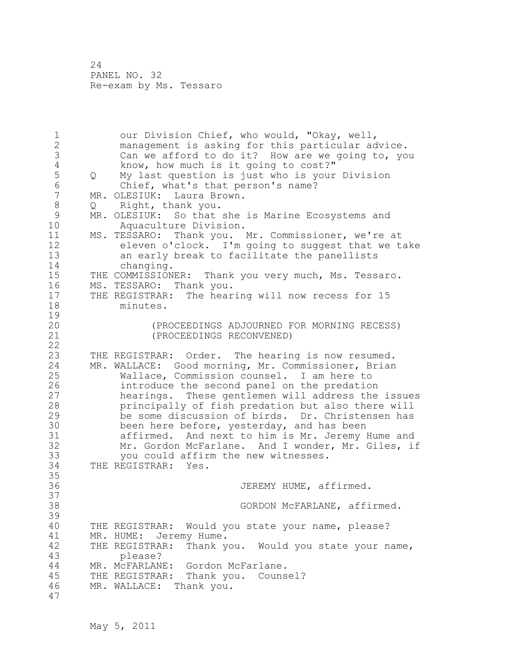1 our Division Chief, who would, "Okay, well, 2 management is asking for this particular advice. 3 Can we afford to do it? How are we going to, you<br>4 know, how much is it going to cost?" 4 know, how much is it going to cost?"<br>5 0 My last question is just who is your 5 Q My last question is just who is your Division<br>6 Chief, what's that person's name? 6 Chief, what's that person's name?<br>7 MR. OLESIUK: Laura Brown. MR. OLESIUK: Laura Brown. 8 Q Right, thank you.<br>9 MR. OLESIUK: So that 9 MR. OLESIUK: So that she is Marine Ecosystems and<br>10 Mauaculture Division. Aquaculture Division. 11 MS. TESSARO: Thank you. Mr. Commissioner, we're at 12 eleven o'clock. I'm going to suggest that we take 13 an early break to facilitate the panellists 14 changing. 15 THE COMMISSIONER: Thank you very much, Ms. Tessaro. 16 MS. TESSARO: Thank you. 17 THE REGISTRAR: The hearing will now recess for 15 18 minutes.  $\frac{19}{20}$ 20 (PROCEEDINGS ADJOURNED FOR MORNING RECESS) 21 (PROCEEDINGS RECONVENED) 22 23 THE REGISTRAR: Order. The hearing is now resumed.<br>24 MR. WALLACE: Good morning, Mr. Commissioner, Brian MR. WALLACE: Good morning, Mr. Commissioner, Brian 25 Wallace, Commission counsel. I am here to 26 introduce the second panel on the predation<br>27 hearings. These gentlemen will address the hearings. These gentlemen will address the issues 28 principally of fish predation but also there will 29 be some discussion of birds. Dr. Christensen has 30 been here before, yesterday, and has been<br>31 affirmed. And next to him is Mr. Jeremy affirmed. And next to him is Mr. Jeremy Hume and 32 Mr. Gordon McFarlane. And I wonder, Mr. Giles, if 33 you could affirm the new witnesses. 34 THE REGISTRAR: Yes. 35 36 JEREMY HUME, affirmed. 37 38 GORDON McFARLANE, affirmed. 39 40 THE REGISTRAR: Would you state your name, please? 41 MR. HUME: Jeremy Hume.<br>42 THE REGISTRAR: Thank v THE REGISTRAR: Thank you. Would you state your name, 43 please? 44 MR. McFARLANE: Gordon McFarlane. 45 THE REGISTRAR: Thank you. Counsel? 46 MR. WALLACE: Thank you. 47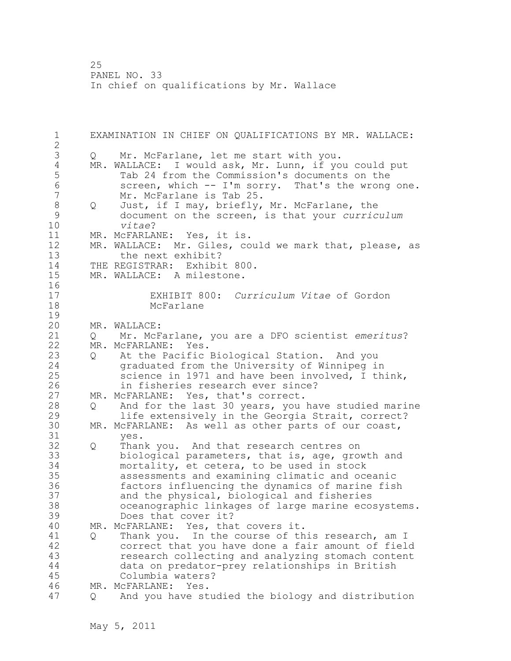25 PANEL NO. 33 In chief on qualifications by Mr. Wallace

1 EXAMINATION IN CHIEF ON QUALIFICATIONS BY MR. WALLACE: 2 3 Q Mr. McFarlane, let me start with you.<br>4 MR. WALLACE: I would ask, Mr. Lunn, if yo 4 MR. WALLACE: I would ask, Mr. Lunn, if you could put<br>5 Tab 24 from the Commission's documents on the 5 Tab 24 from the Commission's documents on the 6 screen, which -- I'm sorry. That's the wrong one.<br>7 Mr. McFarlane is Tab 25. Mr. McFarlane is Tab 25. 8 Q Just, if I may, briefly, Mr. McFarlane, the<br>9 document on the screen, is that your *curric* 9 document on the screen, is that your *curriculum*   $vitate?$ 11 MR. McFARLANE: Yes, it is. 12 MR. WALLACE: Mr. Giles, could we mark that, please, as 13 the next exhibit? 14 THE REGISTRAR: Exhibit 800. 15 MR. WALLACE: A milestone. 16 17 EXHIBIT 800: *Curriculum Vitae* of Gordon 18 McFarlane  $\frac{19}{20}$ MR. WALLACE: 21 Q Mr. McFarlane, you are a DFO scientist *emeritus*? 22 MR. McFARLANE: Yes. 23 Q At the Pacific Biological Station. And you<br>24 araduated from the University of Winnipeg in graduated from the University of Winnipeg in 25 science in 1971 and have been involved, I think, 26 in fisheries research ever since?<br>27 MR. McFARLANE: Yes, that's correct. MR. McFARLANE: Yes, that's correct. 28 Q And for the last 30 years, you have studied marine 29 life extensively in the Georgia Strait, correct? 30 MR. McFARLANE: As well as other parts of our coast, 31 yes.<br>32 O Than 32 Q Thank you. And that research centres on 33 biological parameters, that is, age, growth and 34 mortality, et cetera, to be used in stock 35 assessments and examining climatic and oceanic 36 factors influencing the dynamics of marine fish 37 and the physical, biological and fisheries 38 oceanographic linkages of large marine ecosystems. 39 Does that cover it? 40 MR. McFARLANE: Yes, that covers it. 41 Q Thank you. In the course of this research, am I<br>42 Correct that you have done a fair amount of fiel correct that you have done a fair amount of field 43 research collecting and analyzing stomach content 44 data on predator-prey relationships in British 45 Columbia waters? 46 MR. McFARLANE: Yes. 47 Q And you have studied the biology and distribution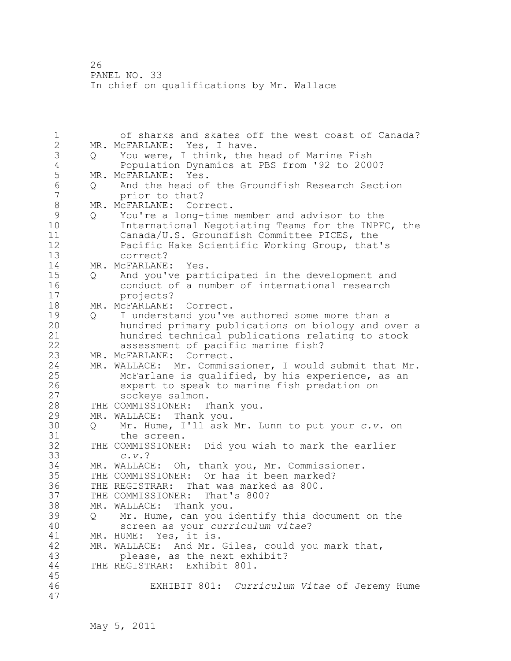26 PANEL NO. 33 In chief on qualifications by Mr. Wallace

1 of sharks and skates off the west coast of Canada? 2 MR. McFARLANE: Yes, I have. 3 Q You were, I think, the head of Marine Fish 4 Population Dynamics at PBS from '92 to 2000? 5 MR. McFARLANE: Yes.<br>6 0 And the head of 6 Q And the head of the Groundfish Research Section prior to that? 8 MR. McFARLANE: Correct.<br>9 0 You're a long-time: 9 Q You're a long-time member and advisor to the<br>10 10 International Negotiating Teams for the INPF International Negotiating Teams for the INPFC, the 11 Canada/U.S. Groundfish Committee PICES, the 12 Pacific Hake Scientific Working Group, that's 13 correct? 14 MR. McFARLANE: Yes. 15 Q And you've participated in the development and 16 conduct of a number of international research 17 projects? 18 MR. McFARLANE: Correct. 19 Q I understand you've authored some more than a<br>20 hundred primary publications on biology and o hundred primary publications on biology and over a 21 hundred technical publications relating to stock 22 assessment of pacific marine fish? 23 MR. McFARLANE: Correct. 24 MR. WALLACE: Mr. Commissioner, I would submit that Mr. 25 McFarlane is qualified, by his experience, as an 26 expert to speak to marine fish predation on<br>27 sockeye salmon. sockeye salmon. 28 THE COMMISSIONER: Thank you. 29 MR. WALLACE: Thank you. 30 Q Mr. Hume, I'll ask Mr. Lunn to put your *c.v.* on 31 the screen.<br>32 THE COMMISSIONER THE COMMISSIONER: Did you wish to mark the earlier 33 *c.v.*? 34 MR. WALLACE: Oh, thank you, Mr. Commissioner. 35 THE COMMISSIONER: Or has it been marked? 36 THE REGISTRAR: That was marked as 800. 37 THE COMMISSIONER: That's 800? 38 MR. WALLACE: Thank you. 39 Q Mr. Hume, can you identify this document on the 40 screen as your *curriculum vitae*? 41 MR. HUME: Yes, it is.<br>42 MR. WALLACE: And Mr. 42 MR. WALLACE: And Mr. Giles, could you mark that,<br>43 blease, as the next exhibit? please, as the next exhibit? 44 THE REGISTRAR: Exhibit 801. 45 46 EXHIBIT 801: *Curriculum Vitae* of Jeremy Hume 47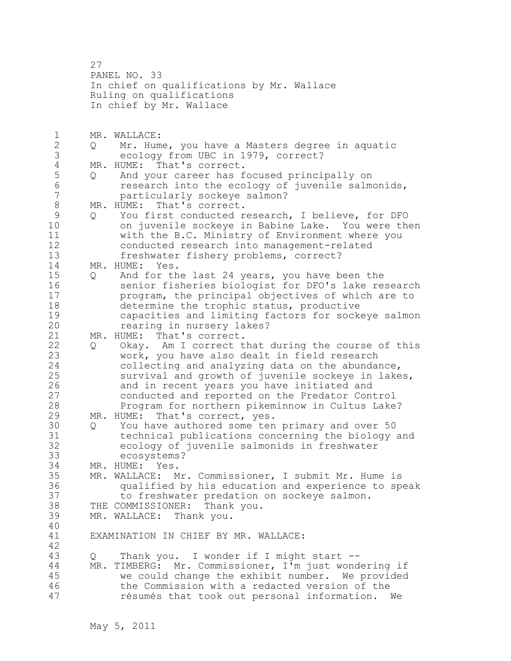27 PANEL NO. 33 In chief on qualifications by Mr. Wallace Ruling on qualifications In chief by Mr. Wallace 1 MR. WALLACE: 2 Q Mr. Hume, you have a Masters degree in aquatic 3 ecology from UBC in 1979, correct?<br>4 MR. HUME: That's correct. 4 MR. HUME: That's correct.<br>5 Q And your career has f 5 Q And your career has focused principally on 6 research into the ecology of juvenile salmonids,<br>7 particularly sockeve salmon? particularly sockeye salmon? 8 MR. HUME: That's correct.<br>9 0 You first conducted r 9 Q You first conducted research, I believe, for DFO<br>10 on juvenile sockeve in Babine Lake. You were the on juvenile sockeye in Babine Lake. You were then 11 with the B.C. Ministry of Environment where you 12 conducted research into management-related 13 freshwater fishery problems, correct? 14 MR. HUME: Yes. 15 Q And for the last 24 years, you have been the 16 senior fisheries biologist for DFO's lake research 17 program, the principal objectives of which are to 18 determine the trophic status, productive 19 capacities and limiting factors for sockeye salmon rearing in nursery lakes? 21 MR. HUME: That's correct. 22 Q Okay. Am I correct that during the course of this 23 work, you have also dealt in field research 24 collecting and analyzing data on the abundance, 25 survival and growth of juvenile sockeye in lakes, 26 and in recent years you have initiated and<br>27 conducted and reported on the Predator Con conducted and reported on the Predator Control 28 Program for northern pikeminnow in Cultus Lake? 29 MR. HUME: That's correct, yes. 30 Q You have authored some ten primary and over 50 technical publications concerning the biology and 32 ecology of juvenile salmonids in freshwater 33 ecosystems? 34 MR. HUME: Yes. 35 MR. WALLACE: Mr. Commissioner, I submit Mr. Hume is 36 qualified by his education and experience to speak 37 to freshwater predation on sockeye salmon. 38 THE COMMISSIONER: Thank you. 39 MR. WALLACE: Thank you. 40 41 EXAMINATION IN CHIEF BY MR. WALLACE: 42 43 Q Thank you. I wonder if I might start -- 44 MR. TIMBERG: Mr. Commissioner, I'm just wondering if 45 we could change the exhibit number. We provided 46 the Commission with a redacted version of the 47 résumés that took out personal information. We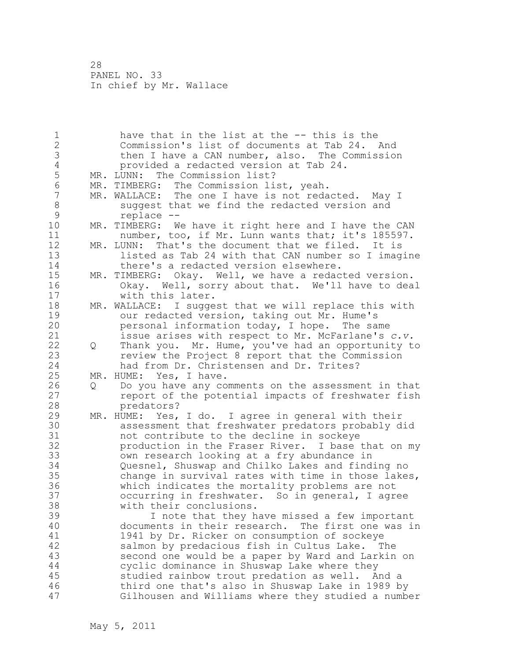28 PANEL NO. 33 In chief by Mr. Wallace

1 have that in the list at the -- this is the 2 Commission's list of documents at Tab 24. And 3 then I have a CAN number, also. The Commission 4 provided a redacted version at Tab 24.<br>5 MR. LUNN: The Commission list? 5 MR. LUNN: The Commission list?<br>6 MR. TIMBERG: The Commission li 6 MR. TIMBERG: The Commission list, yeah.<br>7 MR. WALLACE: The one I have is not reda MR. WALLACE: The one I have is not redacted. May I 8 suggest that we find the redacted version and<br>9 replace --9 replace -- MR. TIMBERG: We have it right here and I have the CAN 11 number, too, if Mr. Lunn wants that; it's 185597. 12 MR. LUNN: That's the document that we filed. It is 13 listed as Tab 24 with that CAN number so I imagine 14 there's a redacted version elsewhere. 15 MR. TIMBERG: Okay. Well, we have a redacted version. 16 Okay. Well, sorry about that. We'll have to deal 17 with this later. 18 MR. WALLACE: I suggest that we will replace this with 19 our redacted version, taking out Mr. Hume's<br>20 opersonal information today, I hope. The sa personal information today, I hope. The same 21 issue arises with respect to Mr. McFarlane's *c.v.* 22 Q Thank you. Mr. Hume, you've had an opportunity to 23 review the Project 8 report that the Commission 24 had from Dr. Christensen and Dr. Trites? 25 MR. HUME: Yes, I have. 26 Q Do you have any comments on the assessment in that<br>27 seport of the potential impacts of freshwater fish report of the potential impacts of freshwater fish 28 predators? 29 MR. HUME: Yes, I do. I agree in general with their 30 assessment that freshwater predators probably did not contribute to the decline in sockeye 32 production in the Fraser River. I base that on my 33 own research looking at a fry abundance in 34 Quesnel, Shuswap and Chilko Lakes and finding no 35 change in survival rates with time in those lakes, 36 which indicates the mortality problems are not 37 occurring in freshwater. So in general, I agree 38 with their conclusions. 39 I note that they have missed a few important 40 documents in their research. The first one was in 41 1941 by Dr. Ricker on consumption of sockeye<br>42 Salmon by predacious fish in Cultus Lake. T salmon by predacious fish in Cultus Lake. The 43 second one would be a paper by Ward and Larkin on 44 cyclic dominance in Shuswap Lake where they 45 studied rainbow trout predation as well. And a 46 third one that's also in Shuswap Lake in 1989 by 47 Gilhousen and Williams where they studied a number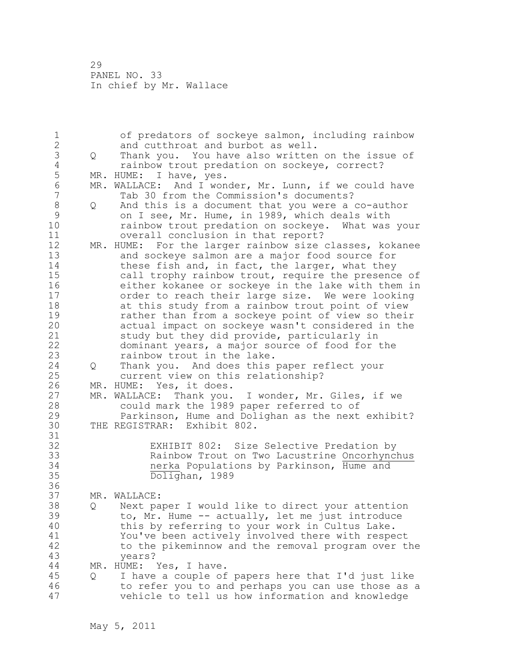29 PANEL NO. 33 In chief by Mr. Wallace

1 of predators of sockeye salmon, including rainbow 2 and cutthroat and burbot as well. 3 Q Thank you. You have also written on the issue of 4 rainbow trout predation on sockeye, correct?<br>5 MR. HUME: I have, yes. 5 MR. HUME: I have, yes.<br>6 MR. WALLACE: And I won 6 MR. WALLACE: And I wonder, Mr. Lunn, if we could have<br>7 Tab 30 from the Commission's documents? Tab 30 from the Commission's documents? 8 Q And this is a document that you were a co-author<br>9 on I see, Mr. Hume, in 1989, which deals with 9 on I see, Mr. Hume, in 1989, which deals with<br>10 rainbow trout predation on sockeve. What was rainbow trout predation on sockeye. What was your 11 overall conclusion in that report? 12 MR. HUME: For the larger rainbow size classes, kokanee 13 and sockeye salmon are a major food source for 14 these fish and, in fact, the larger, what they 15 call trophy rainbow trout, require the presence of 16 either kokanee or sockeye in the lake with them in 17 order to reach their large size. We were looking 18 at this study from a rainbow trout point of view 19 19 rather than from a sockeye point of view so their<br>20 actual impact on sockeye wasn't considered in the actual impact on sockeye wasn't considered in the 21 study but they did provide, particularly in 22 dominant years, a major source of food for the 23 rainbow trout in the lake. 24 Q Thank you. And does this paper reflect your 25 current view on this relationship? 26 MR. HUME: Yes, it does.<br>27 MR. WALLACE: Thank you. 27 MR. WALLACE: Thank you. I wonder, Mr. Giles, if we<br>28 a could mark the 1989 paper referred to of could mark the 1989 paper referred to of 29 Parkinson, Hume and Dolighan as the next exhibit? 30 THE REGISTRAR: Exhibit 802. 31<br>32 EXHIBIT 802: Size Selective Predation by 33 Rainbow Trout on Two Lacustrine Oncorhynchus 34 nerka Populations by Parkinson, Hume and 35 Dolighan, 1989 36 37 MR. WALLACE: 38 Q Next paper I would like to direct your attention 39 to, Mr. Hume -- actually, let me just introduce 40 this by referring to your work in Cultus Lake. 41 You've been actively involved there with respect<br>42 to the pikeminnow and the removal program over the to the pikeminnow and the removal program over the 43 years? 44 MR. HUME: Yes, I have. 45 Q I have a couple of papers here that I'd just like 46 to refer you to and perhaps you can use those as a 47 vehicle to tell us how information and knowledge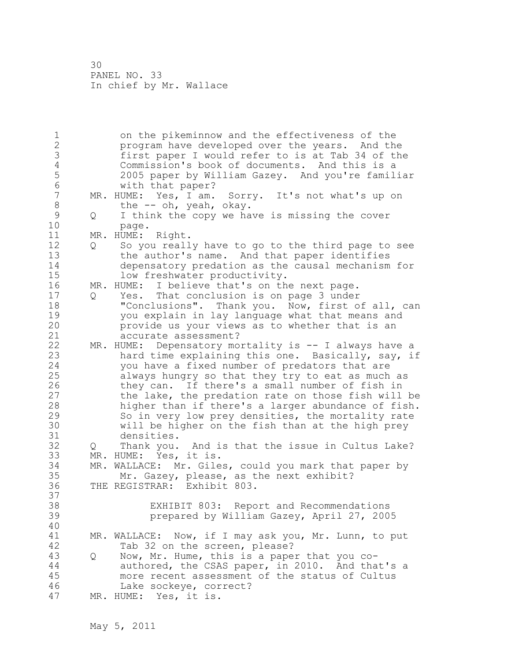1 on the pikeminnow and the effectiveness of the 2 program have developed over the years. And the 3 first paper I would refer to is at Tab 34 of the 4 Commission's book of documents. And this is a<br>5 2005 paper by William Gazey. And you're famil 5 2005 paper by William Gazey. And you're familiar 6 with that paper? MR. HUME: Yes, I am. Sorry. It's not what's up on 8 the -- oh, yeah, okay. 9 Q I think the copy we have is missing the cover<br>10 bage. page. 11 MR. HUME: Right. 12 Q So you really have to go to the third page to see 13 the author's name. And that paper identifies 14 depensatory predation as the causal mechanism for 15 low freshwater productivity. 16 MR. HUME: I believe that's on the next page. 17 Q Yes. That conclusion is on page 3 under 18 "Conclusions". Thank you. Now, first of all, can 19 19 you explain in lay language what that means and<br>20 19 provide us your views as to whether that is an provide us your views as to whether that is an 21 accurate assessment? 22 MR. HUME: Depensatory mortality is -- I always have a 23 hard time explaining this one. Basically, say, if 24 you have a fixed number of predators that are 25 always hungry so that they try to eat as much as 26 they can. If there's a small number of fish in<br>27 the lake, the predation rate on those fish will the lake, the predation rate on those fish will be 28 higher than if there's a larger abundance of fish. 29 So in very low prey densities, the mortality rate 30 will be higher on the fish than at the high prey densities. 32 Q Thank you. And is that the issue in Cultus Lake? 33 MR. HUME: Yes, it is. 34 MR. WALLACE: Mr. Giles, could you mark that paper by 35 Mr. Gazey, please, as the next exhibit? 36 THE REGISTRAR: Exhibit 803. 37 38 EXHIBIT 803: Report and Recommendations 39 prepared by William Gazey, April 27, 2005 40 41 MR. WALLACE: Now, if I may ask you, Mr. Lunn, to put 42 Tab 32 on the screen, please? Tab 32 on the screen, please? 43 Q Now, Mr. Hume, this is a paper that you co-44 authored, the CSAS paper, in 2010. And that's a 45 more recent assessment of the status of Cultus 46 Lake sockeye, correct? 47 MR. HUME: Yes, it is.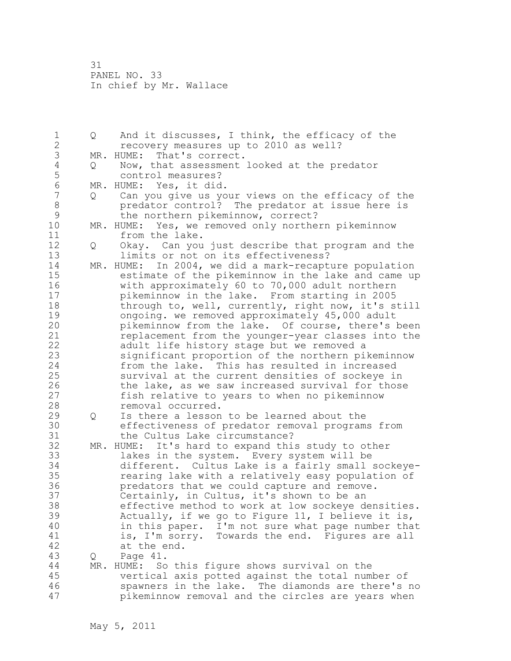1 Q And it discusses, I think, the efficacy of the 2 recovery measures up to 2010 as well? 3 MR. HUME: That's correct.<br>4 Q Now, that assessment 4 Q Now, that assessment looked at the predator 5 control measures?<br>6 MR. HUME: Yes, it did 6 MR. HUME: Yes, it did. 7 Q Can you give us your views on the efficacy of the 8 predator control? The predator at issue here is<br>9 the northern pikeminnow, correct? 9 the northern pikeminnow, correct?<br>10 MR. HUME: Yes, we removed only northe MR. HUME: Yes, we removed only northern pikeminnow 11 from the lake. 12 Q Okay. Can you just describe that program and the 13 limits or not on its effectiveness? 14 MR. HUME: In 2004, we did a mark-recapture population 15 estimate of the pikeminnow in the lake and came up 16 with approximately 60 to 70,000 adult northern 17 pikeminnow in the lake. From starting in 2005 18 through to, well, currently, right now, it's still 19 ongoing. we removed approximately 45,000 adult<br>20 pikeminnow from the lake. Of course, there's pikeminnow from the lake. Of course, there's been 21 replacement from the younger-year classes into the 22 adult life history stage but we removed a 23 significant proportion of the northern pikeminnow 24 from the lake. This has resulted in increased 25 survival at the current densities of sockeye in 26 the lake, as we saw increased survival for those<br>27 fish relative to years to when no pikeminnow fish relative to years to when no pikeminnow 28 removal occurred. 29 Q Is there a lesson to be learned about the 30 effectiveness of predator removal programs from the Cultus Lake circumstance? 32 MR. HUME: It's hard to expand this study to other 33 lakes in the system. Every system will be 34 different. Cultus Lake is a fairly small sockeye-35 rearing lake with a relatively easy population of 36 predators that we could capture and remove. 37 Certainly, in Cultus, it's shown to be an 38 effective method to work at low sockeye densities. 39 Actually, if we go to Figure 11, I believe it is, 40 in this paper. I'm not sure what page number that 41 is, I'm sorry. Towards the end. Figures are all<br>42 at the end. at the end. 43 Q Page 41. 44 MR. HUME: So this figure shows survival on the 45 vertical axis potted against the total number of 46 spawners in the lake. The diamonds are there's no 47 pikeminnow removal and the circles are years when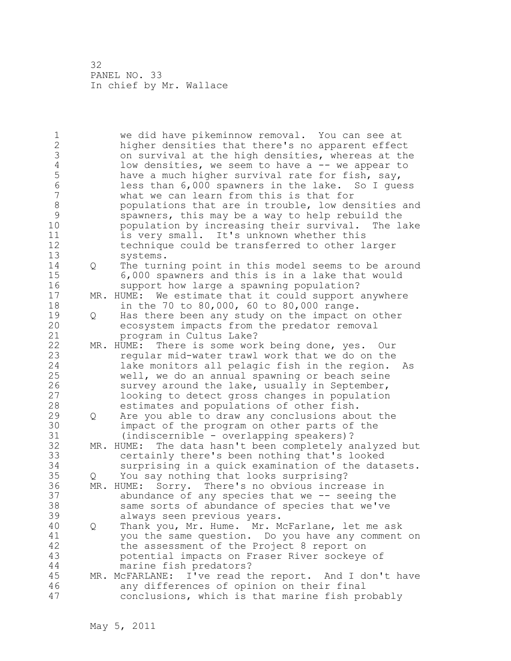1 we did have pikeminnow removal. You can see at 2 higher densities that there's no apparent effect 3 on survival at the high densities, whereas at the<br>4 low densities, we seem to have a -- we appear to 4 low densities, we seem to have a -- we appear to<br>5 have a much higher survival rate for fish, say, 5 have a much higher survival rate for fish, say,<br>6 1 less than 6,000 spawners in the lake. So I que 6 less than 6,000 spawners in the lake. So I guess what we can learn from this is that for 8 populations that are in trouble, low densities and<br>9 spawners, this may be a way to help rebuild the 9 spawners, this may be a way to help rebuild the population by increasing their survival. The lake 11 is very small. It's unknown whether this 12 technique could be transferred to other larger 13 systems. 14 Q The turning point in this model seems to be around 15 6,000 spawners and this is in a lake that would 16 support how large a spawning population? 17 MR. HUME: We estimate that it could support anywhere 18 in the 70 to 80,000, 60 to 80,000 range. 19 Q Has there been any study on the impact on other<br>20 ecosystem impacts from the predator removal ecosystem impacts from the predator removal 21 program in Cultus Lake? 22 MR. HUME: There is some work being done, yes. Our 23 regular mid-water trawl work that we do on the 24 lake monitors all pelagic fish in the region. As 25 well, we do an annual spawning or beach seine 26 survey around the lake, usually in September,<br>27 and looking to detect gross changes in population looking to detect gross changes in population 28 estimates and populations of other fish. 29 Q Are you able to draw any conclusions about the 30 impact of the program on other parts of the<br>31 (indiscernible - overlapping speakers)? (indiscernible - overlapping speakers)? 32 MR. HUME: The data hasn't been completely analyzed but 33 certainly there's been nothing that's looked 34 surprising in a quick examination of the datasets. 35 Q You say nothing that looks surprising? 36 MR. HUME: Sorry. There's no obvious increase in 37 abundance of any species that we -- seeing the 38 same sorts of abundance of species that we've 39 always seen previous years. 40 Q Thank you, Mr. Hume. Mr. McFarlane, let me ask 41 you the same question. Do you have any comment on<br>42 the assessment of the Project 8 report on the assessment of the Project 8 report on 43 potential impacts on Fraser River sockeye of 44 marine fish predators? 45 MR. McFARLANE: I've read the report. And I don't have 46 any differences of opinion on their final 47 conclusions, which is that marine fish probably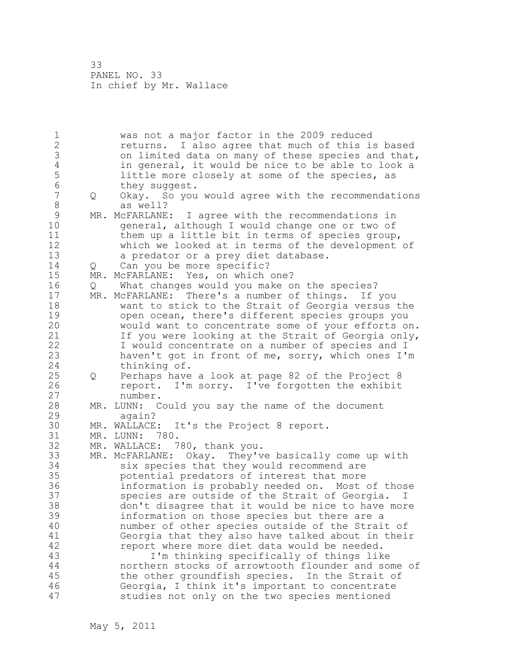1 was not a major factor in the 2009 reduced 2 returns. I also agree that much of this is based 3 on limited data on many of these species and that,<br>4 in general, it would be nice to be able to look a 4 in general, it would be nice to be able to look a<br>5 little more closely at some of the species, as 5 little more closely at some of the species, as<br>6 they suggest. 6 they suggest.<br>7 0 Okav. So vou 7 Q Okay. So you would agree with the recommendations 8 as well? 9 MR. McFARLANE: I agree with the recommendations in<br>10 (oneral, although I would change one or two of general, although I would change one or two of 11 them up a little bit in terms of species group, 12 which we looked at in terms of the development of 13 a predator or a prey diet database. 14 Q Can you be more specific? 15 MR. McFARLANE: Yes, on which one? 16 Q What changes would you make on the species? 17 MR. McFARLANE: There's a number of things. If you 18 want to stick to the Strait of Georgia versus the 19 open ocean, there's different species groups you<br>20 would want to concentrate some of your efforts or would want to concentrate some of your efforts on. 21 If you were looking at the Strait of Georgia only, 22 I would concentrate on a number of species and I 23 haven't got in front of me, sorry, which ones I'm 24 thinking of. 25 Q Perhaps have a look at page 82 of the Project 8 26 report. I'm sorry. I've forgotten the exhibit 27 27 number. 28 MR. LUNN: Could you say the name of the document 29 again? 30 MR. WALLACE: It's the Project 8 report. MR. LUNN: 780. 32 MR. WALLACE: 780, thank you. 33 MR. McFARLANE: Okay. They've basically come up with 34 six species that they would recommend are 35 potential predators of interest that more 36 information is probably needed on. Most of those 37 species are outside of the Strait of Georgia. I 38 don't disagree that it would be nice to have more 39 information on those species but there are a 40 number of other species outside of the Strait of 41 Georgia that they also have talked about in their<br>42 Feport where more diet data would be needed. report where more diet data would be needed. 43 I'm thinking specifically of things like 44 northern stocks of arrowtooth flounder and some of 45 the other groundfish species. In the Strait of 46 Georgia, I think it's important to concentrate 47 studies not only on the two species mentioned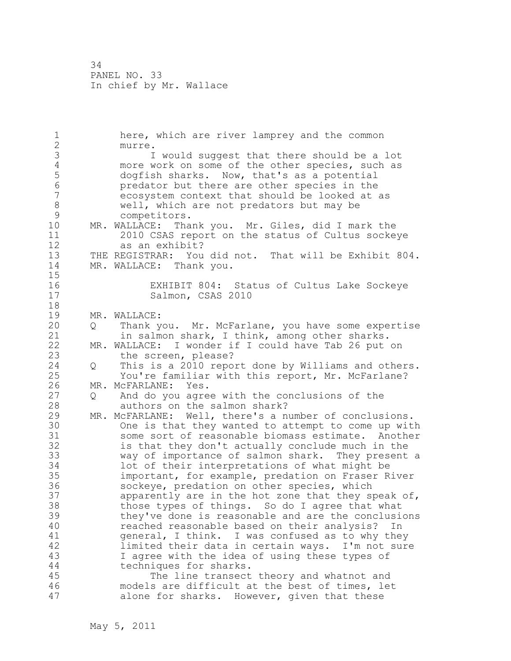1 here, which are river lamprey and the common 2 murre. 3 I would suggest that there should be a lot<br>4 more work on some of the other species, such as 4 more work on some of the other species, such as<br>5 dogfish sharks. Now, that's as a potential 5 dogfish sharks. Now, that's as a potential 6 predator but there are other species in the ecosystem context that should be looked at as 8 well, which are not predators but may be<br>9 competitors. 9 competitors.<br>10 MR. WALLACE: Tha MR. WALLACE: Thank you. Mr. Giles, did I mark the 11 2010 CSAS report on the status of Cultus sockeye 12 as an exhibit? 13 THE REGISTRAR: You did not. That will be Exhibit 804. 14 MR. WALLACE: Thank you.  $\frac{15}{16}$ 16 EXHIBIT 804: Status of Cultus Lake Sockeye<br>17 Salmon, CSAS 2010 Salmon, CSAS 2010 18 19 MR. WALLACE:<br>20 0 Thank v 20 Q Thank you. Mr. McFarlane, you have some expertise 21 in salmon shark, I think, among other sharks. 22 MR. WALLACE: I wonder if I could have Tab 26 put on 23 the screen, please? 24 Q This is a 2010 report done by Williams and others. 25 You're familiar with this report, Mr. McFarlane? 26 MR. McFARLANE: Yes.<br>27 0 And do you agre And do you agree with the conclusions of the 28 authors on the salmon shark? 29 MR. McFARLANE: Well, there's a number of conclusions. 30 One is that they wanted to attempt to come up with<br>31 Some sort of reasonable biomass estimate. Another 31 some sort of reasonable biomass estimate. Another<br>32 is that they don't actually conclude much in the is that they don't actually conclude much in the 33 way of importance of salmon shark. They present a 34 lot of their interpretations of what might be 35 important, for example, predation on Fraser River 36 sockeye, predation on other species, which 37 apparently are in the hot zone that they speak of, 38 those types of things. So do I agree that what 39 they've done is reasonable and are the conclusions 40 reached reasonable based on their analysis? In 41 general, I think. I was confused as to why they<br>42 1imited their data in certain ways. I'm not sure limited their data in certain ways. I'm not sure 43 I agree with the idea of using these types of 44 techniques for sharks. 45 The line transect theory and whatnot and 46 models are difficult at the best of times, let 47 alone for sharks. However, given that these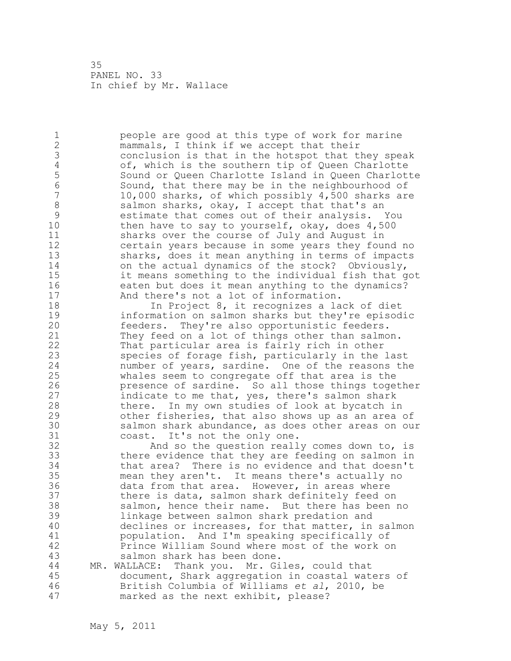1 people are good at this type of work for marine 2 mammals, I think if we accept that their 3 conclusion is that in the hotspot that they speak<br>4 of, which is the southern tip of Queen Charlotte 4 of, which is the southern tip of Queen Charlotte 5 Sound or Queen Charlotte Island in Queen Charlotte<br>6 Sound, that there may be in the neighbourhood of 6 Sound, that there may be in the neighbourhood of 10,000 sharks, of which possibly 4,500 sharks are 8 salmon sharks, okay, I accept that that's an<br>9 sestimate that comes out of their analysis. 9 estimate that comes out of their analysis. You<br>10 then have to say to yourself, okay, does 4,500 then have to say to yourself, okay, does  $4,500$ 11 sharks over the course of July and August in 12 certain years because in some years they found no 13 sharks, does it mean anything in terms of impacts 14 on the actual dynamics of the stock? Obviously, 15 it means something to the individual fish that got 16 eaten but does it mean anything to the dynamics? 17 And there's not a lot of information. 18 **In Project 8, it recognizes a lack of diet** 19 information on salmon sharks but they're episodic<br>20 feeders. They're also opportunistic feeders. feeders. They're also opportunistic feeders. 21 They feed on a lot of things other than salmon. 22 That particular area is fairly rich in other 23 species of forage fish, particularly in the last 24 number of years, sardine. One of the reasons the 25 whales seem to congregate off that area is the 26 presence of sardine. So all those things together<br>27 indicate to me that, yes, there's salmon shark indicate to me that, yes, there's salmon shark 28 there. In my own studies of look at bycatch in 29 other fisheries, that also shows up as an area of 30 salmon shark abundance, as does other areas on our<br>31 coast. It's not the only one. 31 coast. It's not the only one.<br>32 And so the question reall And so the question really comes down to, is 33 there evidence that they are feeding on salmon in 34 that area? There is no evidence and that doesn't 35 mean they aren't. It means there's actually no 36 data from that area. However, in areas where 37 there is data, salmon shark definitely feed on 38 salmon, hence their name. But there has been no 39 linkage between salmon shark predation and 40 declines or increases, for that matter, in salmon 41 population. And I'm speaking specifically of<br>42 Prince William Sound where most of the work o Prince William Sound where most of the work on 43 salmon shark has been done. 44 MR. WALLACE: Thank you. Mr. Giles, could that 45 document, Shark aggregation in coastal waters of 46 British Columbia of Williams *et al*, 2010, be 47 marked as the next exhibit, please?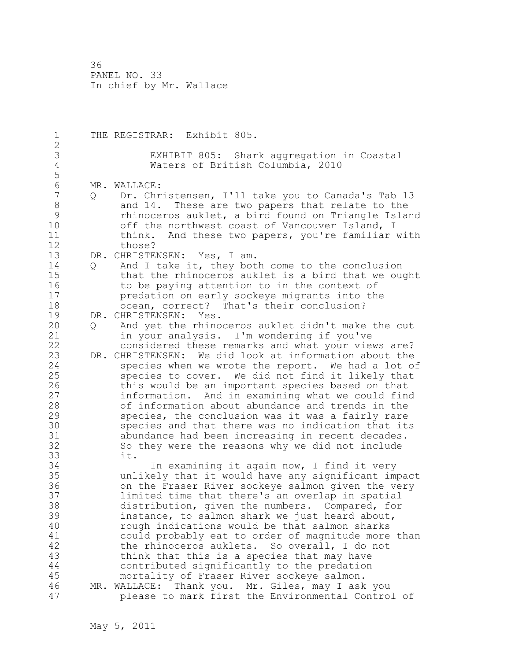1 THE REGISTRAR: Exhibit 805. 2 3 EXHIBIT 805: Shark aggregation in Coastal Waters of British Columbia, 2010 5 6 MR. WALLACE:<br>7 0 Dr. Chr 7 Q Dr. Christensen, I'll take you to Canada's Tab 13 8 and 14. These are two papers that relate to the 9 Thinoceros auklet, a bird found on Triangle Island<br>10 off the northwest coast of Vancouver Island, I off the northwest coast of Vancouver Island, I 11 think. And these two papers, you're familiar with 12 those? 13 DR. CHRISTENSEN: Yes, I am. 14 Q And I take it, they both come to the conclusion 15 that the rhinoceros auklet is a bird that we ought 16 to be paying attention to in the context of 17 predation on early sockeye migrants into the 18 ocean, correct? That's their conclusion? 19 DR. CHRISTENSEN: Yes.<br>20 0 And yet the rhino 20 Q And yet the rhinoceros auklet didn't make the cut 21 in your analysis. I'm wondering if you've 22 considered these remarks and what your views are? 23 DR. CHRISTENSEN: We did look at information about the 24 species when we wrote the report. We had a lot of 25 species to cover. We did not find it likely that 26 this would be an important species based on that<br>27 information. And in examining what we could fine information. And in examining what we could find 28 of information about abundance and trends in the 29 species, the conclusion was it was a fairly rare 30 species and that there was no indication that its<br>31 abundance had been increasing in recent decades. 31 abundance had been increasing in recent decades.<br>32 So they were the reasons why we did not include So they were the reasons why we did not include 33 it. 34 In examining it again now, I find it very 35 unlikely that it would have any significant impact 36 on the Fraser River sockeye salmon given the very 37 limited time that there's an overlap in spatial 38 distribution, given the numbers. Compared, for 39 instance, to salmon shark we just heard about, 40 rough indications would be that salmon sharks 41 could probably eat to order of magnitude more than<br>42 the rhinoceros auklets. So overall, I do not the rhinoceros auklets. So overall, I do not 43 think that this is a species that may have 44 contributed significantly to the predation 45 mortality of Fraser River sockeye salmon. 46 MR. WALLACE: Thank you. Mr. Giles, may I ask you 47 please to mark first the Environmental Control of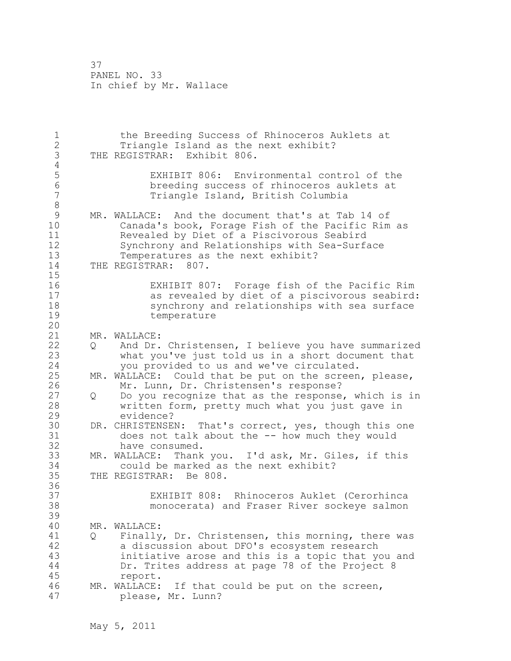1 the Breeding Success of Rhinoceros Auklets at 2 Triangle Island as the next exhibit? 3 THE REGISTRAR: Exhibit 806.  $\frac{4}{5}$ 5 EXHIBIT 806: Environmental control of the 6 breeding success of rhinoceros auklets at 7 Triangle Island, British Columbia 8<br>9 9 MR. WALLACE: And the document that's at Tab 14 of<br>10 Canada's book, Forage Fish of the Pacific Rim Canada's book, Forage Fish of the Pacific Rim as 11 Revealed by Diet of a Piscivorous Seabird 12 Synchrony and Relationships with Sea-Surface 13 Temperatures as the next exhibit? 14 THE REGISTRAR: 807. 15 16 EXHIBIT 807: Forage fish of the Pacific Rim 17 as revealed by diet of a piscivorous seabird: 18 synchrony and relationships with sea surface 19 temperature 20 21 MR. WALLACE: 22 Q And Dr. Christensen, I believe you have summarized 23 what you've just told us in a short document that 24 you provided to us and we've circulated. 25 MR. WALLACE: Could that be put on the screen, please, 26 Mr. Lunn, Dr. Christensen's response?<br>27 0 Do you recognize that as the response 27 Q Do you recognize that as the response, which is in 28 written form, pretty much what you just gave in 29 evidence? 30 DR. CHRISTENSEN: That's correct, yes, though this one<br>31 does not talk about the -- how much they would 31 does not talk about the -- how much they would have consumed. 33 MR. WALLACE: Thank you. I'd ask, Mr. Giles, if this 34 could be marked as the next exhibit? 35 THE REGISTRAR: Be 808. 36 37 EXHIBIT 808: Rhinoceros Auklet (Cerorhinca 38 monocerata) and Fraser River sockeye salmon 39 40 MR. WALLACE: 41 Q Finally, Dr. Christensen, this morning, there was<br>42 a discussion about DFO's ecosystem research a discussion about DFO's ecosystem research 43 initiative arose and this is a topic that you and 44 Dr. Trites address at page 78 of the Project 8 45 report. 46 MR. WALLACE: If that could be put on the screen, 47 please, Mr. Lunn?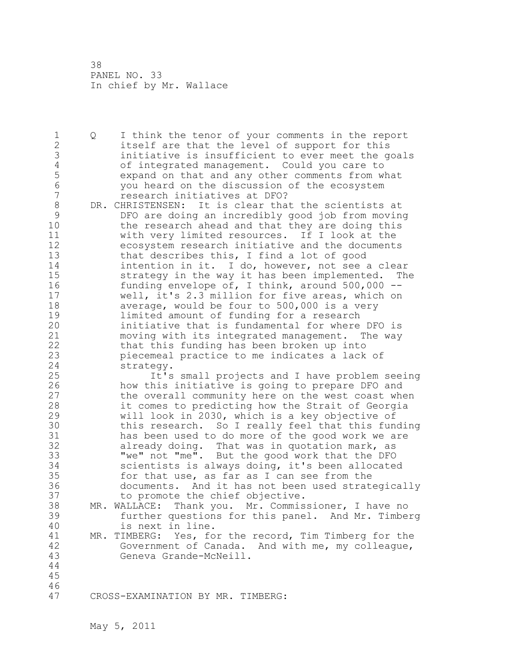1 Q I think the tenor of your comments in the report 2 itself are that the level of support for this 3 initiative is insufficient to ever meet the goals<br>4 of integrated management. Could you care to 4 of integrated management. Could you care to<br>5 expand on that and any other comments from w 5 expand on that and any other comments from what 6 you heard on the discussion of the ecosystem 7 research initiatives at DFO? 8 DR. CHRISTENSEN: It is clear that the scientists at 9 DFO are doing an incredibly good job from movin 9 DFO are doing an incredibly good job from moving the research ahead and that they are doing this 11 with very limited resources. If I look at the 12 ecosystem research initiative and the documents 13 that describes this, I find a lot of good 14 intention in it. I do, however, not see a clear 15 strategy in the way it has been implemented. The 16 funding envelope of, I think, around 500,000 -- 17 well, it's 2.3 million for five areas, which on 18 average, would be four to 500,000 is a very 19 11 limited amount of funding for a research<br>20 11 initiative that is fundamental for where initiative that is fundamental for where DFO is 21 moving with its integrated management. The way 22 that this funding has been broken up into 23 piecemeal practice to me indicates a lack of 24 strategy. 25 It's small projects and I have problem seeing 26 how this initiative is going to prepare DFO and<br>27 the overall community here on the west coast whe the overall community here on the west coast when 28 it comes to predicting how the Strait of Georgia 29 will look in 2030, which is a key objective of 30 this research. So I really feel that this funding<br>31 has been used to do more of the good work we are has been used to do more of the good work we are 32 already doing. That was in quotation mark, as 33 "we" not "me". But the good work that the DFO 34 scientists is always doing, it's been allocated 35 for that use, as far as I can see from the 36 documents. And it has not been used strategically 37 to promote the chief objective. 38 MR. WALLACE: Thank you. Mr. Commissioner, I have no 39 further questions for this panel. And Mr. Timberg 40 is next in line. 41 MR. TIMBERG: Yes, for the record, Tim Timberg for the 42 Government of Canada. And with me, my colleague, Government of Canada. And with me, my colleague, 43 Geneva Grande-McNeill. 44 45 46 47 CROSS-EXAMINATION BY MR. TIMBERG: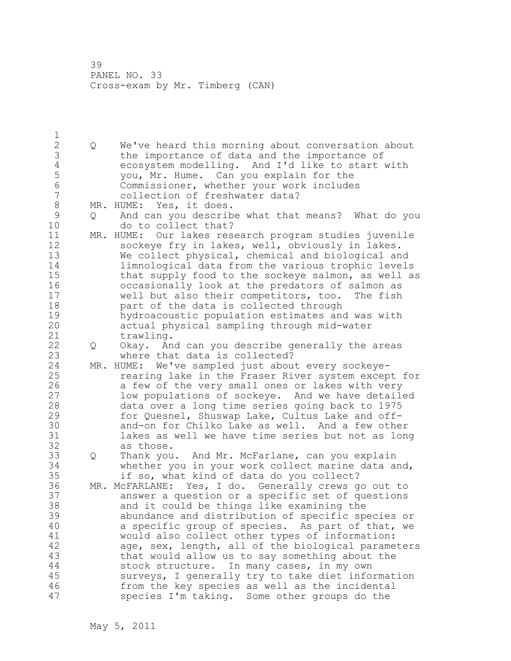$\frac{1}{2}$ 2 Q We've heard this morning about conversation about 3 the importance of data and the importance of<br>4 ecosystem modelling. And I'd like to start w 4 ecosystem modelling. And I'd like to start with<br>5 you, Mr. Hume. Can you explain for the 5 you, Mr. Hume. Can you explain for the<br>6 Commissioner, whether your work include 6 Commissioner, whether your work includes collection of freshwater data? 8 MR. HUME: Yes, it does.<br>9 0 And can you describ 9 Q And can you describe what that means? What do you<br>10 do to collect that? do to collect that? 11 MR. HUME: Our lakes research program studies juvenile 12 sockeye fry in lakes, well, obviously in lakes. 13 We collect physical, chemical and biological and 14 limnological data from the various trophic levels 15 that supply food to the sockeye salmon, as well as 16 occasionally look at the predators of salmon as 17 well but also their competitors, too. The fish 18 part of the data is collected through 19 hydroacoustic population estimates and was with<br>20 actual physical sampling through mid-water actual physical sampling through mid-water 21 trawling. 22 Q Okay. And can you describe generally the areas 23 where that data is collected? 24 MR. HUME: We've sampled just about every sockeye-25 rearing lake in the Fraser River system except for 26 a few of the very small ones or lakes with very<br>27 10w populations of sockeye. And we have detaile low populations of sockeye. And we have detailed 28 data over a long time series going back to 1975 29 for Quesnel, Shuswap Lake, Cultus Lake and off-30 and-on for Chilko Lake as well. And a few other lakes as well we have time series but not as long 32 as those. 33 Q Thank you. And Mr. McFarlane, can you explain 34 whether you in your work collect marine data and, 35 if so, what kind of data do you collect? 36 MR. McFARLANE: Yes, I do. Generally crews go out to 37 answer a question or a specific set of questions 38 and it could be things like examining the 39 abundance and distribution of specific species or 40 a specific group of species. As part of that, we 41 would also collect other types of information:<br>42 age, sex, length, all of the biological parame age, sex, length, all of the biological parameters 43 that would allow us to say something about the 44 stock structure. In many cases, in my own 45 surveys, I generally try to take diet information 46 from the key species as well as the incidental 47 species I'm taking. Some other groups do the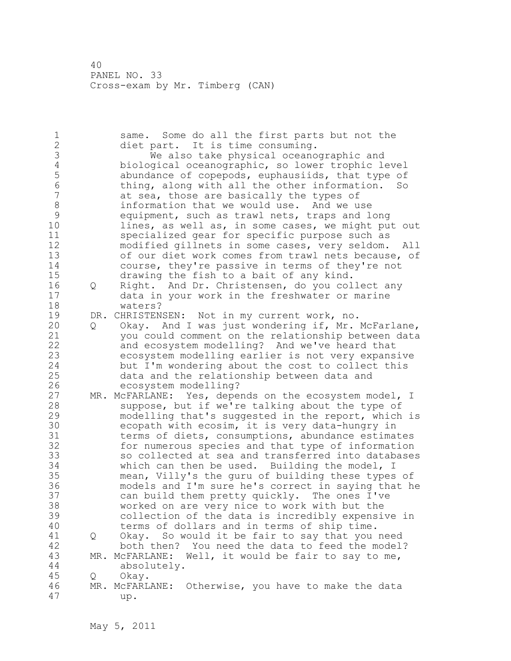1 same. Some do all the first parts but not the 2 diet part. It is time consuming. 3 We also take physical oceanographic and<br>4 biological oceanographic, so lower trophic le 4 biological oceanographic, so lower trophic level<br>5 abundance of copepods, euphausiids, that type of 5 5 abundance of copepods, euphausiids, that type of<br>6 thing, along with all the other information. So 6 thing, along with all the other information. So<br>7 at sea, those are basically the types of at sea, those are basically the types of 8 information that we would use. And we use<br>9 equipment, such as trawl nets, traps and l 9 equipment, such as trawl nets, traps and long<br>10 lines, as well as, in some cases, we might pu lines, as well as, in some cases, we might put out 11 specialized gear for specific purpose such as 12 modified gillnets in some cases, very seldom. All 13 of our diet work comes from trawl nets because, of 14 course, they're passive in terms of they're not 15 drawing the fish to a bait of any kind. 16 Q Right. And Dr. Christensen, do you collect any 17 data in your work in the freshwater or marine 18 waters? 19 DR. CHRISTENSEN: Not in my current work, no. 20 Q Okay. And I was just wondering if, Mr. McFarlane, 21 you could comment on the relationship between data 22 and ecosystem modelling? And we've heard that 23 ecosystem modelling earlier is not very expansive 24 but I'm wondering about the cost to collect this 25 data and the relationship between data and 26 ecosystem modelling?<br>27 MR. McFARLANE: Yes, depe MR. McFARLANE: Yes, depends on the ecosystem model, I 28 suppose, but if we're talking about the type of 29 modelling that's suggested in the report, which is 30 ecopath with ecosim, it is very data-hungry in 31 terms of diets, consumptions, abundance estimates 32 for numerous species and that type of information 33 so collected at sea and transferred into databases 34 which can then be used. Building the model, I 35 mean, Villy's the guru of building these types of 36 models and I'm sure he's correct in saying that he 37 can build them pretty quickly. The ones I've 38 worked on are very nice to work with but the 39 collection of the data is incredibly expensive in 40 terms of dollars and in terms of ship time. 41 Q Okay. So would it be fair to say that you need both then? You need the data to feed the model? 43 MR. McFARLANE: Well, it would be fair to say to me, 44 absolutely. 45 Q Okay. 46 MR. McFARLANE: Otherwise, you have to make the data 47 up.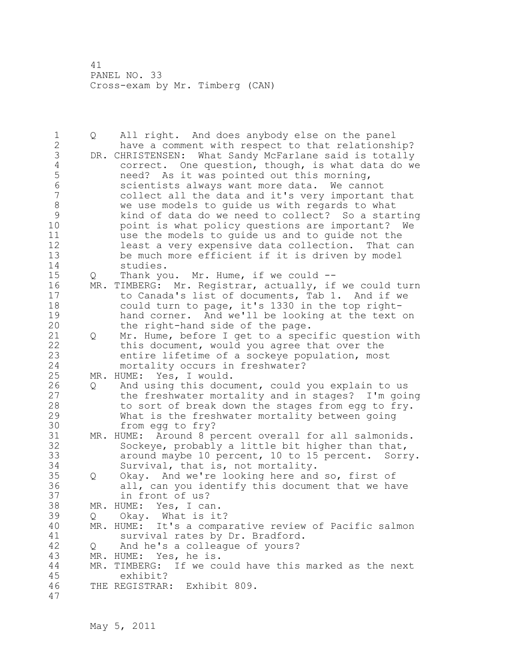1 Q All right. And does anybody else on the panel 2 have a comment with respect to that relationship? 3 DR. CHRISTENSEN: What Sandy McFarlane said is totally<br>4 correct. One question, though, is what data do we 4 correct. One question, though, is what data do we<br>5 heed? As it was pointed out this morning, 5 1 1 need? As it was pointed out this morning,<br>6 5 1 1 scientists always want more data. We cann 6 scientists always want more data. We cannot collect all the data and it's very important that 8 we use models to guide us with regards to what<br>9 kind of data do we need to collect? So a star 9 kind of data do we need to collect? So a starting point is what policy questions are important? We 11 use the models to guide us and to guide not the 12 least a very expensive data collection. That can 13 be much more efficient if it is driven by model 14 studies. 15 Q Thank you. Mr. Hume, if we could -- 16 MR. TIMBERG: Mr. Registrar, actually, if we could turn 17 to Canada's list of documents, Tab 1. And if we 18 could turn to page, it's 1330 in the top right-19 hand corner. And we'll be looking at the text on<br>20 the right-hand side of the page. the right-hand side of the page. 21 Q Mr. Hume, before I get to a specific question with 22 this document, would you agree that over the 23 entire lifetime of a sockeye population, most 24 mortality occurs in freshwater? 25 MR. HUME: Yes, I would. 26 Q And using this document, could you explain to us<br>27 the freshwater mortality and in stages? I'm goi 27 the freshwater mortality and in stages? I'm going<br>28 to sort of break down the stages from egg to frv. to sort of break down the stages from egg to fry. 29 What is the freshwater mortality between going 30 from egg to fry?<br>31 MR. HUME: Around 8 p MR. HUME: Around 8 percent overall for all salmonids. 32 Sockeye, probably a little bit higher than that, 33 around maybe 10 percent, 10 to 15 percent. Sorry. 34 Survival, that is, not mortality. 35 Q Okay. And we're looking here and so, first of 36 all, can you identify this document that we have 37 in front of us? 38 MR. HUME: Yes, I can. 39 Q Okay. What is it? 40 MR. HUME: It's a comparative review of Pacific salmon 41 survival rates by Dr. Bradford.<br>42 0 And he's a colleague of vours? 42 Q And he's a colleague of yours? 43 MR. HUME: Yes, he is. 44 MR. TIMBERG: If we could have this marked as the next 45 exhibit? 46 THE REGISTRAR: Exhibit 809. 47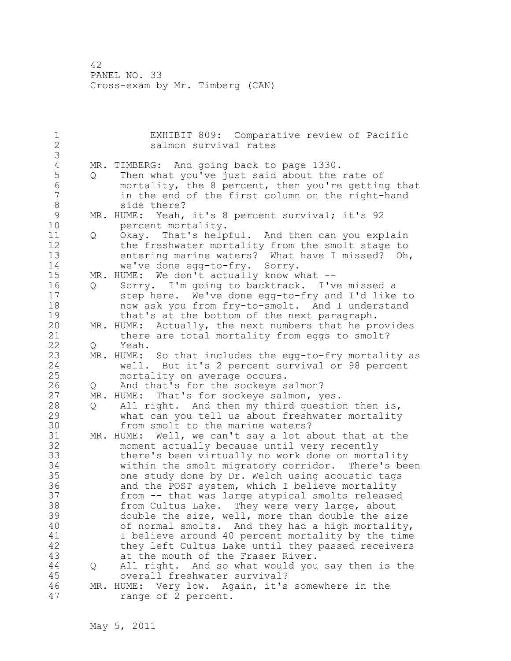| $\mathbf 1$                      |                   | EXHIBIT 809: Comparative review of Pacific             |
|----------------------------------|-------------------|--------------------------------------------------------|
| $\overline{2}$<br>$\mathfrak{Z}$ |                   | salmon survival rates                                  |
| $\sqrt{4}$                       |                   | MR. TIMBERG: And going back to page 1330.              |
| 5                                | Q                 | Then what you've just said about the rate of           |
| $6\,$                            |                   | mortality, the 8 percent, then you're getting that     |
| $\overline{7}$                   |                   | in the end of the first column on the right-hand       |
| 8                                |                   | side there?                                            |
| $\mathcal{G}$                    |                   | MR. HUME: Yeah, it's 8 percent survival; it's 92       |
| 10                               |                   | percent mortality.                                     |
| 11                               | $Q \qquad \qquad$ | Okay. That's helpful. And then can you explain         |
| 12                               |                   | the freshwater mortality from the smolt stage to       |
| 13                               |                   | entering marine waters? What have I missed? Oh,        |
| 14                               |                   | we've done egg-to-fry. Sorry.                          |
| 15                               |                   | MR. HUME: We don't actually know what --               |
| 16                               | $Q \qquad \qquad$ | Sorry. I'm going to backtrack. I've missed a           |
| 17                               |                   | step here. We've done egg-to-fry and I'd like to       |
| 18                               |                   | now ask you from fry-to-smolt. And I understand        |
| 19                               |                   | that's at the bottom of the next paragraph.            |
| 20                               |                   | MR. HUME: Actually, the next numbers that he provides  |
| 21                               |                   | there are total mortality from eggs to smolt?          |
| 22                               | $Q_{\rm max}$     | Yeah.                                                  |
| 23                               |                   | MR. HUME: So that includes the egg-to-fry mortality as |
| 24                               |                   | well. But it's 2 percent survival or 98 percent        |
| 25                               |                   | mortality on average occurs.                           |
| 26                               | $Q \qquad \qquad$ | And that's for the sockeye salmon?                     |
| 27                               |                   | That's for sockeye salmon, yes.<br>MR. HUME:           |
| 28                               | Q                 | All right. And then my third question then is,         |
| 29                               |                   | what can you tell us about freshwater mortality        |
| 30                               |                   | from smolt to the marine waters?                       |
| 31                               |                   | MR. HUME: Well, we can't say a lot about that at the   |
| 32                               |                   | moment actually because until very recently            |
| 33                               |                   | there's been virtually no work done on mortality       |
| 34                               |                   | within the smolt migratory corridor. There's been      |
| 35                               |                   | one study done by Dr. Welch using acoustic tags        |
| 36                               |                   | and the POST system, which I believe mortality         |
| 37                               |                   | from -- that was large atypical smolts released        |
| 38                               |                   | from Cultus Lake. They were very large, about          |
| 39                               |                   | double the size, well, more than double the size       |
| 40                               |                   | of normal smolts. And they had a high mortality,       |
| 41                               |                   | I believe around 40 percent mortality by the time      |
| 42                               |                   | they left Cultus Lake until they passed receivers      |
| 43                               |                   | at the mouth of the Fraser River.                      |
| 44                               | Q                 | All right. And so what would you say then is the       |
| 45                               |                   | overall freshwater survival?                           |
| 46                               |                   | MR. HUME: Very low. Again, it's somewhere in the       |
| 47                               |                   | range of 2 percent.                                    |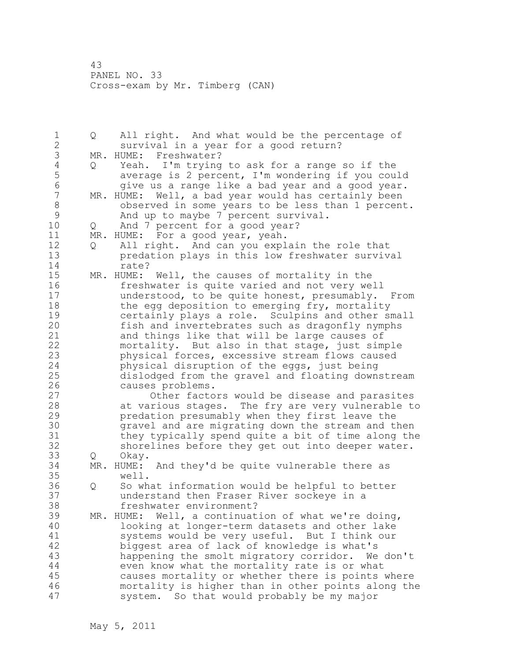1 Q All right. And what would be the percentage of 2 survival in a year for a good return? 3 MR. HUME: Freshwater?<br>4 0 Yeah. I'm trying 4 Q Yeah. I'm trying to ask for a range so if the<br>5 average is 2 percent, I'm wondering if you cou 5 average is 2 percent, I'm wondering if you could 6 give us a range like a bad year and a good year.<br>7 MR. HUME: Well, a bad year would has certainly been MR. HUME: Well, a bad year would has certainly been 8 observed in some years to be less than 1 percent.<br>9 and up to maybe 7 percent survival. 9 And up to maybe 7 percent survival.<br>10 0 And 7 percent for a good vear? 10 Q And 7 percent for a good year? 11 MR. HUME: For a good year, yeah. 12 Q All right. And can you explain the role that 13 predation plays in this low freshwater survival 14 rate? 15 MR. HUME: Well, the causes of mortality in the 16 freshwater is quite varied and not very well 17 understood, to be quite honest, presumably. From 18 the egg deposition to emerging fry, mortality 19 certainly plays a role. Sculpins and other small<br>20 fish and invertebrates such as dragonfly nymphs fish and invertebrates such as dragonfly nymphs 21 and things like that will be large causes of 22 mortality. But also in that stage, just simple 23 physical forces, excessive stream flows caused 24 physical disruption of the eggs, just being 25 dislodged from the gravel and floating downstream 26 causes problems.<br>27 0ther facto Other factors would be disease and parasites 28 at various stages. The fry are very vulnerable to 29 predation presumably when they first leave the 30 gravel and are migrating down the stream and then 31 they typically spend quite a bit of time along the<br>32 shorelines before they get out into deeper water. shorelines before they get out into deeper water. 33 Q Okay. 34 MR. HUME: And they'd be quite vulnerable there as 35 well. 36 Q So what information would be helpful to better 37 understand then Fraser River sockeye in a 38 freshwater environment? 39 MR. HUME: Well, a continuation of what we're doing, 40 looking at longer-term datasets and other lake 41 systems would be very useful. But I think our<br>42 biggest area of lack of knowledge is what's biggest area of lack of knowledge is what's 43 happening the smolt migratory corridor. We don't 44 even know what the mortality rate is or what 45 causes mortality or whether there is points where 46 mortality is higher than in other points along the 47 system. So that would probably be my major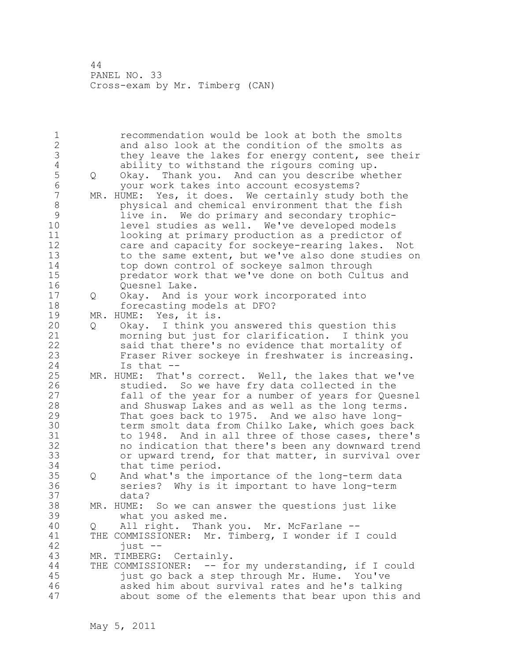1 recommendation would be look at both the smolts 2 and also look at the condition of the smolts as 3 they leave the lakes for energy content, see their<br>4 ability to withstand the rigours coming up. 4 ability to withstand the rigours coming up.<br>5 0 Okay. Thank you. And can you describe whe 5 Q Okay. Thank you. And can you describe whether 6 your work takes into account ecosystems?<br>7 MR. HUME: Yes, it does. We certainly study 1 MR. HUME: Yes, it does. We certainly study both the 8 physical and chemical environment that the fish 9 live in. We do primary and secondary trophiclevel studies as well. We've developed models 11 looking at primary production as a predictor of 12 care and capacity for sockeye-rearing lakes. Not 13 to the same extent, but we've also done studies on 14 top down control of sockeye salmon through 15 predator work that we've done on both Cultus and 16 Quesnel Lake. 17 Q Okay. And is your work incorporated into 18 forecasting models at DFO? 19 MR. HUME: Yes, it is.<br>20 0 Okay. I think yo 20 Q Okay. I think you answered this question this 21 morning but just for clarification. I think you 22 said that there's no evidence that mortality of 23 Fraser River sockeye in freshwater is increasing.  $24$  Is that  $-$ 25 MR. HUME: That's correct. Well, the lakes that we've 26 studied. So we have fry data collected in the<br>27 fall of the year for a number of years for Ques fall of the year for a number of years for Quesnel 28 and Shuswap Lakes and as well as the long terms. 29 That goes back to 1975. And we also have long-30 term smolt data from Chilko Lake, which goes back<br>31 to 1948. And in all three of those cases, there's to 1948. And in all three of those cases, there's 32 no indication that there's been any downward trend 33 or upward trend, for that matter, in survival over 34 that time period. 35 Q And what's the importance of the long-term data 36 series? Why is it important to have long-term 37 data? 38 MR. HUME: So we can answer the questions just like 39 what you asked me. 40 Q All right. Thank you. Mr. McFarlane -- 41 THE COMMISSIONER: Mr. Timberg, I wonder if I could<br>42 iust - $just$  --43 MR. TIMBERG: Certainly. 44 THE COMMISSIONER: -- for my understanding, if I could 45 just go back a step through Mr. Hume. You've 46 asked him about survival rates and he's talking 47 about some of the elements that bear upon this and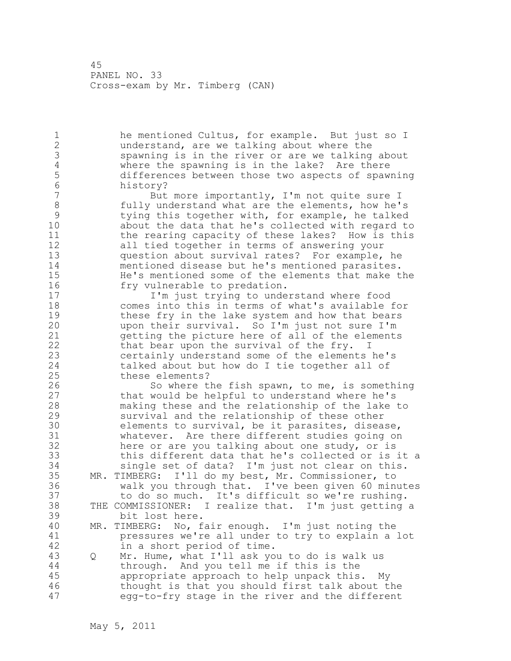1 he mentioned Cultus, for example. But just so I 2 understand, are we talking about where the 3 spawning is in the river or are we talking about<br>4 where the spawning is in the lake? Are there 4 where the spawning is in the lake? Are there<br>5 differences between those two aspects of spaw 5 differences between those two aspects of spawning 6 history?<br>7 But But more importantly, I'm not quite sure I 8 fully understand what are the elements, how he's<br>9 tying this together with, for example, he talked 9 tying this together with, for example, he talked<br>10 about the data that he's collected with regard to about the data that he's collected with regard to 11 the rearing capacity of these lakes? How is this 12 all tied together in terms of answering your 13 question about survival rates? For example, he 14 mentioned disease but he's mentioned parasites. 15 He's mentioned some of the elements that make the 16 fry vulnerable to predation. 17 I'm just trying to understand where food 18 comes into this in terms of what's available for 19 these fry in the lake system and how that bears<br>20 mpon their survival. So I'm just not sure I'm upon their survival. So I'm just not sure I'm 21 getting the picture here of all of the elements 22 that bear upon the survival of the fry. 23 certainly understand some of the elements he's 24 talked about but how do I tie together all of 25 these elements? 26 So where the fish spawn, to me, is something<br>27 that would be helpful to understand where he's that would be helpful to understand where he's 28 making these and the relationship of the lake to 29 survival and the relationship of these other 30 elements to survival, be it parasites, disease,<br>31 whatever. Are there different studies going on whatever. Are there different studies going on 32 here or are you talking about one study, or is 33 this different data that he's collected or is it a 34 single set of data? I'm just not clear on this. 35 MR. TIMBERG: I'll do my best, Mr. Commissioner, to 36 walk you through that. I've been given 60 minutes 37 to do so much. It's difficult so we're rushing. 38 THE COMMISSIONER: I realize that. I'm just getting a 39 bit lost here. 40 MR. TIMBERG: No, fair enough. I'm just noting the 41 pressures we're all under to try to explain a lot<br>42 in a short period of time. in a short period of time. 43 Q Mr. Hume, what I'll ask you to do is walk us 44 through. And you tell me if this is the 45 appropriate approach to help unpack this. My 46 thought is that you should first talk about the 47 egg-to-fry stage in the river and the different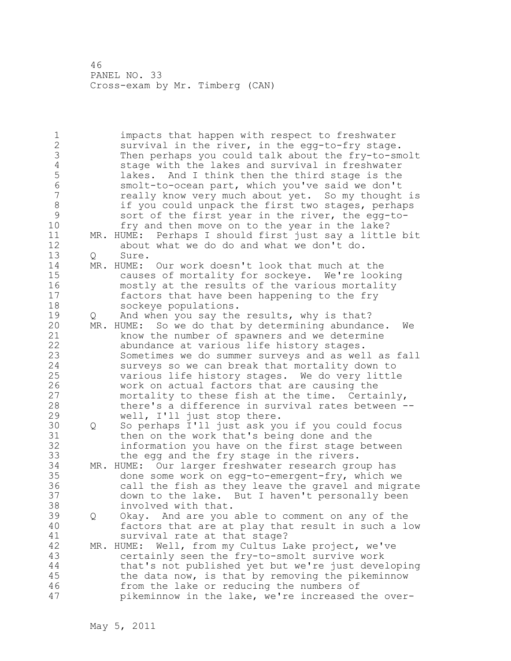1 impacts that happen with respect to freshwater 2 survival in the river, in the egg-to-fry stage. 3 Then perhaps you could talk about the fry-to-smolt 4 stage with the lakes and survival in freshwater<br>5 1akes. And I think then the third stage is the 5 1akes. And I think then the third stage is the<br>6 5 molt-to-ocean part, which you've said we don't 6 smolt-to-ocean part, which you've said we don't really know very much about yet. So my thought is 8 if you could unpack the first two stages, perhaps<br>9 sort of the first year in the river, the egg-to-9 sort of the first year in the river, the egg-to-<br>10 fry and then move on to the year in the lake? fry and then move on to the year in the lake? 11 MR. HUME: Perhaps I should first just say a little bit 12 about what we do do and what we don't do. 13 Q Sure. 14 MR. HUME: Our work doesn't look that much at the 15 causes of mortality for sockeye. We're looking 16 mostly at the results of the various mortality 17 factors that have been happening to the fry 18 sockeye populations. 19 Q And when you say the results, why is that?<br>20 MR. HUME: So we do that by determining abundan MR. HUME: So we do that by determining abundance. We 21 know the number of spawners and we determine 22 abundance at various life history stages. 23 Sometimes we do summer surveys and as well as fall 24 surveys so we can break that mortality down to 25 various life history stages. We do very little 26 work on actual factors that are causing the<br>27 mortality to these fish at the time. Certa mortality to these fish at the time. Certainly, 28 there's a difference in survival rates between -- 29 well, I'll just stop there. 30 Q So perhaps I'll just ask you if you could focus 31 then on the work that's being done and the<br>32 information you have on the first stage be information you have on the first stage between 33 the egg and the fry stage in the rivers. 34 MR. HUME: Our larger freshwater research group has 35 done some work on egg-to-emergent-fry, which we 36 call the fish as they leave the gravel and migrate 37 down to the lake. But I haven't personally been 38 involved with that. 39 Q Okay. And are you able to comment on any of the 40 factors that are at play that result in such a low 41 survival rate at that stage?<br>42 MR. HUME: Well, from my Cultus L. MR. HUME: Well, from my Cultus Lake project, we've 43 certainly seen the fry-to-smolt survive work 44 that's not published yet but we're just developing 45 the data now, is that by removing the pikeminnow 46 from the lake or reducing the numbers of 47 pikeminnow in the lake, we're increased the over-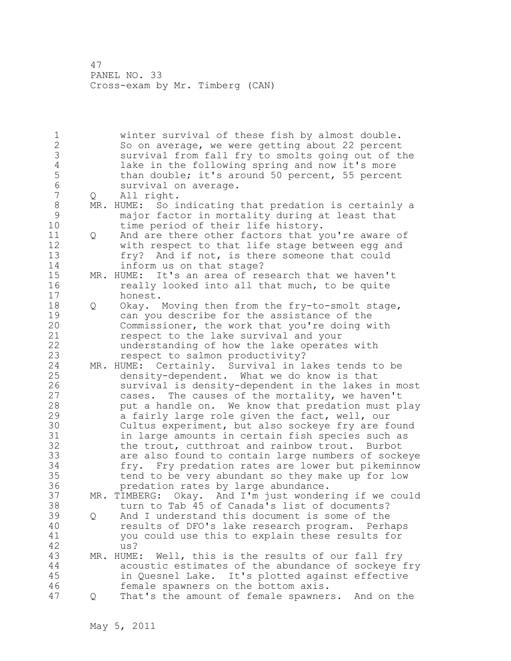1 winter survival of these fish by almost double. 2 So on average, we were getting about 22 percent 3 survival from fall fry to smolts going out of the<br>4 lake in the following spring and now it's more 4 lake in the following spring and now it's more<br>5 than double; it's around 50 percent, 55 percen 5 than double; it's around 50 percent, 55 percent<br>6 survival on average. 6 survival on average.<br>7 0 All right. Q All right. 8 MR. HUME: So indicating that predation is certainly a 9 major factor in mortality during at least that time period of their life history. 11 Q And are there other factors that you're aware of 12 with respect to that life stage between egg and 13 fry? And if not, is there someone that could 14 inform us on that stage? 15 MR. HUME: It's an area of research that we haven't 16 **really looked into all that much, to be quite** 17 honest. 18 Q Okay. Moving then from the fry-to-smolt stage, 19 can you describe for the assistance of the<br>20 Commissioner, the work that you're doing w Commissioner, the work that you're doing with 21 respect to the lake survival and your 22 understanding of how the lake operates with 23 respect to salmon productivity? 24 MR. HUME: Certainly. Survival in lakes tends to be 25 density-dependent. What we do know is that 26 survival is density-dependent in the lakes in most<br>27 cases. The causes of the mortality, we haven't cases. The causes of the mortality, we haven't 28 put a handle on. We know that predation must play 29 a fairly large role given the fact, well, our 30 Cultus experiment, but also sockeye fry are found<br>31 in large amounts in certain fish species such as in large amounts in certain fish species such as 32 the trout, cutthroat and rainbow trout. Burbot 33 are also found to contain large numbers of sockeye 34 fry. Fry predation rates are lower but pikeminnow 35 tend to be very abundant so they make up for low 36 predation rates by large abundance. 37 MR. TIMBERG: Okay. And I'm just wondering if we could 38 turn to Tab 45 of Canada's list of documents? 39 Q And I understand this document is some of the 40 results of DFO's lake research program. Perhaps 41 you could use this to explain these results for us? 43 MR. HUME: Well, this is the results of our fall fry 44 acoustic estimates of the abundance of sockeye fry 45 in Quesnel Lake. It's plotted against effective 46 female spawners on the bottom axis. 47 Q That's the amount of female spawners. And on the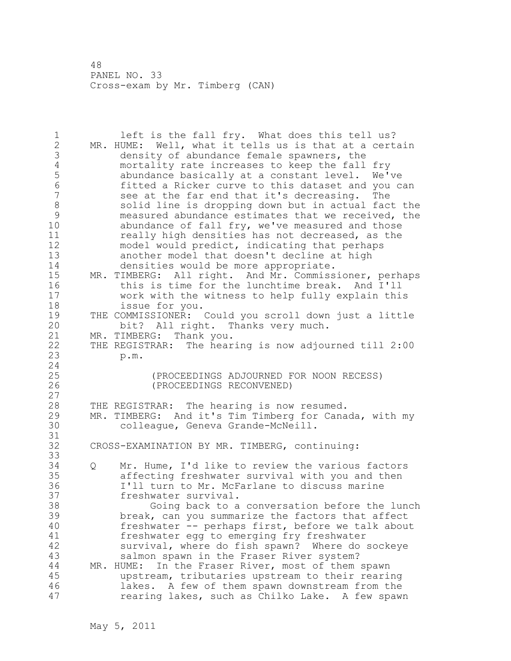1 left is the fall fry. What does this tell us? 2 MR. HUME: Well, what it tells us is that at a certain 3 density of abundance female spawners, the<br>4 mortality rate increases to keep the fall 4 mortality rate increases to keep the fall fry<br>5 abundance basically at a constant level. We'' 5 abundance basically at a constant level. We've 6 fitted a Ricker curve to this dataset and you can<br>7 see at the far end that it's decreasing. The see at the far end that it's decreasing. The 8 solid line is dropping down but in actual fact the<br>9 measured abundance estimates that we received, the 9 measured abundance estimates that we received, the<br>10 abundance of fall frv, we've measured and those abundance of fall fry, we've measured and those 11 really high densities has not decreased, as the 12 model would predict, indicating that perhaps 13 another model that doesn't decline at high 14 densities would be more appropriate. 15 MR. TIMBERG: All right. And Mr. Commissioner, perhaps 16 this is time for the lunchtime break. And I'll 17 work with the witness to help fully explain this 18 issue for you. 19 THE COMMISSIONER: Could you scroll down just a little<br>20 bit? All right. Thanks very much. bit? All right. Thanks very much.<br>'IMBERG: Thank you. 21 MR. TIMBERG: 22 THE REGISTRAR: The hearing is now adjourned till 2:00 23 p.m. 24 25 (PROCEEDINGS ADJOURNED FOR NOON RECESS) 26 (PROCEEDINGS RECONVENED) 27 28 THE REGISTRAR: The hearing is now resumed. 29 MR. TIMBERG: And it's Tim Timberg for Canada, with my 30 colleague, Geneva Grande-McNeill. 31<br>32 CROSS-EXAMINATION BY MR. TIMBERG, continuing: 33 34 Q Mr. Hume, I'd like to review the various factors 35 affecting freshwater survival with you and then 36 I'll turn to Mr. McFarlane to discuss marine 37 freshwater survival. 38 Going back to a conversation before the lunch 39 break, can you summarize the factors that affect 40 freshwater -- perhaps first, before we talk about 41 freshwater egg to emerging fry freshwater<br>42 survival, where do fish spawn? Where do survival, where do fish spawn? Where do sockeye 43 salmon spawn in the Fraser River system? 44 MR. HUME: In the Fraser River, most of them spawn 45 upstream, tributaries upstream to their rearing 46 lakes. A few of them spawn downstream from the 47 rearing lakes, such as Chilko Lake. A few spawn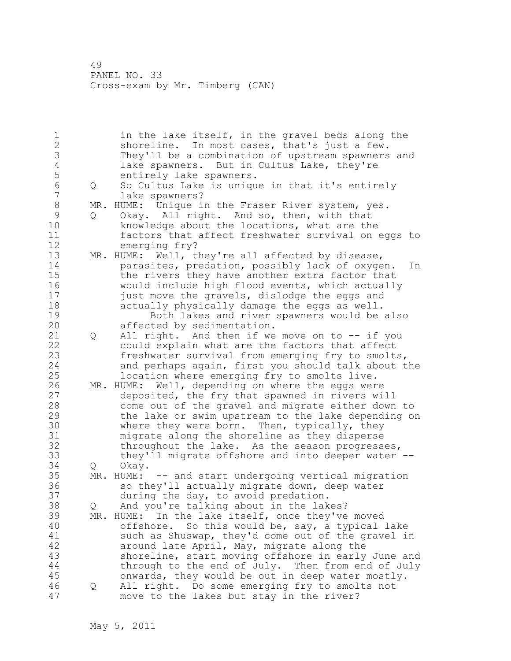1 in the lake itself, in the gravel beds along the 2 shoreline. In most cases, that's just a few. 3 They'll be a combination of upstream spawners and<br>4 1ake spawners. But in Cultus Lake, they're 4 lake spawners. But in Cultus Lake, they're<br>5 entirely lake spawners. 5 entirely lake spawners.<br>6 0 So Cultus Lake is uniqu 6 Q So Cultus Lake is unique in that it's entirely lake spawners? 8 MR. HUME: Unique in the Fraser River system, yes.<br>9 0 Okay. All right. And so, then, with that 9 Q Okay. All right. And so, then, with that knowledge about the locations, what are the 11 factors that affect freshwater survival on eggs to 12 emerging fry? 13 MR. HUME: Well, they're all affected by disease, 14 parasites, predation, possibly lack of oxygen. In 15 the rivers they have another extra factor that 16 would include high flood events, which actually 17 just move the gravels, dislodge the eggs and 18 actually physically damage the eggs as well. 19 Both lakes and river spawners would be also<br>20 affected by sedimentation. affected by sedimentation. 21 Q All right. And then if we move on to -- if you 22 could explain what are the factors that affect 23 freshwater survival from emerging fry to smolts, 24 and perhaps again, first you should talk about the 25 location where emerging fry to smolts live. 26 MR. HUME: Well, depending on where the eggs were<br>27 deposited, the fry that spawned in rivers wi deposited, the fry that spawned in rivers will 28 come out of the gravel and migrate either down to 29 the lake or swim upstream to the lake depending on 30 where they were born. Then, typically, they<br>31 migrate along the shoreline as they disperse 31 migrate along the shoreline as they disperse<br>32 throughout the lake. As the season progress throughout the lake. As the season progresses, 33 they'll migrate offshore and into deeper water -- 34 Q Okay. 35 MR. HUME: -- and start undergoing vertical migration 36 so they'll actually migrate down, deep water 37 during the day, to avoid predation. 38 Q And you're talking about in the lakes? 39 MR. HUME: In the lake itself, once they've moved 40 offshore. So this would be, say, a typical lake 41 such as Shuswap, they'd come out of the gravel in<br>42 around late April, May, migrate along the around late April, May, migrate along the 43 shoreline, start moving offshore in early June and 44 through to the end of July. Then from end of July 45 onwards, they would be out in deep water mostly. 46 Q All right. Do some emerging fry to smolts not 47 move to the lakes but stay in the river?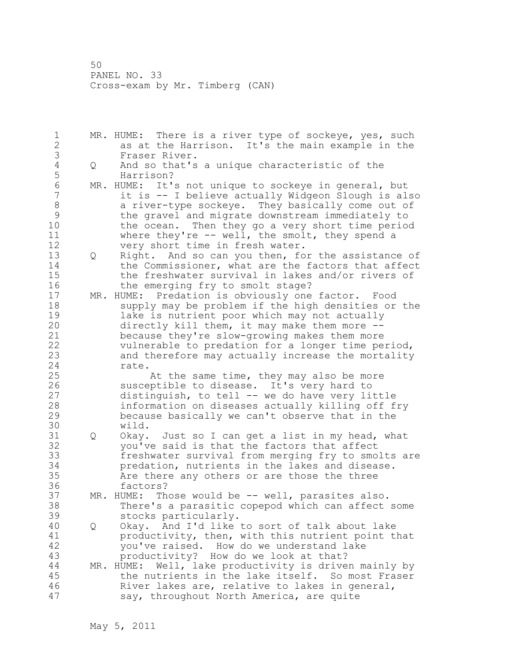1 MR. HUME: There is a river type of sockeye, yes, such 2 as at the Harrison. It's the main example in the 3 Fraser River.<br>4 Q And so that's 4 Q And so that's a unique characteristic of the 5 Harrison?<br>6 MR.HUME: It' 6 MR. HUME: It's not unique to sockeye in general, but 7 it is -- I believe actually Widgeon Slough is also 8 a river-type sockeye. They basically come out of 9 the gravel and migrate downstream immediately to<br>10 the ocean. Then they go a very short time perio the ocean. Then they go a very short time period 11 where they're -- well, the smolt, they spend a 12 very short time in fresh water. 13 Q Right. And so can you then, for the assistance of 14 the Commissioner, what are the factors that affect 15 the freshwater survival in lakes and/or rivers of 16 the emerging fry to smolt stage? 17 MR. HUME: Predation is obviously one factor. Food 18 supply may be problem if the high densities or the 19 lake is nutrient poor which may not actually<br>20 directly kill them, it may make them more -directly kill them, it may make them more  $--$ 21 because they're slow-growing makes them more 22 vulnerable to predation for a longer time period, 23 and therefore may actually increase the mortality 24 rate. 25 At the same time, they may also be more 26 susceptible to disease. It's very hard to<br>27 distinguish, to tell -- we do have very li distinguish, to tell  $--$  we do have very little 28 information on diseases actually killing off fry 29 because basically we can't observe that in the 30 wild. 31 Q Okay. Just so I can get a list in my head, what 32 you've said is that the factors that affect 33 freshwater survival from merging fry to smolts are 34 predation, nutrients in the lakes and disease. 35 Are there any others or are those the three 36 factors? 37 MR. HUME: Those would be -- well, parasites also. 38 There's a parasitic copepod which can affect some 39 stocks particularly. 40 Q Okay. And I'd like to sort of talk about lake 41 **productivity, then, with this nutrient point that**<br>42 vou've raised. How do we understand lake you've raised. How do we understand lake 43 productivity? How do we look at that? 44 MR. HUME: Well, lake productivity is driven mainly by 45 the nutrients in the lake itself. So most Fraser 46 River lakes are, relative to lakes in general, 47 say, throughout North America, are quite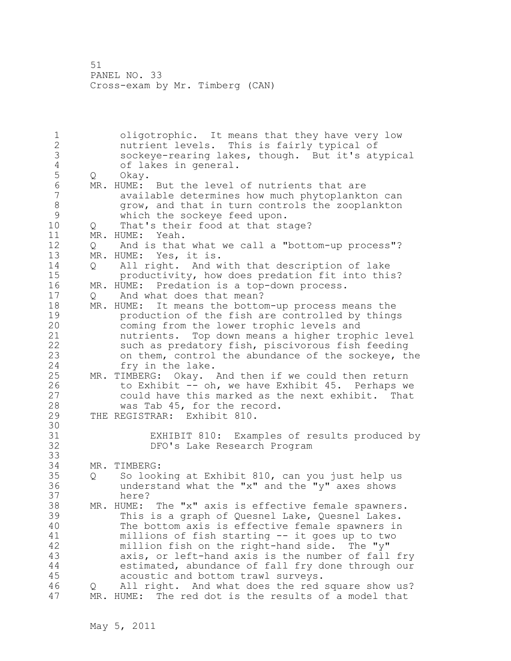1 oligotrophic. It means that they have very low 2 nutrient levels. This is fairly typical of 3 sockeye-rearing lakes, though. But it's atypical 4 of lakes in general.<br>5 Q Okay. 5 Q Okay.<br>6 MR.HUME: 6 MR. HUME: But the level of nutrients that are<br>7 available determines how much phytoplankt available determines how much phytoplankton can 8 grow, and that in turn controls the zooplankton<br>9 which the sockeve feed upon. 9 which the sockeye feed upon.<br>10 0 That's their food at that st 10 Q That's their food at that stage? 11 MR. HUME: Yeah. 12 Q And is that what we call a "bottom-up process"? 13 MR. HUME: Yes, it is. 14 Q All right. And with that description of lake 15 productivity, how does predation fit into this? 16 MR. HUME: Predation is a top-down process. 17 Q And what does that mean? 18 MR. HUME: It means the bottom-up process means the 19 **production of the fish are controlled by things**<br>20 **coming from the lower trophic levels and** coming from the lower trophic levels and 21 nutrients. Top down means a higher trophic level 22 such as predatory fish, piscivorous fish feeding 23 on them, control the abundance of the sockeye, the 24 fry in the lake. 25 MR. TIMBERG: Okay. And then if we could then return 26 to Exhibit -- oh, we have Exhibit 45. Perhaps we<br>27 could have this marked as the next exhibit. That could have this marked as the next exhibit. That 28 was Tab 45, for the record. 29 THE REGISTRAR: Exhibit 810. 30<br>31 31 EXHIBIT 810: Examples of results produced by DFO's Lake Research Program 33 34 MR. TIMBERG: 35 Q So looking at Exhibit 810, can you just help us 36 understand what the "x" and the "y" axes shows 37 here? 38 MR. HUME: The "x" axis is effective female spawners. 39 This is a graph of Quesnel Lake, Quesnel Lakes. 40 The bottom axis is effective female spawners in 41 millions of fish starting -- it goes up to two<br>42 million fish on the right-hand side. The "v" million fish on the right-hand side. The "y" 43 axis, or left-hand axis is the number of fall fry 44 estimated, abundance of fall fry done through our 45 acoustic and bottom trawl surveys. 46 Q All right. And what does the red square show us? 47 MR. HUME: The red dot is the results of a model that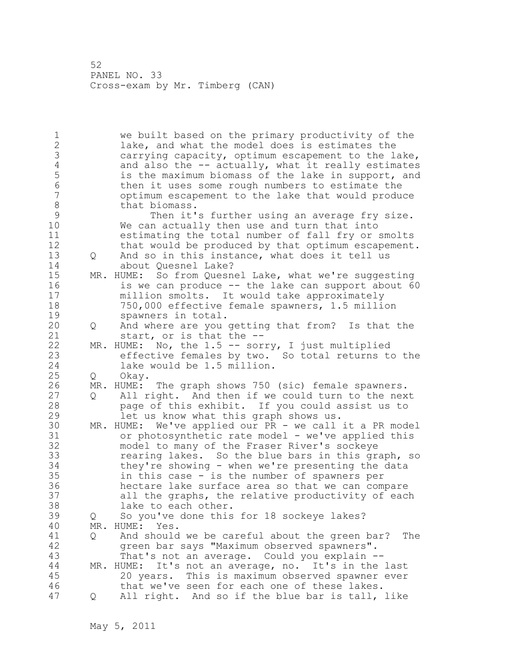1 we built based on the primary productivity of the 2 lake, and what the model does is estimates the 3 carrying capacity, optimum escapement to the lake,<br>4 and also the -- actually, what it really estimates 4 and also the -- actually, what it really estimates<br>5 is the maximum biomass of the lake in support, and 5 is the maximum biomass of the lake in support, and<br>6 then it uses some rough numbers to estimate the 6 then it uses some rough numbers to estimate the 7 optimum escapement to the lake that would produce 8 that biomass.<br>9 Then it' 9 Then it's further using an average fry size.<br>10 We can actually then use and turn that into We can actually then use and turn that into 11 estimating the total number of fall fry or smolts 12 that would be produced by that optimum escapement. 13 Q And so in this instance, what does it tell us 14 about Quesnel Lake? 15 MR. HUME: So from Quesnel Lake, what we're suggesting 16 is we can produce -- the lake can support about 60 17 million smolts. It would take approximately 18 750,000 effective female spawners, 1.5 million 19 spawners in total.<br>20 0 And where are you 20 Q And where are you getting that from? Is that the 21 start, or is that the -- 22 MR. HUME: No, the 1.5 -- sorry, I just multiplied 23 effective females by two. So total returns to the 24 lake would be 1.5 million. 25 Q Okay. 26 MR. HUME: The graph shows 750 (sic) female spawners.<br>27 0 All right. And then if we could turn to the nex 27 Q All right. And then if we could turn to the next<br>28 ange of this exhibit. If you could assist us to page of this exhibit. If you could assist us to 29 let us know what this graph shows us. 30 MR. HUME: We've applied our PR - we call it a PR model<br>31 or photosynthetic rate model - we've applied this 31 or photosynthetic rate model - we've applied this<br>32 model to many of the Fraser River's sockeve model to many of the Fraser River's sockeye 33 rearing lakes. So the blue bars in this graph, so 34 they're showing - when we're presenting the data 35 in this case - is the number of spawners per 36 hectare lake surface area so that we can compare 37 all the graphs, the relative productivity of each 38 lake to each other. 39 Q So you've done this for 18 sockeye lakes? 40 MR. HUME: Yes. 41 Q And should we be careful about the green bar? The 42 green bar says "Maximum observed spawners". 43 That's not an average. Could you explain -- 44 MR. HUME: It's not an average, no. It's in the last 45 20 years. This is maximum observed spawner ever 46 that we've seen for each one of these lakes. 47 Q All right. And so if the blue bar is tall, like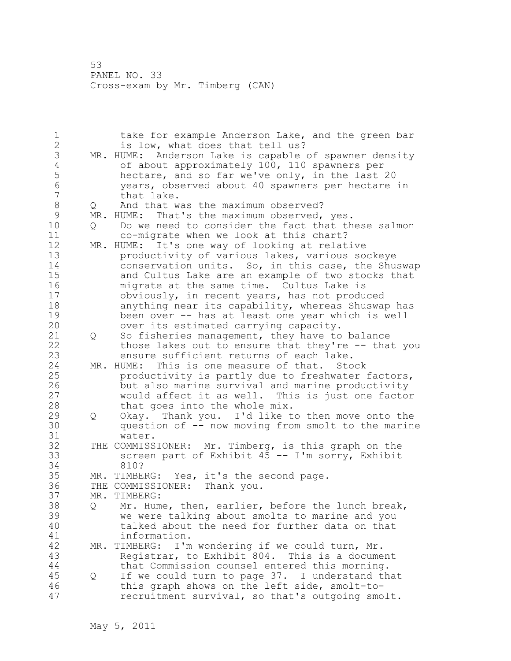1 take for example Anderson Lake, and the green bar 2 is low, what does that tell us? 3 MR. HUME: Anderson Lake is capable of spawner density<br>4 of about approximately 100, 110 spawners per 4 of about approximately 100, 110 spawners per<br>5 hectare, and so far we've only, in the last 5 hectare, and so far we've only, in the last 20<br>6 vears, observed about 40 spawners per hectare 6 years, observed about 40 spawners per hectare in that lake. 8 Q And that was the maximum observed?<br>9 MR. HUME: That's the maximum observed, 9 MR. HUME: That's the maximum observed, yes.<br>10 0 Do we need to consider the fact that th 0 Do we need to consider the fact that these salmon 11 co-migrate when we look at this chart? 12 MR. HUME: It's one way of looking at relative 13 productivity of various lakes, various sockeye 14 conservation units. So, in this case, the Shuswap 15 and Cultus Lake are an example of two stocks that 16 migrate at the same time. Cultus Lake is 17 obviously, in recent years, has not produced 18 anything near its capability, whereas Shuswap has 19 been over -- has at least one year which is well<br>20 over its estimated carrying capacity. over its estimated carrying capacity. 21 Q So fisheries management, they have to balance 22 those lakes out to ensure that they're -- that you 23 ensure sufficient returns of each lake. 24 MR. HUME: This is one measure of that. Stock 25 productivity is partly due to freshwater factors, 26 but also marine survival and marine productivity<br>27 would affect it as well. This is just one factor would affect it as well. This is just one factor 28 that goes into the whole mix. 29 Q Okay. Thank you. I'd like to then move onto the 30 question of -- now moving from smolt to the marine 31 water.<br>32 THE COMMISS THE COMMISSIONER: Mr. Timberg, is this graph on the 33 screen part of Exhibit 45 -- I'm sorry, Exhibit 34 810? 35 MR. TIMBERG: Yes, it's the second page. 36 THE COMMISSIONER: Thank you. 37 MR. TIMBERG: 38 Q Mr. Hume, then, earlier, before the lunch break, 39 we were talking about smolts to marine and you 40 talked about the need for further data on that 41 information.<br>42 MR. TIMBERG: I'm MR. TIMBERG: I'm wondering if we could turn, Mr. 43 Registrar, to Exhibit 804. This is a document 44 that Commission counsel entered this morning. 45 Q If we could turn to page 37. I understand that 46 this graph shows on the left side, smolt-to-47 recruitment survival, so that's outgoing smolt.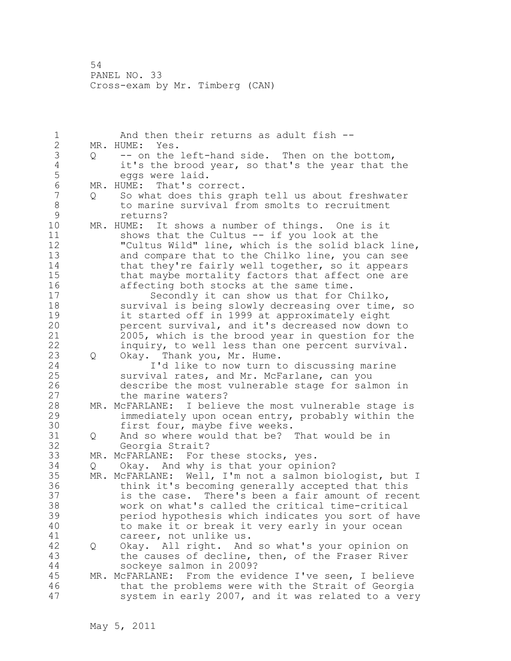1 And then their returns as adult fish -- 2 MR. HUME: Yes. 3 Q -- on the left-hand side. Then on the bottom,<br>4 it's the brood vear, so that's the vear that t 4 it's the brood year, so that's the year that the<br>5 eqqs were laid. 5 eggs were laid.<br>6 MR. HUME: That's co 6 MR. HUME: That's correct.<br>7 0 So what does this gra So what does this graph tell us about freshwater 8 to marine survival from smolts to recruitment<br>9 seturns? 9 returns?<br>10 MR. HUME: It MR. HUME: It shows a number of things. One is it 11 shows that the Cultus -- if you look at the 12 "Cultus Wild" line, which is the solid black line, 13 and compare that to the Chilko line, you can see 14 that they're fairly well together, so it appears 15 that maybe mortality factors that affect one are 16 affecting both stocks at the same time. 17 Secondly it can show us that for Chilko, 18 **Survival is being slowly decreasing over time, so** 19 it started off in 1999 at approximately eight<br>20 percent survival, and it's decreased now down percent survival, and it's decreased now down to 21 2005, which is the brood year in question for the 22 inquiry, to well less than one percent survival. 23 Q Okay. Thank you, Mr. Hume. 24 I'd like to now turn to discussing marine 25 survival rates, and Mr. McFarlane, can you 26 describe the most vulnerable stage for salmon in<br>27 the marine waters? the marine waters? 28 MR. McFARLANE: I believe the most vulnerable stage is 29 immediately upon ocean entry, probably within the 30 first four, maybe five weeks.<br>31 0 And so where would that be? 31 Q And so where would that be? That would be in Georgia Strait? 33 MR. McFARLANE: For these stocks, yes. 34 Q Okay. And why is that your opinion? 35 MR. McFARLANE: Well, I'm not a salmon biologist, but I 36 think it's becoming generally accepted that this 37 is the case. There's been a fair amount of recent 38 work on what's called the critical time-critical 39 period hypothesis which indicates you sort of have 40 to make it or break it very early in your ocean 41 career, not unlike us.<br>42 0 Okav. All right. And 42 Q Okay. All right. And so what's your opinion on 43 the causes of decline, then, of the Fraser River 44 sockeye salmon in 2009? 45 MR. McFARLANE: From the evidence I've seen, I believe 46 that the problems were with the Strait of Georgia 47 system in early 2007, and it was related to a very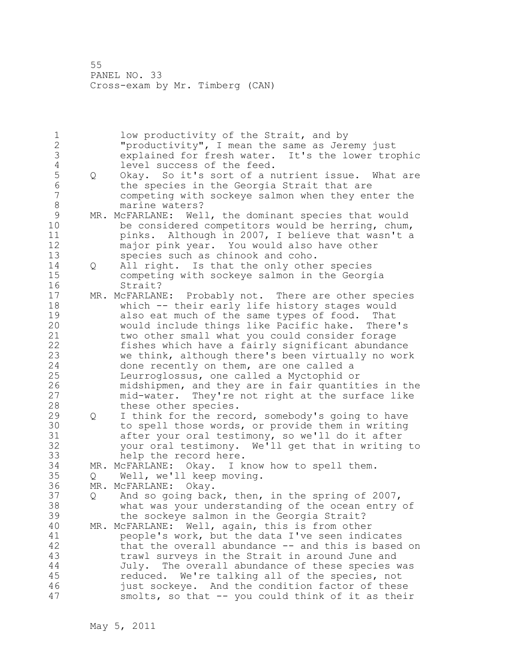1 low productivity of the Strait, and by 2 "productivity", I mean the same as Jeremy just 3 explained for fresh water. It's the lower trophic 4 level success of the feed.<br>5 0 Okay. So it's sort of a n 5 Q Okay. So it's sort of a nutrient issue. What are 6 the species in the Georgia Strait that are competing with sockeye salmon when they enter the 8 marine waters?<br>9 MR. McFARLANE: Wel 9 MR. McFARLANE: Well, the dominant species that would<br>10 be considered competitors would be herring, chum. be considered competitors would be herring, chum, 11 pinks. Although in 2007, I believe that wasn't a 12 major pink year. You would also have other 13 species such as chinook and coho. 14 Q All right. Is that the only other species 15 competing with sockeye salmon in the Georgia 16 Strait? 17 MR. McFARLANE: Probably not. There are other species 18 which -- their early life history stages would 19 also eat much of the same types of food. That<br>20 would include things like Pacific hake. There would include things like Pacific hake. There's 21 two other small what you could consider forage 22 fishes which have a fairly significant abundance 23 we think, although there's been virtually no work 24 done recently on them, are one called a 25 Leurroglossus, one called a Myctophid or 26 midshipmen, and they are in fair quantities in the<br>27 mid-water. They're not right at the surface like mid-water. They're not right at the surface like 28 these other species. 29 Q I think for the record, somebody's going to have 30 to spell those words, or provide them in writing<br>31 after your oral testimony, so we'll do it after 31 after your oral testimony, so we'll do it after<br>32 vour oral testimony. We'll get that in writing your oral testimony. We'll get that in writing to 33 help the record here. 34 MR. McFARLANE: Okay. I know how to spell them. 35 Q Well, we'll keep moving. 36 MR. McFARLANE: Okay. 37 Q And so going back, then, in the spring of 2007, 38 what was your understanding of the ocean entry of 39 the sockeye salmon in the Georgia Strait? 40 MR. McFARLANE: Well, again, this is from other 41 people's work, but the data I've seen indicates<br>42 that the overall abundance -- and this is based that the overall abundance  $-$  and this is based on 43 trawl surveys in the Strait in around June and 44 July. The overall abundance of these species was 45 reduced. We're talking all of the species, not 46 just sockeye. And the condition factor of these 47 smolts, so that -- you could think of it as their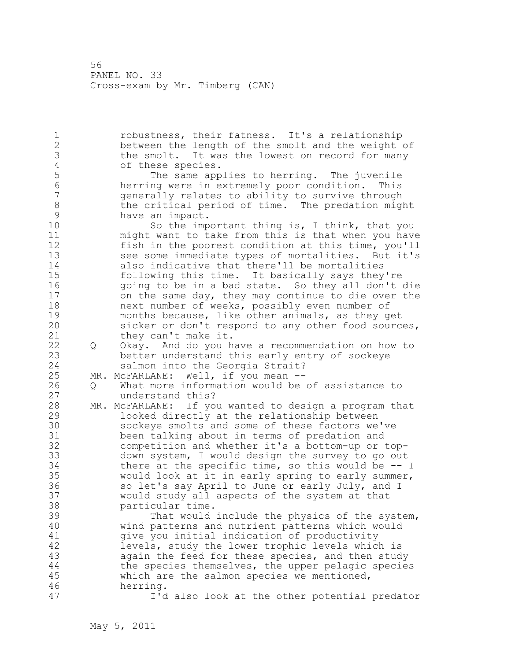1 robustness, their fatness. It's a relationship 2 between the length of the smolt and the weight of 3 the smolt. It was the lowest on record for many<br>4 of these species. 4 of these species.<br>5 The same app 5 The same applies to herring. The juvenile 6 herring were in extremely poor condition. This generally relates to ability to survive through 8 the critical period of time. The predation might<br>9 have an impact. 9 have an impact.<br>10 So the imp So the important thing is, I think, that you 11 might want to take from this is that when you have 12 fish in the poorest condition at this time, you'll 13 see some immediate types of mortalities. But it's 14 also indicative that there'll be mortalities 15 following this time. It basically says they're 16 going to be in a bad state. So they all don't die 17 on the same day, they may continue to die over the 18 next number of weeks, possibly even number of 19 months because, like other animals, as they get<br>20 sicker or don't respond to any other food sourc sicker or don't respond to any other food sources, 21 they can't make it. 22 Q Okay. And do you have a recommendation on how to 23 better understand this early entry of sockeye 24 salmon into the Georgia Strait? 25 MR. McFARLANE: Well, if you mean -- 26 Q What more information would be of assistance to<br>27 conderstand this? understand this? 28 MR. McFARLANE: If you wanted to design a program that 29 looked directly at the relationship between 30 sockeye smolts and some of these factors we've been talking about in terms of predation and 32 competition and whether it's a bottom-up or top-33 down system, I would design the survey to go out 34 there at the specific time, so this would be -- I 35 would look at it in early spring to early summer, 36 so let's say April to June or early July, and I 37 would study all aspects of the system at that 38 particular time. 39 That would include the physics of the system, 40 wind patterns and nutrient patterns which would 41 give you initial indication of productivity<br>42 levels, study the lower trophic levels which levels, study the lower trophic levels which is 43 again the feed for these species, and then study 44 the species themselves, the upper pelagic species 45 which are the salmon species we mentioned, 46 herring. 47 I'd also look at the other potential predator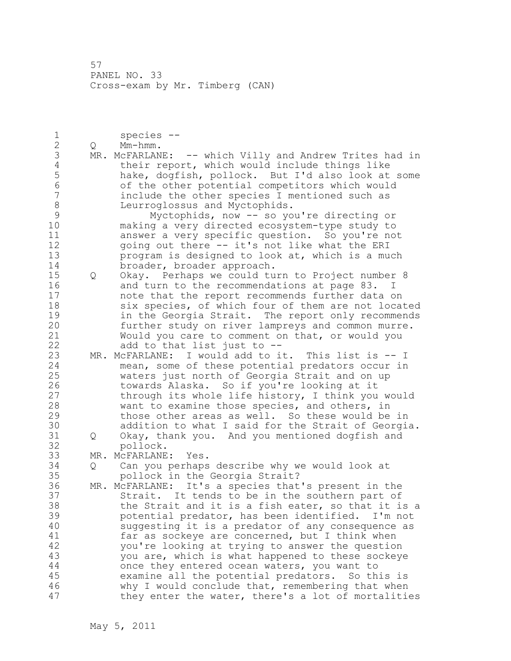1 species -- 2 Q Mm-hmm. 3 MR. McFARLANE: -- which Villy and Andrew Trites had in<br>4 their report, which would include things like 4 their report, which would include things like<br>5 hake, dogfish, pollock. But I'd also look at 5 hake, dogfish, pollock. But I'd also look at some 6 of the other potential competitors which would include the other species I mentioned such as 8 Leurroglossus and Myctophids.<br>9 Myctophids, now -- so yo 9 Myctophids, now -- so you're directing or making a very directed ecosystem-type study to 11 answer a very specific question. So you're not 12 going out there -- it's not like what the ERI 13 program is designed to look at, which is a much 14 broader, broader approach. 15 Q Okay. Perhaps we could turn to Project number 8 16 and turn to the recommendations at page 83. I 17 note that the report recommends further data on 18 six species, of which four of them are not located 19 19 in the Georgia Strait. The report only recommends<br>20 further study on river lampreys and common murre. further study on river lampreys and common murre. 21 Would you care to comment on that, or would you 22 add to that list just to -- 23 MR. McFARLANE: I would add to it. This list is -- I 24 mean, some of these potential predators occur in 25 waters just north of Georgia Strait and on up 26 towards Alaska. So if you're looking at it<br>27 through its whole life history, I think you through its whole life history, I think you would 28 want to examine those species, and others, in 29 those other areas as well. So these would be in 30 addition to what I said for the Strait of Georgia.<br>31 0 Okav, thank you. And you mentioned dogfish and Q Okay, thank you. And you mentioned dogfish and 32 pollock. 33 MR. McFARLANE: Yes. 34 Q Can you perhaps describe why we would look at 35 pollock in the Georgia Strait? 36 MR. McFARLANE: It's a species that's present in the 37 Strait. It tends to be in the southern part of 38 the Strait and it is a fish eater, so that it is a 39 potential predator, has been identified. I'm not 40 suggesting it is a predator of any consequence as 41 far as sockeye are concerned, but I think when<br>42 vou're looking at trying to answer the question you're looking at trying to answer the question 43 you are, which is what happened to these sockeye 44 once they entered ocean waters, you want to 45 examine all the potential predators. So this is 46 why I would conclude that, remembering that when 47 they enter the water, there's a lot of mortalities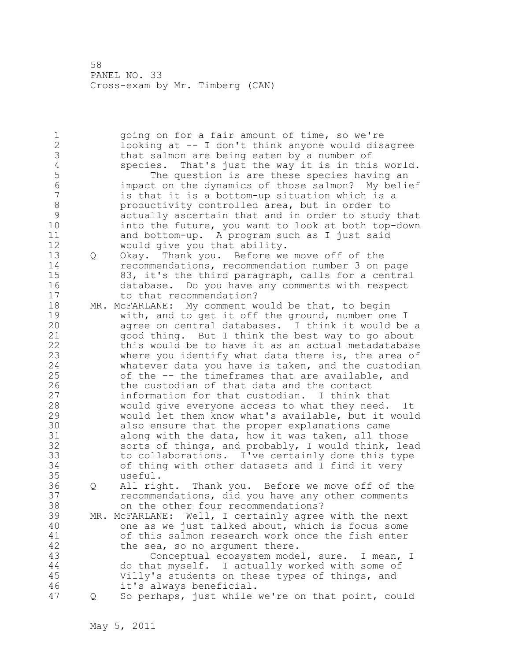1 and in going on for a fair amount of time, so we're 2 looking at -- I don't think anyone would disagree 3 that salmon are being eaten by a number of<br>4 species. That's just the way it is in thim 4 species. That's just the way it is in this world.<br>5 The question is are these species having an 5 The question is are these species having an 6 impact on the dynamics of those salmon? My belief is that it is a bottom-up situation which is a 8 productivity controlled area, but in order to 9 actually ascertain that and in order to study that into the future, you want to look at both top-down 11 and bottom-up. A program such as I just said 12 would give you that ability. 13 Q Okay. Thank you. Before we move off of the 14 recommendations, recommendation number 3 on page 15 83, it's the third paragraph, calls for a central 16 database. Do you have any comments with respect 17 to that recommendation? 18 MR. McFARLANE: My comment would be that, to begin 19 with, and to get it off the ground, number one I<br>20 agree on central databases. I think it would be agree on central databases. I think it would be a 21 good thing. But I think the best way to go about 22 this would be to have it as an actual metadatabase 23 where you identify what data there is, the area of 24 whatever data you have is taken, and the custodian 25 of the -- the timeframes that are available, and 26 the custodian of that data and the contact<br>27 information for that custodian. I think th information for that custodian. I think that 28 would give everyone access to what they need. It 29 would let them know what's available, but it would 30 also ensure that the proper explanations came<br>31 along with the data, how it was taken, all th along with the data, how it was taken, all those 32 sorts of things, and probably, I would think, lead 33 to collaborations. I've certainly done this type 34 of thing with other datasets and I find it very 35 useful. 36 Q All right. Thank you. Before we move off of the 37 recommendations, did you have any other comments 38 on the other four recommendations? 39 MR. McFARLANE: Well, I certainly agree with the next 40 one as we just talked about, which is focus some 41 of this salmon research work once the fish enter<br>42 the sea, so no arqument there. the sea, so no argument there. 43 Conceptual ecosystem model, sure. I mean, I 44 do that myself. I actually worked with some of 45 Villy's students on these types of things, and 46 it's always beneficial. 47 Q So perhaps, just while we're on that point, could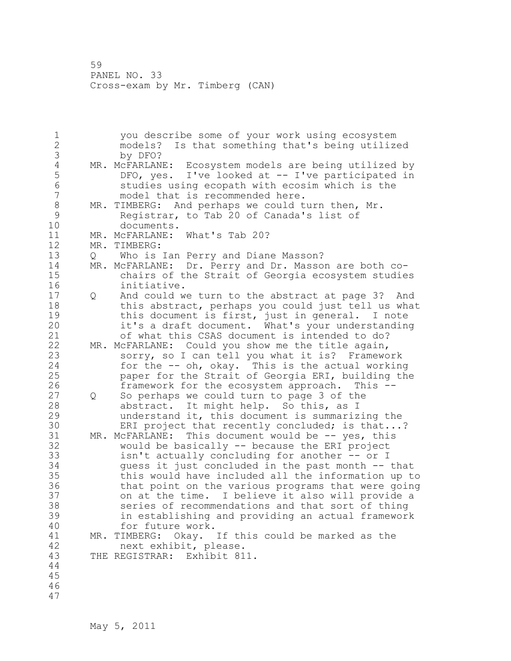1 you describe some of your work using ecosystem 2 models? Is that something that's being utilized 3 by DFO?<br>4 MR. McFARLAN! 4 MR. McFARLANE: Ecosystem models are being utilized by<br>5 DFO, yes. I've looked at -- I've participated in 5 DFO, yes. I've looked at -- I've participated in<br>6 Studies using ecopath with ecosim which is the 6 studies using ecopath with ecosim which is the model that is recommended here. 8 MR. TIMBERG: And perhaps we could turn then, Mr.<br>9 Registrar, to Tab 20 of Canada's list of 9 Registrar, to Tab 20 of Canada's list of documents. 11 MR. McFARLANE: What's Tab 20? 12 MR. TIMBERG: 13 Q Who is Ian Perry and Diane Masson? 14 MR. McFARLANE: Dr. Perry and Dr. Masson are both co-15 chairs of the Strait of Georgia ecosystem studies 16 initiative. 17 Q And could we turn to the abstract at page 3? And 18 this abstract, perhaps you could just tell us what 19 this document is first, just in general. I note 20 it's a draft document. What's your understanding 21 of what this CSAS document is intended to do? 22 MR. McFARLANE: Could you show me the title again, 23 sorry, so I can tell you what it is? Framework 24 for the -- oh, okay. This is the actual working 25 paper for the Strait of Georgia ERI, building the 26 framework for the ecosystem approach. This --<br>27 0 So perhaps we could turn to page 3 of the 27 Q So perhaps we could turn to page 3 of the 28 abstract. It might help. So this, as I 29 understand it, this document is summarizing the 30 ERI project that recently concluded; is that...?<br>31 MR. McFARLANE: This document would be -- ves, this  $MR.$  McFARLANE: This document would be  $-$  yes, this 32 would be basically -- because the ERI project 33 isn't actually concluding for another -- or I 34 guess it just concluded in the past month -- that 35 this would have included all the information up to 36 that point on the various programs that were going 37 on at the time. I believe it also will provide a 38 series of recommendations and that sort of thing 39 in establishing and providing an actual framework 40 for future work. 41 MR. TIMBERG: Okay. If this could be marked as the 42 next exhibit, please. 43 THE REGISTRAR: Exhibit 811. 44 45 46 47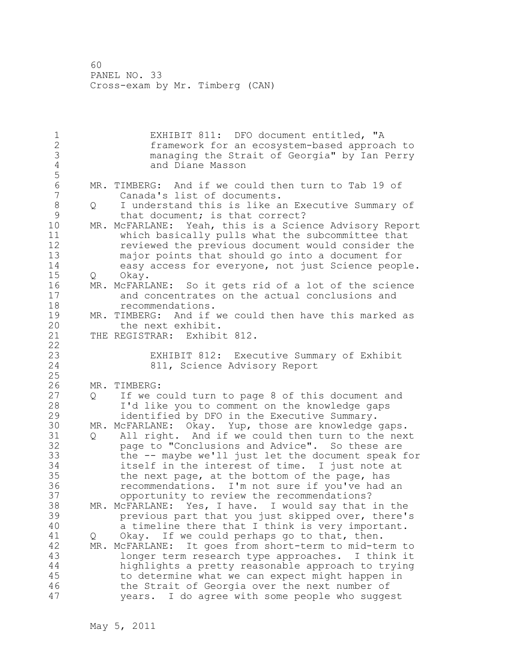1 EXHIBIT 811: DFO document entitled, "A<br>2 framework for an ecosystem-based approa framework for an ecosystem-based approach to 3 managing the Strait of Georgia" by Ian Perry and Diane Masson 5 6 MR. TIMBERG: And if we could then turn to Tab 19 of<br>7 Canada's list of documents. Canada's list of documents. 8 Q I understand this is like an Executive Summary of<br>9 that document: is that correct? 9 that document; is that correct?<br>10 MR. McFARLANE: Yeah, this is a Scie MR. McFARLANE: Yeah, this is a Science Advisory Report 11 which basically pulls what the subcommittee that 12 reviewed the previous document would consider the 13 major points that should go into a document for 14 easy access for everyone, not just Science people. 15 Q Okay. 16 MR. McFARLANE: So it gets rid of a lot of the science 17 and concentrates on the actual conclusions and 18 recommendations. 19 MR. TIMBERG: And if we could then have this marked as the next exhibit. the next exhibit. 21 THE REGISTRAR: Exhibit 812. 22 23 EXHIBIT 812: Executive Summary of Exhibit 24 811, Science Advisory Report 25 26 MR. TIMBERG:<br>27 0 If we c 27 Q If we could turn to page 8 of this document and<br>28 T'd like you to comment on the knowledge gaps I'd like you to comment on the knowledge gaps 29 identified by DFO in the Executive Summary. 30 MR. McFARLANE: Okay. Yup, those are knowledge gaps. 31 Q All right. And if we could then turn to the next<br>32 bage to "Conclusions and Advice". So these are page to "Conclusions and Advice". So these are 33 the -- maybe we'll just let the document speak for 34 itself in the interest of time. I just note at 35 the next page, at the bottom of the page, has 36 recommendations. I'm not sure if you've had an 37 opportunity to review the recommendations? 38 MR. McFARLANE: Yes, I have. I would say that in the 39 previous part that you just skipped over, there's 40 a timeline there that I think is very important. 41 Q Okay. If we could perhaps go to that, then.<br>42 MR. McFARLANE: It goes from short-term to mid-te MR. McFARLANE: It goes from short-term to mid-term to 43 longer term research type approaches. I think it 44 highlights a pretty reasonable approach to trying 45 to determine what we can expect might happen in 46 the Strait of Georgia over the next number of 47 years. I do agree with some people who suggest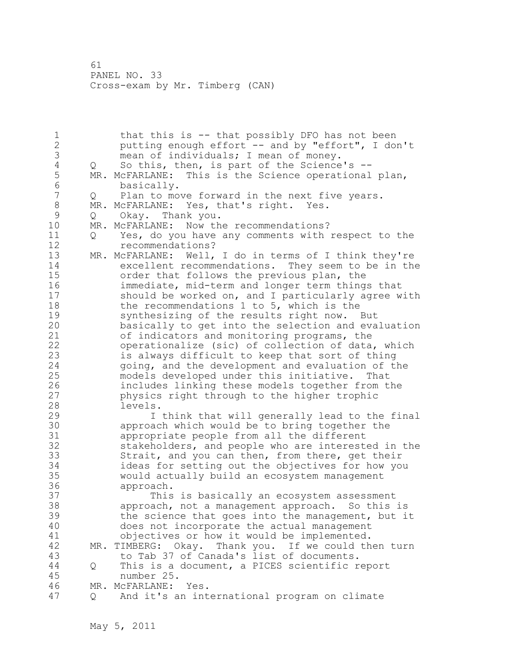1 that this is -- that possibly DFO has not been 2 putting enough effort -- and by "effort", I don't 3 mean of individuals; I mean of money.<br>4 Q So this, then, is part of the Science 4 Q So this, then, is part of the Science's --<br>5 MR. McFARLANE: This is the Science operational 5 MR. McFARLANE: This is the Science operational plan,<br>6 basically. 6 basically.<br>7 0 Plan to mo Plan to move forward in the next five years. 8 MR. McFARLANE: Yes, that's right. Yes.<br>9 0 Okav. Thank you. 9 Q Okay. Thank you. MR. McFARLANE: Now the recommendations? 11 Q Yes, do you have any comments with respect to the 12 recommendations? 13 MR. McFARLANE: Well, I do in terms of I think they're 14 excellent recommendations. They seem to be in the 15 order that follows the previous plan, the 16 immediate, mid-term and longer term things that 17 should be worked on, and I particularly agree with 18 the recommendations 1 to 5, which is the 19 synthesizing of the results right now. But<br>20 basically to get into the selection and eva basically to get into the selection and evaluation 21 of indicators and monitoring programs, the 22 operationalize (sic) of collection of data, which 23 is always difficult to keep that sort of thing 24 going, and the development and evaluation of the 25 models developed under this initiative. That 26 includes linking these models together from the<br>27 bhysics right through to the higher trophic 27 physics right through to the higher trophic levels. 29 I think that will generally lead to the final 30 approach which would be to bring together the<br>31 appropriate people from all the different 31 appropriate people from all the different<br>32 stakeholders, and people who are interest stakeholders, and people who are interested in the 33 Strait, and you can then, from there, get their 34 ideas for setting out the objectives for how you 35 would actually build an ecosystem management 36 approach. 37 This is basically an ecosystem assessment 38 approach, not a management approach. So this is 39 the science that goes into the management, but it 40 does not incorporate the actual management 41 objectives or how it would be implemented.<br>42 MR. TIMBERG: Okay. Thank you. If we could th MR. TIMBERG: Okay. Thank you. If we could then turn 43 to Tab 37 of Canada's list of documents. 44 Q This is a document, a PICES scientific report 45 number 25. 46 MR. McFARLANE: Yes. 47 Q And it's an international program on climate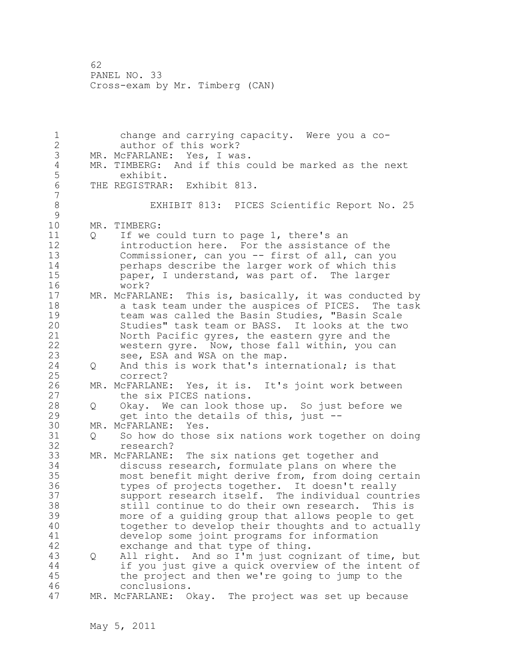1 change and carrying capacity. Were you a co-2 author of this work? 3 MR. McFARLANE: Yes, I was. 4 MR. TIMBERG: And if this could be marked as the next<br>5 exhibit. 5 exhibit.<br>6 THE REGISTRAR THE REGISTRAR: Exhibit 813. 7 8 EXHIBIT 813: PICES Scientific Report No. 25  $\begin{array}{c} 9 \\ 10 \end{array}$ MR. TIMBERG: 11 Q If we could turn to page 1, there's an 12 introduction here. For the assistance of the 13 Commissioner, can you -- first of all, can you 14 perhaps describe the larger work of which this 15 **paper, I understand, was part of. The larger** 16 work? 17 MR. McFARLANE: This is, basically, it was conducted by 18 a task team under the auspices of PICES. The task 19 team was called the Basin Studies, "Basin Scale<br>20 Studies" task team or BASS. It looks at the two Studies" task team or BASS. It looks at the two 21 North Pacific gyres, the eastern gyre and the 22 western gyre. Now, those fall within, you can 23 see, ESA and WSA on the map. 24 Q And this is work that's international; is that 25 correct? 26 MR. McFARLANE: Yes, it is. It's joint work between<br>27 the six PICES nations. the six PICES nations. 28 Q Okay. We can look those up. So just before we 29 get into the details of this, just -- 30 MR. McFARLANE: Yes.<br>31 0 So how do those 31 Q So how do those six nations work together on doing research? 33 MR. McFARLANE: The six nations get together and 34 discuss research, formulate plans on where the 35 most benefit might derive from, from doing certain 36 types of projects together. It doesn't really 37 support research itself. The individual countries 38 still continue to do their own research. This is 39 more of a guiding group that allows people to get 40 together to develop their thoughts and to actually 41 develop some joint programs for information<br>42 exchange and that type of thing. exchange and that type of thing. 43 Q All right. And so I'm just cognizant of time, but 44 if you just give a quick overview of the intent of 45 the project and then we're going to jump to the 46 conclusions. 47 MR. McFARLANE: Okay. The project was set up because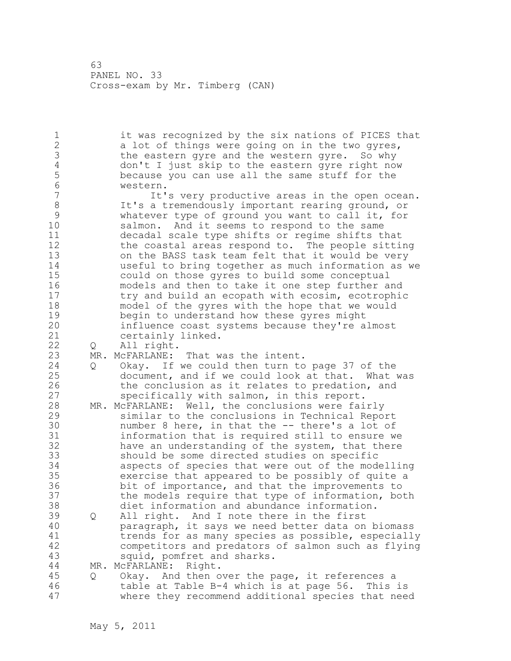1 it was recognized by the six nations of PICES that 2 a lot of things were going on in the two gyres, 3 the eastern gyre and the western gyre. So why<br>4 don't I just skip to the eastern gyre right now 4 don't I just skip to the eastern gyre right now<br>5 because you can use all the same stuff for the 5 because you can use all the same stuff for the 6 western.<br>7 It' It's very productive areas in the open ocean. 8 It's a tremendously important rearing ground, or<br>9 whatever type of ground you want to call it, for 9 whatever type of ground you want to call it, for salmon. And it seems to respond to the same 11 decadal scale type shifts or regime shifts that 12 the coastal areas respond to. The people sitting 13 on the BASS task team felt that it would be very 14 useful to bring together as much information as we 15 could on those gyres to build some conceptual 16 models and then to take it one step further and 17 try and build an ecopath with ecosim, ecotrophic 18 model of the gyres with the hope that we would 19 begin to understand how these gyres might<br>20 influence coast systems because they're a influence coast systems because they're almost 21 certainly linked. 22 Q All right. 23 MR. McFARLANE: That was the intent. 24 Q Okay. If we could then turn to page 37 of the 25 document, and if we could look at that. What was 26 the conclusion as it relates to predation, and<br>27 specifically with salmon, in this report. specifically with salmon, in this report. 28 MR. McFARLANE: Well, the conclusions were fairly 29 similar to the conclusions in Technical Report 30 mumber 8 here, in that the -- there's a lot of<br>31 information that is required still to ensure w information that is required still to ensure we 32 have an understanding of the system, that there 33 should be some directed studies on specific 34 aspects of species that were out of the modelling 35 exercise that appeared to be possibly of quite a 36 bit of importance, and that the improvements to 37 the models require that type of information, both 38 diet information and abundance information. 39 Q All right. And I note there in the first 40 paragraph, it says we need better data on biomass 41 trends for as many species as possible, especially<br>42 competitors and predators of salmon such as flving competitors and predators of salmon such as flying 43 squid, pomfret and sharks. 44 MR. McFARLANE: Right. 45 Q Okay. And then over the page, it references a 46 table at Table B-4 which is at page 56. This is 47 where they recommend additional species that need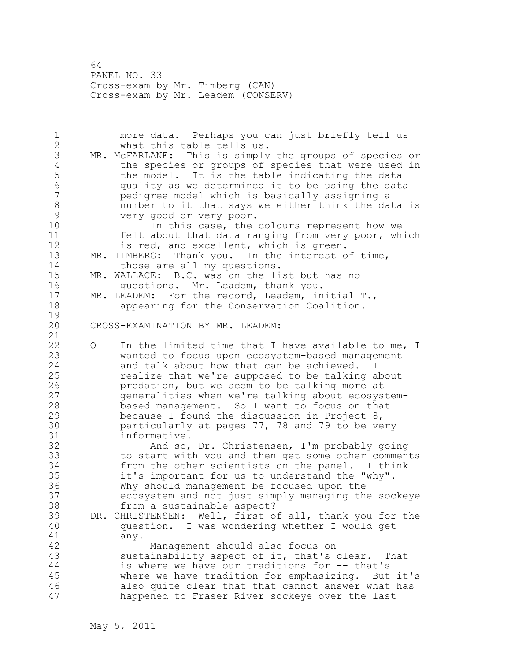64 PANEL NO. 33 Cross-exam by Mr. Timberg (CAN) Cross-exam by Mr. Leadem (CONSERV)

1 more data. Perhaps you can just briefly tell us 2 what this table tells us. 3 MR. McFARLANE: This is simply the groups of species or<br>4 the species or groups of species that were used in 4 the species or groups of species that were used in<br>5 the model. It is the table indicating the data 5 the model. It is the table indicating the data<br>6 quality as we determined it to be using the data 6 quality as we determined it to be using the data 7 pedigree model which is basically assigning a 8 number to it that says we either think the data is<br>9 very good or very poor. 9 very good or very poor. In this case, the colours represent how we 11 felt about that data ranging from very poor, which 12 is red, and excellent, which is green. 13 MR. TIMBERG: Thank you. In the interest of time, 14 those are all my questions. 15 MR. WALLACE: B.C. was on the list but has no 16 questions. Mr. Leadem, thank you. 17 MR. LEADEM: For the record, Leadem, initial T., 18 appearing for the Conservation Coalition.  $\frac{19}{20}$ CROSS-EXAMINATION BY MR. LEADEM: 21 22 Q In the limited time that I have available to me, I 23 wanted to focus upon ecosystem-based management 24 and talk about how that can be achieved. I 25 realize that we're supposed to be talking about 26 predation, but we seem to be talking more at<br>27 eeneralities when we're talking about ecosys generalities when we're talking about ecosystem-28 based management. So I want to focus on that 29 because I found the discussion in Project 8, 30 particularly at pages 77, 78 and 79 to be very<br>31 informative. 31 informative.<br>32 And so, And so, Dr. Christensen, I'm probably going 33 to start with you and then get some other comments 34 from the other scientists on the panel. I think 35 it's important for us to understand the "why". 36 Why should management be focused upon the 37 ecosystem and not just simply managing the sockeye 38 from a sustainable aspect? 39 DR. CHRISTENSEN: Well, first of all, thank you for the 40 question. I was wondering whether I would get  $41$  any.<br> $42$ Management should also focus on 43 sustainability aspect of it, that's clear. That 44 is where we have our traditions for -- that's 45 where we have tradition for emphasizing. But it's 46 also quite clear that that cannot answer what has 47 happened to Fraser River sockeye over the last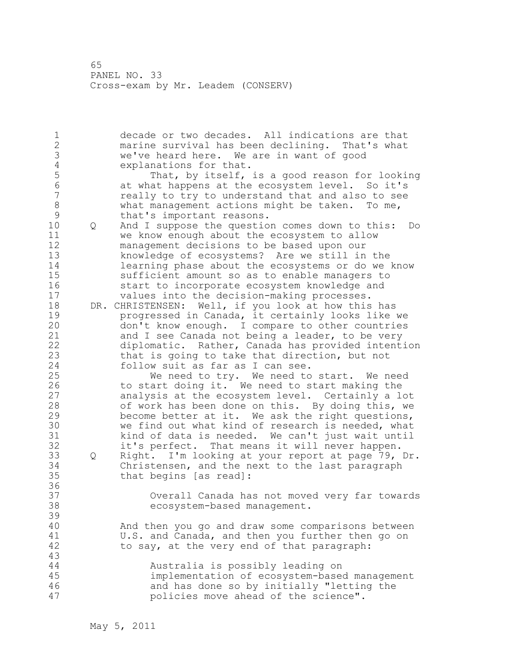65 PANEL NO. 33 Cross-exam by Mr. Leadem (CONSERV)

1 decade or two decades. All indications are that 2 marine survival has been declining. That's what 3 we've heard here. We are in want of good<br>4 explanations for that. 4 explanations for that.<br>5 That, by itself, 5 That, by itself, is a good reason for looking<br>6 at what happens at the ecosystem level. So it's 6 at what happens at the ecosystem level. So it's really to try to understand that and also to see 8 what management actions might be taken. To me, 9 that's important reasons.<br>10 0 And I suppose the questio 10 Q And I suppose the question comes down to this: Do 11 we know enough about the ecosystem to allow 12 management decisions to be based upon our 13 knowledge of ecosystems? Are we still in the 14 learning phase about the ecosystems or do we know 15 sufficient amount so as to enable managers to 16 start to incorporate ecosystem knowledge and 17 values into the decision-making processes. 18 DR. CHRISTENSEN: Well, if you look at how this has 19 19 progressed in Canada, it certainly looks like we<br>20 10 don't know enough. I compare to other countries don't know enough. I compare to other countries 21 and I see Canada not being a leader, to be very 22 diplomatic. Rather, Canada has provided intention 23 that is going to take that direction, but not 24 follow suit as far as I can see. 25 We need to try. We need to start. We need 26 to start doing it. We need to start making the<br>27 analysis at the ecosystem level. Certainly a le analysis at the ecosystem level. Certainly a lot 28 of work has been done on this. By doing this, we 29 become better at it. We ask the right questions, 30 we find out what kind of research is needed, what<br>31 kind of data is needed. We can't just wait until kind of data is needed. We can't just wait until 32 it's perfect. That means it will never happen. 33 Q Right. I'm looking at your report at page 79, Dr. 34 Christensen, and the next to the last paragraph 35 that begins [as read]: 36 37 Overall Canada has not moved very far towards 38 ecosystem-based management. 39 40 And then you go and draw some comparisons between 41 U.S. and Canada, and then you further then go on<br>42 to sav, at the very end of that paragraph: to say, at the very end of that paragraph: 43 44 Australia is possibly leading on 45 implementation of ecosystem-based management 46 and has done so by initially "letting the 47 policies move ahead of the science".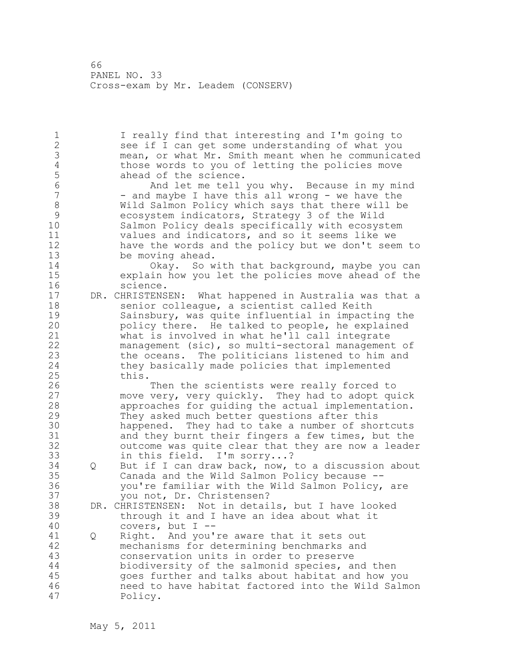1 I really find that interesting and I'm going to 2 see if I can get some understanding of what you 3 mean, or what Mr. Smith meant when he communicated<br>4 those words to you of letting the policies move 4 those words to you of letting the policies move<br>5 ahead of the science. 5 ahead of the science.<br>6 and let me tell 6 And let me tell you why. Because in my mind<br>7 - and mavbe I have this all wrong - we have the - and maybe I have this all wrong - we have the 8 Wild Salmon Policy which says that there will be<br>9 ecosystem indicators, Strategy 3 of the Wild 9 ecosystem indicators, Strategy 3 of the Wild Salmon Policy deals specifically with ecosystem 11 values and indicators, and so it seems like we 12 have the words and the policy but we don't seem to 13 be moving ahead. 14 Okay. So with that background, maybe you can 15 explain how you let the policies move ahead of the 16 science. 17 DR. CHRISTENSEN: What happened in Australia was that a 18 senior colleague, a scientist called Keith 19 Sainsbury, was quite influential in impacting the<br>20 policy there. He talked to people, he explained policy there. He talked to people, he explained 21 what is involved in what he'll call integrate 22 management (sic), so multi-sectoral management of 23 the oceans. The politicians listened to him and 24 they basically made policies that implemented 25 this. 26 Then the scientists were really forced to<br>27 move very, very quickly. They had to adopt qu move very, very quickly. They had to adopt quick 28 approaches for guiding the actual implementation. 29 They asked much better questions after this 30 happened. They had to take a number of shortcuts and they burnt their fingers a few times, but the 32 outcome was quite clear that they are now a leader 33 in this field. I'm sorry...? 34 Q But if I can draw back, now, to a discussion about 35 Canada and the Wild Salmon Policy because -- 36 you're familiar with the Wild Salmon Policy, are 37 you not, Dr. Christensen? 38 DR. CHRISTENSEN: Not in details, but I have looked 39 through it and I have an idea about what it 40 covers, but I -- 41 Q Right. And you're aware that it sets out<br>42 mechanisms for determining benchmarks and mechanisms for determining benchmarks and 43 conservation units in order to preserve 44 biodiversity of the salmonid species, and then 45 goes further and talks about habitat and how you 46 need to have habitat factored into the Wild Salmon 47 Policy.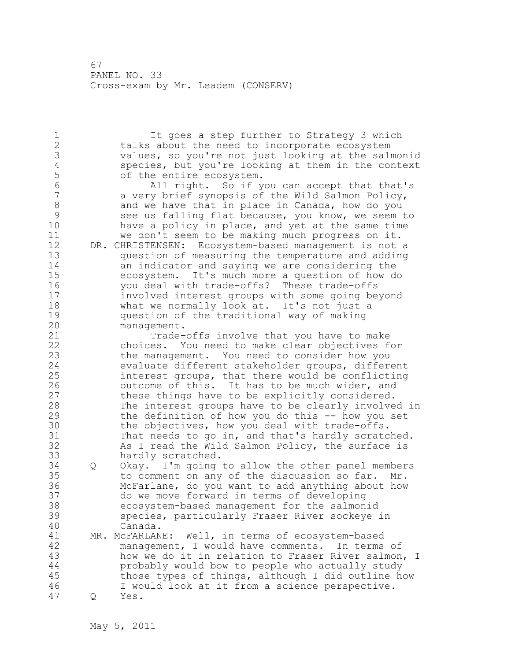1 It goes a step further to Strategy 3 which 2 talks about the need to incorporate ecosystem 3 values, so you're not just looking at the salmonid 4 species, but you're looking at them in the context<br>5 of the entire ecosystem. 5 of the entire ecosystem.<br>6 all right. So if y 6 All right. So if you can accept that that's a very brief synopsis of the Wild Salmon Policy, 8 and we have that in place in Canada, how do you<br>9 see us falling flat because, you know, we seem 9 see us falling flat because, you know, we seem to<br>10 have a policy in place, and yet at the same time have a policy in place, and yet at the same time 11 we don't seem to be making much progress on it. 12 DR. CHRISTENSEN: Ecosystem-based management is not a 13 question of measuring the temperature and adding 14 an indicator and saying we are considering the 15 ecosystem. It's much more a question of how do 16 you deal with trade-offs? These trade-offs 17 involved interest groups with some going beyond 18 what we normally look at. It's not just a 19 question of the traditional way of making<br>20 management. management. 21 Trade-offs involve that you have to make 22 choices. You need to make clear objectives for 23 the management. You need to consider how you 24 evaluate different stakeholder groups, different 25 interest groups, that there would be conflicting 26 outcome of this. It has to be much wider, and<br>27 these things have to be explicitly considered. these things have to be explicitly considered. 28 The interest groups have to be clearly involved in 29 the definition of how you do this -- how you set 30 the objectives, how you deal with trade-offs.<br>31 That needs to go in, and that's hardly scratc That needs to go in, and that's hardly scratched. 32 As I read the Wild Salmon Policy, the surface is 33 hardly scratched. 34 Q Okay. I'm going to allow the other panel members 35 to comment on any of the discussion so far. Mr. 36 McFarlane, do you want to add anything about how 37 do we move forward in terms of developing 38 ecosystem-based management for the salmonid 39 species, particularly Fraser River sockeye in 40 Canada. 41 MR. McFARLANE: Well, in terms of ecosystem-based<br>42 management, I would have comments. In terms management, I would have comments. In terms of 43 how we do it in relation to Fraser River salmon, I 44 probably would bow to people who actually study 45 those types of things, although I did outline how 46 I would look at it from a science perspective. 47 Q Yes.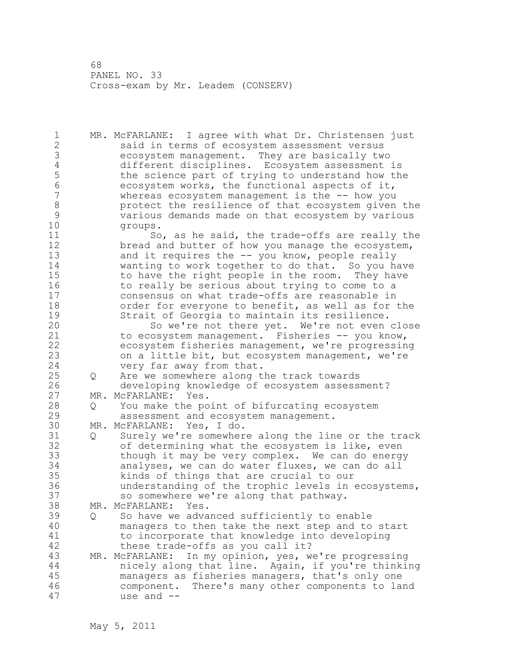1 MR. McFARLANE: I agree with what Dr. Christensen just 2 said in terms of ecosystem assessment versus 3 ecosystem management. They are basically two 4 different disciplines. Ecosystem assessment is<br>5 the science part of trying to understand how th 5 the science part of trying to understand how the<br>6 ecosystem works, the functional aspects of it, 6 ecosystem works, the functional aspects of it, whereas ecosystem management is the  $-$ - how you 8 protect the resilience of that ecosystem given the 9 various demands made on that ecosystem by various groups. 11 So, as he said, the trade-offs are really the 12 bread and butter of how you manage the ecosystem, 13 and it requires the -- you know, people really 14 wanting to work together to do that. So you have 15 to have the right people in the room. They have 16 to really be serious about trying to come to a 17 consensus on what trade-offs are reasonable in 18 order for everyone to benefit, as well as for the 19 Strait of Georgia to maintain its resilience.<br>20 So we're not there yet. We're not even So we're not there yet. We're not even close 21 to ecosystem management. Fisheries -- you know, 22 ecosystem fisheries management, we're progressing 23 on a little bit, but ecosystem management, we're 24 very far away from that. 25 Q Are we somewhere along the track towards 26 developing knowledge of ecosystem assessment?<br>27 MR. McFARLANE: Yes. MR. McFARLANE: Yes. 28 Q You make the point of bifurcating ecosystem 29 assessment and ecosystem management. 30 MR. McFARLANE: Yes, I do.<br>31 0 Surely we're somewher 31 Q Surely we're somewhere along the line or the track 32 of determining what the ecosystem is like, even 33 though it may be very complex. We can do energy 34 analyses, we can do water fluxes, we can do all 35 kinds of things that are crucial to our 36 understanding of the trophic levels in ecosystems, 37 so somewhere we're along that pathway. 38 MR. McFARLANE: Yes. 39 Q So have we advanced sufficiently to enable 40 managers to then take the next step and to start 41 to incorporate that knowledge into developing<br>42 these trade-offs as you call it? these trade-offs as you call it? 43 MR. McFARLANE: In my opinion, yes, we're progressing 44 nicely along that line. Again, if you're thinking 45 managers as fisheries managers, that's only one 46 component. There's many other components to land 47 use and --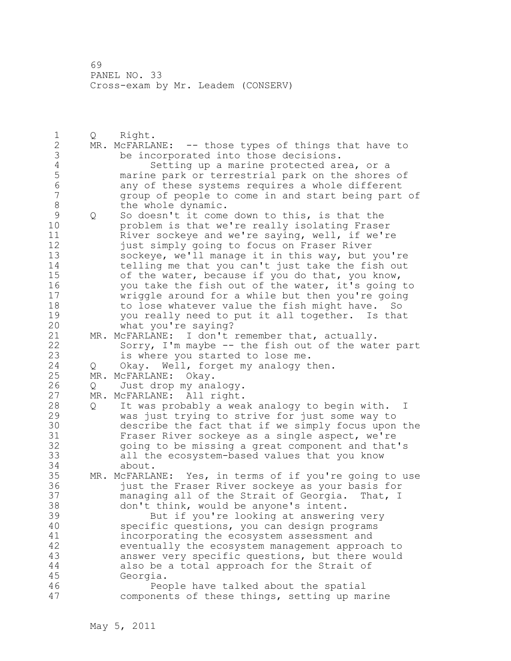1 Q Right. 2 MR. McFARLANE: -- those types of things that have to 3 be incorporated into those decisions.<br>4 Setting up a marine protected are 4 Setting up a marine protected area, or a<br>5 The marine park or terrestrial park on the shores 5 marine park or terrestrial park on the shores of 6 any of these systems requires a whole different group of people to come in and start being part of 8 the whole dynamic. 9 Q So doesn't it come down to this, is that the<br>10 oroblem is that we're really isolating Frase problem is that we're really isolating Fraser 11 River sockeye and we're saying, well, if we're 12 just simply going to focus on Fraser River 13 sockeye, we'll manage it in this way, but you're 14 telling me that you can't just take the fish out 15 of the water, because if you do that, you know, 16 you take the fish out of the water, it's going to 17 wriggle around for a while but then you're going 18 to lose whatever value the fish might have. So 19 you really need to put it all together. Is that<br>20 what you're saying? what you're saying? 21 MR. McFARLANE: I don't remember that, actually. 22 Sorry, I'm maybe -- the fish out of the water part 23 is where you started to lose me. 24 Q Okay. Well, forget my analogy then. 25 MR. McFARLANE: Okay. 26 Q Just drop my analogy.<br>27 MR. McFARLANE: All right. MR. McFARLANE: All right. 28 Q It was probably a weak analogy to begin with. I 29 was just trying to strive for just some way to 30 describe the fact that if we simply focus upon the<br>31 Fraser River sockeye as a single aspect, we're Fraser River sockeye as a single aspect, we're 32 going to be missing a great component and that's 33 all the ecosystem-based values that you know 34 about. 35 MR. McFARLANE: Yes, in terms of if you're going to use 36 just the Fraser River sockeye as your basis for 37 managing all of the Strait of Georgia. That, I 38 don't think, would be anyone's intent. 39 But if you're looking at answering very 40 specific questions, you can design programs 41 incorporating the ecosystem assessment and 42 eventually the ecosystem management approach to 43 answer very specific questions, but there would 44 also be a total approach for the Strait of 45 Georgia. 46 People have talked about the spatial 47 components of these things, setting up marine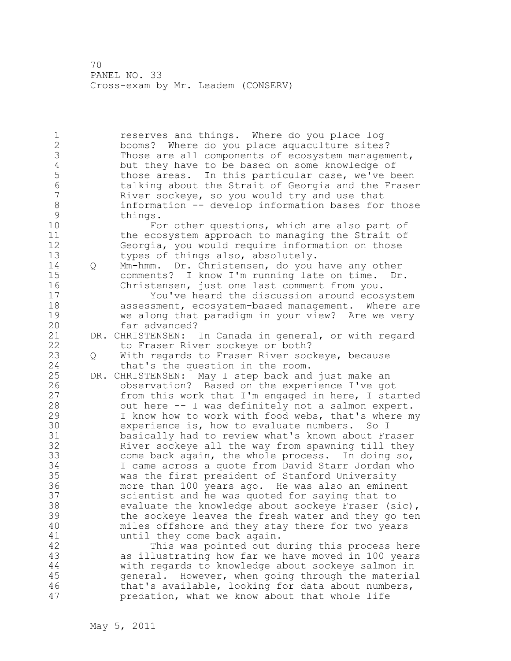1 reserves and things. Where do you place log 2 booms? Where do you place aquaculture sites? 3 Those are all components of ecosystem management,<br>4 but they have to be based on some knowledge of 4 but they have to be based on some knowledge of<br>5 those areas. In this particular case, we've b 5 those areas. In this particular case, we've been<br>6 talking about the Strait of Georgia and the Frase: 6 talking about the Strait of Georgia and the Fraser River sockeye, so you would try and use that 8 information -- develop information bases for those<br>9 things. 9 things.<br>10 Fo For other questions, which are also part of 11 the ecosystem approach to managing the Strait of 12 Georgia, you would require information on those 13 types of things also, absolutely. 14 Q Mm-hmm. Dr. Christensen, do you have any other 15 comments? I know I'm running late on time. Dr. 16 Christensen, just one last comment from you. 17 You've heard the discussion around ecosystem 18 assessment, ecosystem-based management. Where are 19 we along that paradigm in your view? Are we very<br>20 far advanced? far advanced? 21 DR. CHRISTENSEN: In Canada in general, or with regard 22 to Fraser River sockeye or both? 23 Q With regards to Fraser River sockeye, because 24 that's the question in the room. 25 DR. CHRISTENSEN: May I step back and just make an 26 observation? Based on the experience I've got<br>27 from this work that I'm engaged in here, I sta from this work that I'm engaged in here, I started 28 out here -- I was definitely not a salmon expert. 29 I know how to work with food webs, that's where my 30 experience is, how to evaluate numbers. So I 31 basically had to review what's known about Fraser 32 River sockeye all the way from spawning till they 33 come back again, the whole process. In doing so, 34 I came across a quote from David Starr Jordan who 35 was the first president of Stanford University 36 more than 100 years ago. He was also an eminent 37 scientist and he was quoted for saying that to 38 evaluate the knowledge about sockeye Fraser (sic), 39 the sockeye leaves the fresh water and they go ten 40 miles offshore and they stay there for two years 41 until they come back again.<br>42 This was pointed out d This was pointed out during this process here 43 as illustrating how far we have moved in 100 years 44 with regards to knowledge about sockeye salmon in 45 general. However, when going through the material 46 that's available, looking for data about numbers, 47 predation, what we know about that whole life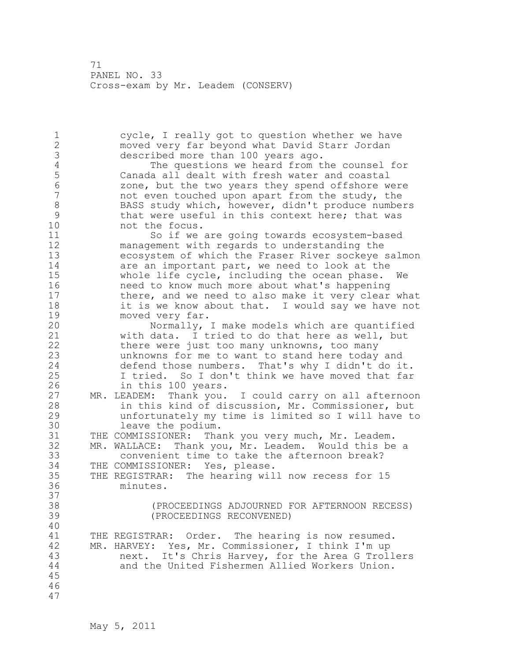1 cycle, I really got to question whether we have 2 moved very far beyond what David Starr Jordan 3 described more than 100 years ago.<br>4 The questions we heard from t 4 The questions we heard from the counsel for<br>5 Canada all dealt with fresh water and coastal 5 Canada all dealt with fresh water and coastal 6 zone, but the two years they spend offshore were<br>7 and even touched upon apart from the study, the not even touched upon apart from the study, the 8 BASS study which, however, didn't produce numbers<br>9 that were useful in this context here; that was 9 that were useful in this context here; that was<br>10 ont the focus. not the focus. 11 So if we are going towards ecosystem-based 12 management with regards to understanding the 13 ecosystem of which the Fraser River sockeye salmon 14 are an important part, we need to look at the<br>15 whole life cycle, including the ocean phase. whole life cycle, including the ocean phase. We 16 need to know much more about what's happening 17 there, and we need to also make it very clear what 18 it is we know about that. I would say we have not 19 moved very far.<br>20 Mormally, Normally, I make models which are quantified 21 with data. I tried to do that here as well, but 22 there were just too many unknowns, too many 23 unknowns for me to want to stand here today and 24 defend those numbers. That's why I didn't do it. 25 I tried. So I don't think we have moved that far 26 in this 100 years.<br>27 MR. LEADEM: Thank you. MR. LEADEM: Thank you. I could carry on all afternoon 28 in this kind of discussion, Mr. Commissioner, but 29 unfortunately my time is limited so I will have to 30 leave the podium.<br>31 THE COMMISSIONER: Tha THE COMMISSIONER: Thank you very much, Mr. Leadem. 32 MR. WALLACE: Thank you, Mr. Leadem. Would this be a 33 convenient time to take the afternoon break? 34 THE COMMISSIONER: Yes, please. 35 THE REGISTRAR: The hearing will now recess for 15 36 minutes. 37<br>38 38 (PROCEEDINGS ADJOURNED FOR AFTERNOON RECESS) 39 (PROCEEDINGS RECONVENED) 40 41 THE REGISTRAR: Order. The hearing is now resumed.<br>42 MR. HARVEY: Yes, Mr. Commissioner, I think I'm up MR. HARVEY: Yes, Mr. Commissioner, I think I'm up 43 next. It's Chris Harvey, for the Area G Trollers 44 and the United Fishermen Allied Workers Union. 45 46 47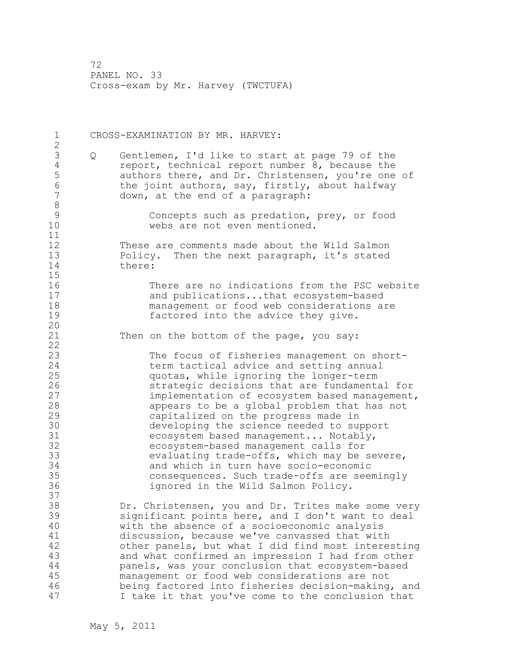1 CROSS-EXAMINATION BY MR. HARVEY: 2 3 Q Gentlemen, I'd like to start at page 79 of the 4 report, technical report number 8, because the<br>5 authors there, and Dr. Christensen, you're one 5 authors there, and Dr. Christensen, you're one of<br>6 the joint authors, sav, firstly, about halfway 6 the joint authors, say, firstly, about halfway<br>7 down, at the end of a paragraph: down, at the end of a paragraph: 8 9 Concepts such as predation, prey, or food<br>10 webs are not even mentioned. webs are not even mentioned. 11 12 These are comments made about the Wild Salmon 13 Policy. Then the next paragraph, it's stated 14 there:  $\frac{15}{16}$ 16 There are no indications from the PSC website<br>17 and publications...that ecosystem-based and publications...that ecosystem-based 18 management or food web considerations are 19 factored into the advice they give. 20 21 Then on the bottom of the page, you say: 22 23 The focus of fisheries management on short-24 term tactical advice and setting annual 25 quotas, while ignoring the longer-term 26 31 strategic decisions that are fundamental for<br>27 simplementation of ecosystem based management 27 implementation of ecosystem based management,<br>28 appears to be a global problem that has not appears to be a global problem that has not 29 capitalized on the progress made in 30 developing the science needed to support<br>31 decosystem based management... Notably, 31 ecosystem based management... Notably,<br>32 ecosystem-based management calls for ecosystem-based management calls for 33 evaluating trade-offs, which may be severe, 34 and which in turn have socio-economic 35 consequences. Such trade-offs are seemingly 36 ignored in the Wild Salmon Policy. 37 38 Dr. Christensen, you and Dr. Trites make some very 39 significant points here, and I don't want to deal 40 with the absence of a socioeconomic analysis 41 discussion, because we've canvassed that with<br>42 other panels, but what I did find most intere other panels, but what I did find most interesting 43 and what confirmed an impression I had from other 44 panels, was your conclusion that ecosystem-based 45 management or food web considerations are not 46 being factored into fisheries decision-making, and 47 I take it that you've come to the conclusion that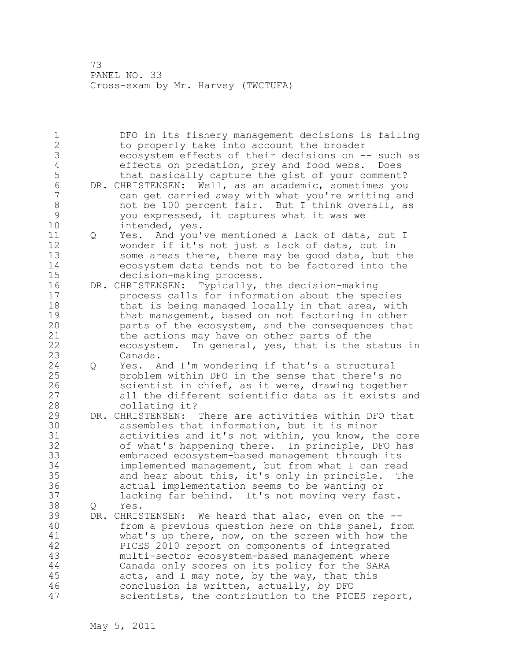1 DFO in its fishery management decisions is failing 2 to properly take into account the broader 3 ecosystem effects of their decisions on -- such as 4 effects on predation, prey and food webs. Does<br>5 that basically capture the gist of your comment 5 that basically capture the gist of your comment?<br>6 DR. CHRISTENSEN: Well, as an academic, sometimes you 6 DR. CHRISTENSEN: Well, as an academic, sometimes you can get carried away with what you're writing and 8 not be 100 percent fair. But I think overall, as 9 you expressed, it captures what it was we intended, yes. 11 Q Yes. And you've mentioned a lack of data, but I 12 wonder if it's not just a lack of data, but in 13 some areas there, there may be good data, but the 14 ecosystem data tends not to be factored into the 15 decision-making process. 16 DR. CHRISTENSEN: Typically, the decision-making 17 process calls for information about the species 18 that is being managed locally in that area, with 19 that management, based on not factoring in other<br>20 parts of the ecosystem, and the consequences tha parts of the ecosystem, and the consequences that 21 the actions may have on other parts of the 22 ecosystem. In general, yes, that is the status in 23 Canada. 24 Q Yes. And I'm wondering if that's a structural 25 problem within DFO in the sense that there's no 26 scientist in chief, as it were, drawing together<br>27 all the different scientific data as it exists a all the different scientific data as it exists and 28 collating it? 29 DR. CHRISTENSEN: There are activities within DFO that 30 30 assembles that information, but it is minor<br>31 activities and it's not within, you know, the activities and it's not within, you know, the core 32 of what's happening there. In principle, DFO has 33 embraced ecosystem-based management through its 34 implemented management, but from what I can read 35 and hear about this, it's only in principle. The 36 actual implementation seems to be wanting or 37 lacking far behind. It's not moving very fast. 38 Q Yes. 39 DR. CHRISTENSEN: We heard that also, even on the -- 40 from a previous question here on this panel, from 41 what's up there, now, on the screen with how the 42 PICES 2010 report on components of integrated 43 multi-sector ecosystem-based management where 44 Canada only scores on its policy for the SARA 45 acts, and I may note, by the way, that this 46 conclusion is written, actually, by DFO 47 scientists, the contribution to the PICES report,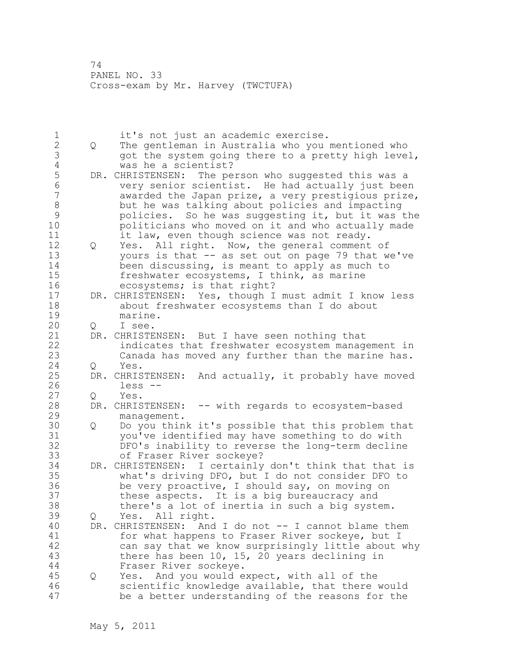1 it's not just an academic exercise.<br>2 0 The gentleman in Australia who you 2 Q The gentleman in Australia who you mentioned who 3 got the system going there to a pretty high level,<br>4 was he a scientist? 4 was he a scientist?<br>5 DR. CHRISTENSEN: The pe 5 DR. CHRISTENSEN: The person who suggested this was a 6 very senior scientist. He had actually just been awarded the Japan prize, a very prestigious prize, 8 but he was talking about policies and impacting 9 policies. So he was suggesting it, but it was the politicians who moved on it and who actually made 11 it law, even though science was not ready. 12 Q Yes. All right. Now, the general comment of 13 yours is that -- as set out on page 79 that we've 14 been discussing, is meant to apply as much to 15 freshwater ecosystems, I think, as marine 16 ecosystems; is that right? 17 DR. CHRISTENSEN: Yes, though I must admit I know less 18 about freshwater ecosystems than I do about 19 marine.<br>20 Q I see. 20 Q I see. 21 DR. CHRISTENSEN: But I have seen nothing that 22 indicates that freshwater ecosystem management in 23 Canada has moved any further than the marine has.<br>24 O Yes. Q Yes. 25 DR. CHRISTENSEN: And actually, it probably have moved 26 less --<br>27 0 Yes. Q Yes. 28 DR. CHRISTENSEN: -- with regards to ecosystem-based 29 management. 30 Q Do you think it's possible that this problem that 31 you've identified may have something to do with DFO's inability to reverse the long-term decline 33 of Fraser River sockeye? 34 DR. CHRISTENSEN: I certainly don't think that that is 35 what's driving DFO, but I do not consider DFO to 36 be very proactive, I should say, on moving on 37 these aspects. It is a big bureaucracy and 38 there's a lot of inertia in such a big system. 39 Q Yes. All right. 40 DR. CHRISTENSEN: And I do not -- I cannot blame them 41 for what happens to Fraser River sockeye, but I<br>42 can say that we know surprisingly little about can say that we know surprisingly little about why 43 there has been 10, 15, 20 years declining in 44 Fraser River sockeye. 45 Q Yes. And you would expect, with all of the 46 scientific knowledge available, that there would 47 be a better understanding of the reasons for the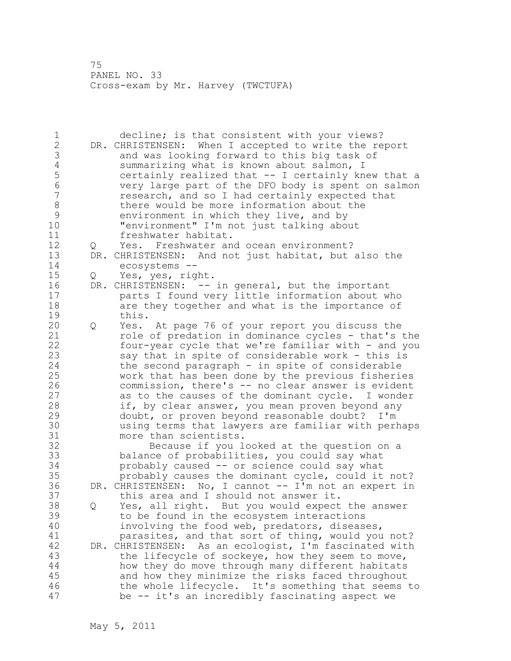1 decline; is that consistent with your views? 2 DR. CHRISTENSEN: When I accepted to write the report 3 and was looking forward to this big task of<br>4 summarizing what is known about salmon, I 4 summarizing what is known about salmon, I<br>5 certainly realized that -- I certainly kn 5 certainly realized that -- I certainly knew that a 6 very large part of the DFO body is spent on salmon research, and so I had certainly expected that 8 there would be more information about the 9 environment in which they live, and by<br>10 **Provironment"** I'm not just talking about "environment" I'm not just talking about 11 freshwater habitat. 12 Q Yes. Freshwater and ocean environment? 13 DR. CHRISTENSEN: And not just habitat, but also the 14 ecosystems -- 15 Q Yes, yes, right. 16 DR. CHRISTENSEN: -- in general, but the important 17 parts I found very little information about who 18 are they together and what is the importance of 19 this.<br>20 Q Yes. 20 Q Yes. At page 76 of your report you discuss the 21 role of predation in dominance cycles - that's the 22 four-year cycle that we're familiar with - and you 23 say that in spite of considerable work - this is 24 the second paragraph - in spite of considerable 25 work that has been done by the previous fisheries 26 commission, there's -- no clear answer is evident<br>27 as to the causes of the dominant cycle. I wonder as to the causes of the dominant cycle. I wonder 28 if, by clear answer, you mean proven beyond any 29 doubt, or proven beyond reasonable doubt? I'm 30 using terms that lawyers are familiar with perhaps 31 more than scientists.<br>32 Because if you l Because if you looked at the question on a 33 balance of probabilities, you could say what 34 probably caused -- or science could say what 35 probably causes the dominant cycle, could it not? 36 DR. CHRISTENSEN: No, I cannot -- I'm not an expert in 37 this area and I should not answer it. 38 Q Yes, all right. But you would expect the answer 39 to be found in the ecosystem interactions 40 involving the food web, predators, diseases, 41 parasites, and that sort of thing, would you not?<br>42 DR. CHRISTENSEN: As an ecologist, I'm fascinated with DR. CHRISTENSEN: As an ecologist, I'm fascinated with 43 the lifecycle of sockeye, how they seem to move, 44 how they do move through many different habitats 45 and how they minimize the risks faced throughout 46 the whole lifecycle. It's something that seems to 47 be -- it's an incredibly fascinating aspect we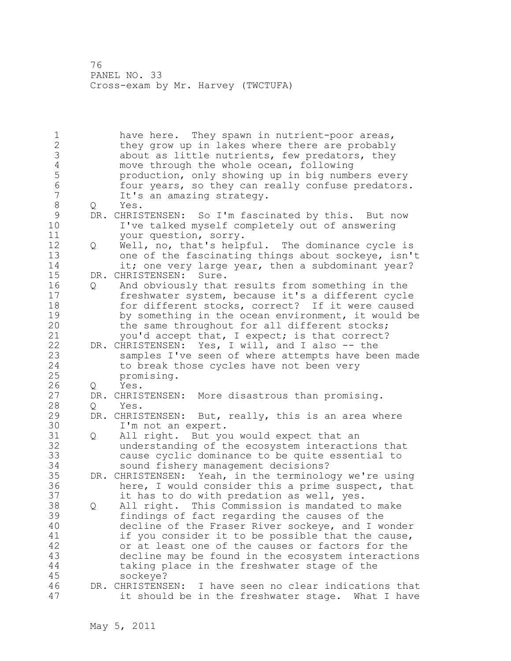1 have here. They spawn in nutrient-poor areas, 2 they grow up in lakes where there are probably 3 about as little nutrients, few predators, they<br>4 move through the whole ocean, following 4 move through the whole ocean, following<br>5 production, only showing up in big numb 5 production, only showing up in big numbers every<br>6 6 four years, so they can really confuse predators 6 four years, so they can really confuse predators.<br>7 The It's an amazing strategy. It's an amazing strategy. 8 Q Yes. 9 DR. CHRISTENSEN: So I'm fascinated by this. But now<br>10 I've talked myself completely out of answering I've talked myself completely out of answering 11 your question, sorry. 12 Q Well, no, that's helpful. The dominance cycle is 13 one of the fascinating things about sockeye, isn't 14 it; one very large year, then a subdominant year? 15 DR. CHRISTENSEN: Sure. 16 Q And obviously that results from something in the 17 freshwater system, because it's a different cycle 18 for different stocks, correct? If it were caused 19 by something in the ocean environment, it would be<br>20 the same throughout for all different stocks; the same throughout for all different stocks; 21 you'd accept that, I expect; is that correct? 22 DR. CHRISTENSEN: Yes, I will, and I also -- the 23 samples I've seen of where attempts have been made 24 to break those cycles have not been very 25 promising. 26 Q Yes.<br>27 DR. CHRIS DR. CHRISTENSEN: More disastrous than promising. 28 Q Yes. 29 DR. CHRISTENSEN: But, really, this is an area where 30 I'm not an expert.<br>31 0 All right. But vo 31 Q All right. But you would expect that an understanding of the ecosystem interactions that 33 cause cyclic dominance to be quite essential to 34 sound fishery management decisions? 35 DR. CHRISTENSEN: Yeah, in the terminology we're using 36 here, I would consider this a prime suspect, that 37 it has to do with predation as well, yes. 38 Q All right. This Commission is mandated to make 39 findings of fact regarding the causes of the 40 decline of the Fraser River sockeye, and I wonder 41 if you consider it to be possible that the cause,<br>42 or at least one of the causes or factors for the or at least one of the causes or factors for the 43 decline may be found in the ecosystem interactions 44 taking place in the freshwater stage of the 45 sockeye? 46 DR. CHRISTENSEN: I have seen no clear indications that 47 it should be in the freshwater stage. What I have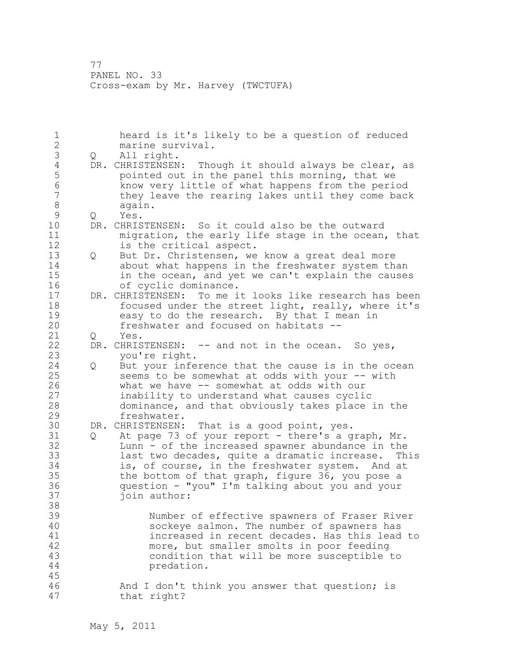| $\mathbf 1$    |   | heard is it's likely to be a question of reduced       |
|----------------|---|--------------------------------------------------------|
| $\mathbf{2}$   |   | marine survival.                                       |
| 3              | Q | All right.                                             |
| $\overline{4}$ |   | DR. CHRISTENSEN: Though it should always be clear, as  |
| 5              |   | pointed out in the panel this morning, that we         |
| $6\,$          |   | know very little of what happens from the period       |
| $\overline{7}$ |   | they leave the rearing lakes until they come back      |
| $\,8\,$        |   | again.                                                 |
| $\mathsf{S}$   | Q | Yes.                                                   |
| 10             |   | DR. CHRISTENSEN: So it could also be the outward       |
| 11             |   | migration, the early life stage in the ocean, that     |
| 12             |   | is the critical aspect.                                |
| 13             |   |                                                        |
|                | Q | But Dr. Christensen, we know a great deal more         |
| 14             |   | about what happens in the freshwater system than       |
| 15             |   | in the ocean, and yet we can't explain the causes      |
| 16             |   | of cyclic dominance.                                   |
| 17             |   | DR. CHRISTENSEN: To me it looks like research has been |
| 18             |   | focused under the street light, really, where it's     |
| 19             |   | easy to do the research. By that I mean in             |
| 20             |   | freshwater and focused on habitats --                  |
| 21             | Q | Yes.                                                   |
| 22             |   | DR. CHRISTENSEN: -- and not in the ocean. So yes,      |
| 23             |   | you're right.                                          |
| 24             | Q | But your inference that the cause is in the ocean      |
| 25             |   | seems to be somewhat at odds with your -- with         |
| 26             |   | what we have -- somewhat at odds with our              |
| 27             |   | inability to understand what causes cyclic             |
| 28             |   | dominance, and that obviously takes place in the       |
| 29             |   | freshwater.                                            |
| 30             |   | DR. CHRISTENSEN: That is a good point, yes.            |
| 31             | Q | At page 73 of your report - there's a graph, Mr.       |
| 32             |   | Lunn - of the increased spawner abundance in the       |
| 33             |   | last two decades, quite a dramatic increase.<br>This   |
| 34             |   | is, of course, in the freshwater system. And at        |
| 35             |   | the bottom of that graph, figure 36, you pose a        |
| 36             |   | question - "you" I'm talking about you and your        |
| 37             |   | join author:                                           |
| 38             |   |                                                        |
| 39             |   | Number of effective spawners of Fraser River           |
| 40             |   | sockeye salmon. The number of spawners has             |
| 41             |   | increased in recent decades. Has this lead to          |
| 42             |   | more, but smaller smolts in poor feeding               |
| 43             |   | condition that will be more susceptible to             |
| 44             |   |                                                        |
| 45             |   | predation.                                             |
|                |   |                                                        |
| 46             |   | And I don't think you answer that question; is         |
| 47             |   | that right?                                            |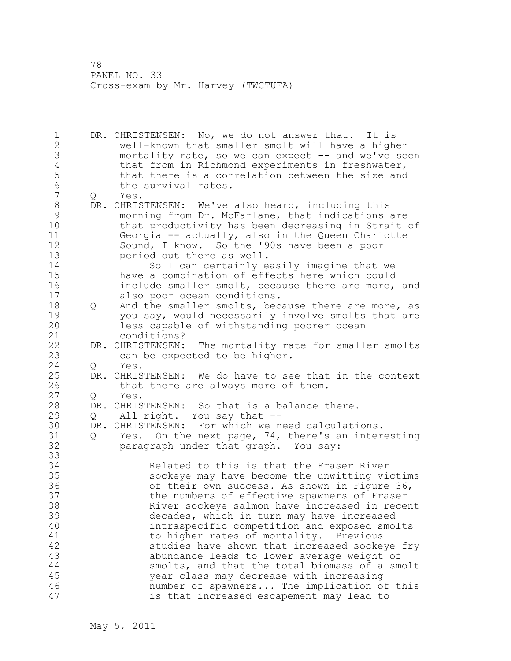1 DR. CHRISTENSEN: No, we do not answer that. It is 2 well-known that smaller smolt will have a higher 3 mortality rate, so we can expect -- and we've seen 4 that from in Richmond experiments in freshwater,<br>5 that there is a correlation between the size and 5 that there is a correlation between the size and<br>6 the survival rates. 6 the survival rates.<br>7 0 Yes. Q Yes. 8 DR. CHRISTENSEN: We've also heard, including this<br>9 morning from Dr. McFarlane, that indications 9 morning from Dr. McFarlane, that indications are<br>10 that productivity has been decreasing in Strait that productivity has been decreasing in Strait of 11 Georgia -- actually, also in the Queen Charlotte 12 Sound, I know. So the '90s have been a poor 13 period out there as well. 14 So I can certainly easily imagine that we 15 have a combination of effects here which could 16 include smaller smolt, because there are more, and 17 also poor ocean conditions. 18 Q And the smaller smolts, because there are more, as 19 you say, would necessarily involve smolts that are<br>20 less capable of withstanding poorer ocean less capable of withstanding poorer ocean 21 conditions? 22 DR. CHRISTENSEN: The mortality rate for smaller smolts 23 can be expected to be higher. 24 Q Yes. 25 DR. CHRISTENSEN: We do have to see that in the context 26 that there are always more of them.<br>27 Q Yes. Q Yes. 28 DR. CHRISTENSEN: So that is a balance there. 29 Q All right. You say that -- 30 DR. CHRISTENSEN: For which we need calculations.<br>31 0 Yes. On the next page, 74, there's an inter 31 Q Yes. On the next page, 74, there's an interesting<br>32 baragraph under that graph. You sav: paragraph under that graph. You say: 33 34 Related to this is that the Fraser River 35 sockeye may have become the unwitting victims 36 of their own success. As shown in Figure 36, 37 the numbers of effective spawners of Fraser 38 River sockeye salmon have increased in recent 39 decades, which in turn may have increased 40 intraspecific competition and exposed smolts 41 to higher rates of mortality. Previous<br>42 studies have shown that increased socke studies have shown that increased sockeye fry 43 abundance leads to lower average weight of 44 smolts, and that the total biomass of a smolt 45 year class may decrease with increasing 46 number of spawners... The implication of this 47 is that increased escapement may lead to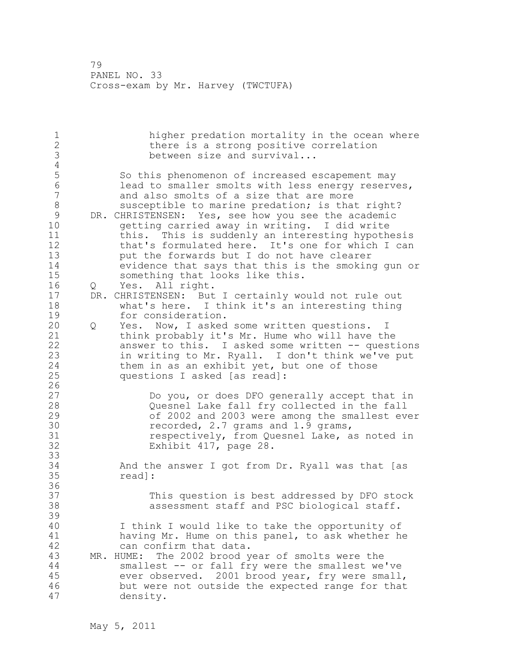| 1<br>$\sqrt{2}$<br>3<br>$\sqrt{4}$           |                   | higher predation mortality in the ocean where<br>there is a strong positive correlation<br>between size and survival                                                                                                                                                                                                                                    |
|----------------------------------------------|-------------------|---------------------------------------------------------------------------------------------------------------------------------------------------------------------------------------------------------------------------------------------------------------------------------------------------------------------------------------------------------|
| 5<br>$\sqrt{6}$<br>$\overline{7}$<br>$\,8\,$ |                   | So this phenomenon of increased escapement may<br>lead to smaller smolts with less energy reserves,<br>and also smolts of a size that are more<br>susceptible to marine predation; is that right?                                                                                                                                                       |
| 9<br>10<br>11<br>12<br>13<br>14<br>15        |                   | DR. CHRISTENSEN: Yes, see how you see the academic<br>getting carried away in writing. I did write<br>this. This is suddenly an interesting hypothesis<br>that's formulated here. It's one for which I can<br>put the forwards but I do not have clearer<br>evidence that says that this is the smoking gun or<br>something that looks like this.       |
| 16<br>17<br>18<br>19                         | $Q \qquad \qquad$ | Yes. All right.<br>DR. CHRISTENSEN: But I certainly would not rule out<br>what's here. I think it's an interesting thing<br>for consideration.                                                                                                                                                                                                          |
| 20<br>21<br>22<br>23<br>24<br>25<br>26       | Q                 | Yes. Now, I asked some written questions. I<br>think probably it's Mr. Hume who will have the<br>answer to this. I asked some written -- questions<br>in writing to Mr. Ryall. I don't think we've put<br>them in as an exhibit yet, but one of those<br>questions I asked [as read]:                                                                   |
| 27<br>28<br>29<br>30<br>31<br>32<br>33       |                   | Do you, or does DFO generally accept that in<br>Quesnel Lake fall fry collected in the fall<br>of 2002 and 2003 were among the smallest ever<br>recorded, 2.7 grams and 1.9 grams,<br>respectively, from Quesnel Lake, as noted in<br>Exhibit 417, page 28.                                                                                             |
| 34<br>35<br>36                               |                   | And the answer I got from Dr. Ryall was that [as<br>read]:                                                                                                                                                                                                                                                                                              |
| 37<br>38<br>39                               |                   | This question is best addressed by DFO stock<br>assessment staff and PSC biological staff.                                                                                                                                                                                                                                                              |
| 40<br>41<br>42<br>43<br>44<br>45<br>46<br>47 |                   | I think I would like to take the opportunity of<br>having Mr. Hume on this panel, to ask whether he<br>can confirm that data.<br>MR. HUME: The 2002 brood year of smolts were the<br>smallest -- or fall fry were the smallest we've<br>ever observed. 2001 brood year, fry were small,<br>but were not outside the expected range for that<br>density. |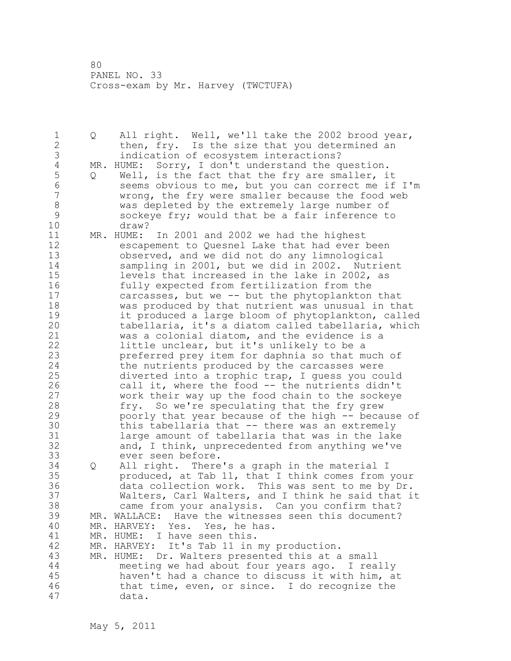1 Q All right. Well, we'll take the 2002 brood year, 2 then, fry. Is the size that you determined an 3 indication of ecosystem interactions?<br>4 MR. HUME: Sorry, I don't understand the q 4 MR. HUME: Sorry, I don't understand the question.<br>5 0 Well, is the fact that the fry are smaller, i 5 Q Well, is the fact that the fry are smaller, it<br>6 seems obvious to me, but vou can correct me if 6 seems obvious to me, but you can correct me if I'm wrong, the fry were smaller because the food web 8 was depleted by the extremely large number of 9 sockeye fry; would that be a fair inference to draw? 11 MR. HUME: In 2001 and 2002 we had the highest 12 escapement to Quesnel Lake that had ever been 13 observed, and we did not do any limnological 14 sampling in 2001, but we did in 2002. Nutrient 15 levels that increased in the lake in 2002, as 16 fully expected from fertilization from the 17 carcasses, but we -- but the phytoplankton that 18 was produced by that nutrient was unusual in that 19 it produced a large bloom of phytoplankton, called<br>20 tabellaria, it's a diatom called tabellaria, which tabellaria, it's a diatom called tabellaria, which 21 was a colonial diatom, and the evidence is a 22 little unclear, but it's unlikely to be a 23 preferred prey item for daphnia so that much of 24 the nutrients produced by the carcasses were 25 diverted into a trophic trap, I guess you could 26 call it, where the food -- the nutrients didn't<br>27 work their way up the food chain to the sockeye work their way up the food chain to the sockeye 28 fry. So we're speculating that the fry grew 29 poorly that year because of the high -- because of 30 this tabellaria that -- there was an extremely<br>31 1arqe amount of tabellaria that was in the lake large amount of tabellaria that was in the lake 32 and, I think, unprecedented from anything we've 33 ever seen before. 34 Q All right. There's a graph in the material I 35 produced, at Tab 11, that I think comes from your 36 data collection work. This was sent to me by Dr. 37 Walters, Carl Walters, and I think he said that it 38 came from your analysis. Can you confirm that? 39 MR. WALLACE: Have the witnesses seen this document? 40 MR. HARVEY: Yes. Yes, he has. 41 MR. HUME: I have seen this.<br>42 MR. HARVEY: It's Tab 11 in MR. HARVEY: It's Tab 11 in my production. 43 MR. HUME: Dr. Walters presented this at a small 44 meeting we had about four years ago. I really 45 haven't had a chance to discuss it with him, at 46 that time, even, or since. I do recognize the 47 data.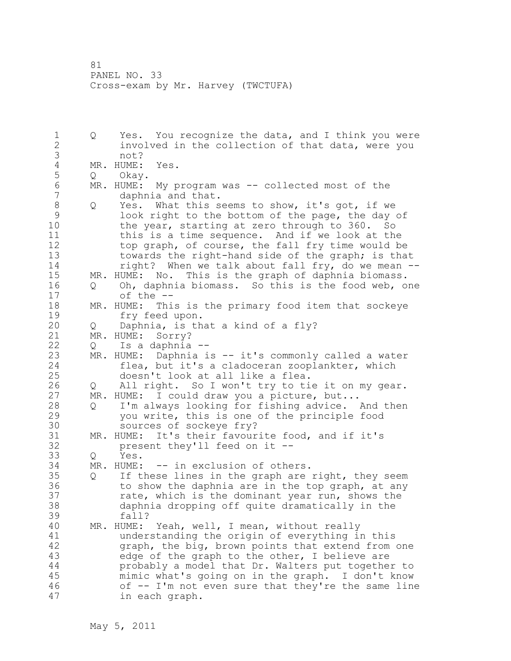1 Q Yes. You recognize the data, and I think you were 2 involved in the collection of that data, were you 3 not?<br>4 MR. HUME: 4 MR. HUME: Yes.<br>5 Q Okay. Q Okay. 6 MR. HUME: My program was -- collected most of the daphnia and that. 8 Q Yes. What this seems to show, it's got, if we 9 look right to the bottom of the page, the day of<br>10 the year, starting at zero through to 360. So the year, starting at zero through to 360. So 11 this is a time sequence. And if we look at the 12 top graph, of course, the fall fry time would be 13 towards the right-hand side of the graph; is that 14 right? When we talk about fall fry, do we mean -- 15 MR. HUME: No. This is the graph of daphnia biomass. 16 Q Oh, daphnia biomass. So this is the food web, one 17 of the -- 18 MR. HUME: This is the primary food item that sockeye 19 fry feed upon.<br>20 0 Daphnia, is th 20 Q Daphnia, is that a kind of a fly? 21 MR. HUME: Sorry? 22 Q Is a daphnia -- 23 MR. HUME: Daphnia is -- it's commonly called a water 24 flea, but it's a cladoceran zooplankter, which 25 doesn't look at all like a flea. 26 Q All right. So I won't try to tie it on my gear.<br>27 MR. HUME: I could draw you a picture, but... MR. HUME: I could draw you a picture, but... 28 Q I'm always looking for fishing advice. And then 29 you write, this is one of the principle food 30 sources of sockeye fry?<br>31 MR. HUME: It's their favour MR. HUME: It's their favourite food, and if it's 32 present they'll feed on it -- 33 Q Yes. 34 MR. HUME: -- in exclusion of others. 35 Q If these lines in the graph are right, they seem 36 to show the daphnia are in the top graph, at any 37 rate, which is the dominant year run, shows the 38 daphnia dropping off quite dramatically in the 39 fall? 40 MR. HUME: Yeah, well, I mean, without really 41 understanding the origin of everything in this<br>42 oraph, the big, brown points that extend from graph, the big, brown points that extend from one 43 edge of the graph to the other, I believe are 44 probably a model that Dr. Walters put together to 45 mimic what's going on in the graph. I don't know 46 of -- I'm not even sure that they're the same line 47 in each graph.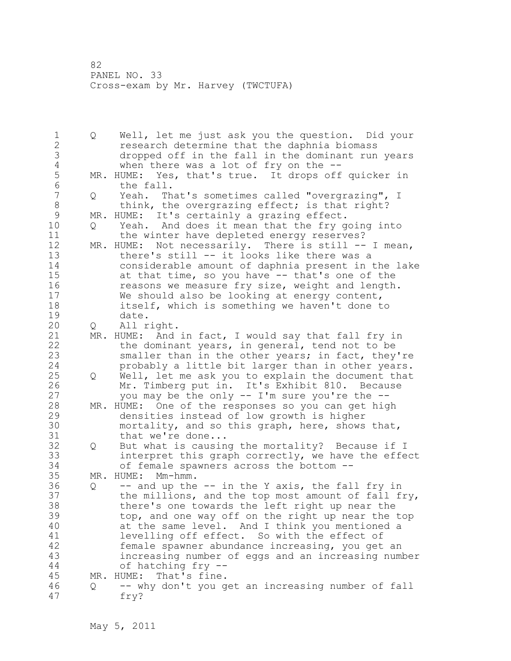1 Q Well, let me just ask you the question. Did your 2 research determine that the daphnia biomass 3 dropped off in the fall in the dominant run years<br>4 when there was a lot of fry on the --4 when there was a lot of fry on the --<br>5 MR. HUME: Yes, that's true. It drops off 5 MR. HUME: Yes, that's true. It drops off quicker in<br>6 the fall. 6 the fall.<br>7 0 Yeah. Th 0 Yeah. That's sometimes called "overgrazing", I 8 think, the overgrazing effect; is that right?<br>9 MR. HUME: It's certainly a grazing effect. 9 MR. HUME: It's certainly a grazing effect.<br>10 0 Yeah. And does it mean that the fry q 10 Q Yeah. And does it mean that the fry going into 11 the winter have depleted energy reserves? 12 MR. HUME: Not necessarily. There is still -- I mean, 13 there's still -- it looks like there was a 14 considerable amount of daphnia present in the lake 15 at that time, so you have -- that's one of the 16 reasons we measure fry size, weight and length. 17 We should also be looking at energy content, 18 itself, which is something we haven't done to 19 date.<br>20 0 All r 20 Q All right. 21 MR. HUME: And in fact, I would say that fall fry in 22 the dominant years, in general, tend not to be 23 smaller than in the other years; in fact, they're 24 probably a little bit larger than in other years. 25 Q Well, let me ask you to explain the document that 26 Mr. Timberg put in. It's Exhibit 810. Because<br>27 vou may be the only -- I'm sure you're the -you may be the only  $--$  I'm sure you're the  $--$ 28 MR. HUME: One of the responses so you can get high 29 densities instead of low growth is higher 30 mortality, and so this graph, here, shows that,<br>31 that we're done... that we're done... 32 Q But what is causing the mortality? Because if I 33 interpret this graph correctly, we have the effect 34 of female spawners across the bottom -- 35 MR. HUME: Mm-hmm. 36 Q -- and up the -- in the Y axis, the fall fry in 37 the millions, and the top most amount of fall fry, 38 there's one towards the left right up near the 39 top, and one way off on the right up near the top 40 at the same level. And I think you mentioned a 41 levelling off effect. So with the effect of<br>42 female spawner abundance increasing, you get female spawner abundance increasing, you get an 43 increasing number of eggs and an increasing number 44 of hatching fry -- 45 MR. HUME: That's fine. 46 Q -- why don't you get an increasing number of fall 47 fry?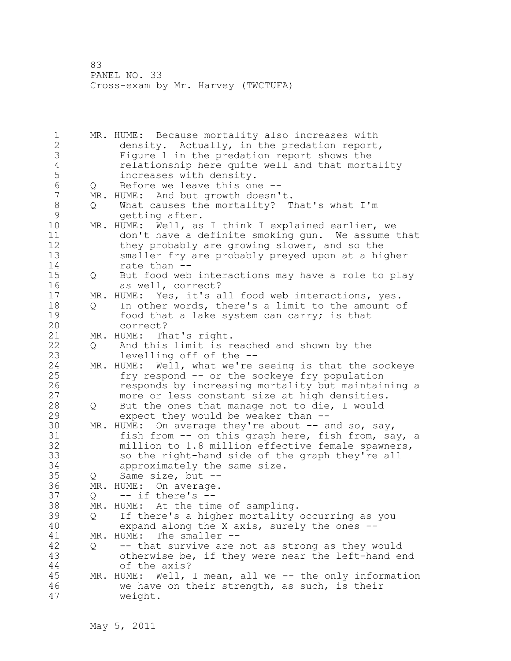1 MR. HUME: Because mortality also increases with 2 density. Actually, in the predation report, 3 Figure 1 in the predation report shows the<br>4 Felationship here quite well and that mort 4 relationship here quite well and that mortality<br>5 increases with density. 5 increases with density.<br>6 0 Before we leave this on 6 Q Before we leave this one --<br>7 MR. HUME: And but growth doesn' MR. HUME: And but growth doesn't. 8 Q What causes the mortality? That's what I'm 9 getting after.<br>10 MR. HUME: Well, as MR. HUME: Well, as I think I explained earlier, we 11 don't have a definite smoking gun. We assume that 12 they probably are growing slower, and so the 13 smaller fry are probably preyed upon at a higher 14 rate than -- 15 Q But food web interactions may have a role to play 16 as well, correct? 17 MR. HUME: Yes, it's all food web interactions, yes. 18 Q In other words, there's a limit to the amount of 19 food that a lake system can carry; is that 20 correct? 21 MR. HUME: That's right. 22 Q And this limit is reached and shown by the 23 levelling off of the -- 24 MR. HUME: Well, what we're seeing is that the sockeye 25 fry respond -- or the sockeye fry population 26 responds by increasing mortality but maintaining a<br>27 more or less constant size at high densities. more or less constant size at high densities. 28 Q But the ones that manage not to die, I would 29 expect they would be weaker than -- 30 MR. HUME: On average they're about -- and so, say,<br>31 fish from -- on this graph here, fish from, sa 31 fish from -- on this graph here, fish from, say, a<br>32 million to 1.8 million effective female spawners, million to  $1.8$  million effective female spawners, 33 so the right-hand side of the graph they're all 34 approximately the same size. 35 Q Same size, but -- 36 MR. HUME: On average.  $37$  Q  $-$  if there's  $-$ 38 MR. HUME: At the time of sampling. 39 Q If there's a higher mortality occurring as you 40 expand along the X axis, surely the ones -- 41 MR. HUME: The smaller --<br>42 0 -- that survive are 42 Q -- that survive are not as strong as they would 43 otherwise be, if they were near the left-hand end 44 of the axis? 45 MR. HUME: Well, I mean, all we -- the only information 46 we have on their strength, as such, is their 47 weight.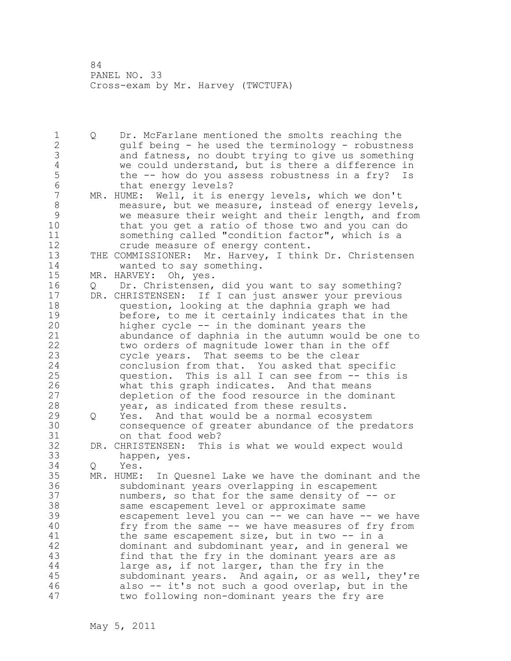1 Q Dr. McFarlane mentioned the smolts reaching the 2 gulf being - he used the terminology - robustness 3 and fatness, no doubt trying to give us something<br>4 we could understand, but is there a difference in 4 we could understand, but is there a difference in<br>5 the -- how do you assess robustness in a fry? Is 5 the -- how do you assess robustness in a fry? Is<br>6 that energy levels? 6 that energy levels?<br>7 MR. HUME: Well, it is e MR. HUME: Well, it is energy levels, which we don't 8 measure, but we measure, instead of energy levels, 9 we measure their weight and their length, and from<br>10 that you get a ratio of those two and you can do that you get a ratio of those two and you can do 11 something called "condition factor", which is a 12 crude measure of energy content. 13 THE COMMISSIONER: Mr. Harvey, I think Dr. Christensen 14 wanted to say something. 15 MR. HARVEY: Oh, yes. 16 Q Dr. Christensen, did you want to say something? 17 DR. CHRISTENSEN: If I can just answer your previous 18 question, looking at the daphnia graph we had 19 before, to me it certainly indicates that in the<br>20 higher cycle -- in the dominant years the higher cycle -- in the dominant years the 21 abundance of daphnia in the autumn would be one to 22 two orders of magnitude lower than in the off 23 cycle years. That seems to be the clear 24 conclusion from that. You asked that specific 25 question. This is all I can see from -- this is 26 what this graph indicates. And that means<br>27 depletion of the food resource in the domi depletion of the food resource in the dominant 28 year, as indicated from these results. 29 Q Yes. And that would be a normal ecosystem 30 consequence of greater abundance of the predators on that food web? 32 DR. CHRISTENSEN: This is what we would expect would 33 happen, yes. 34 Q Yes. 35 MR. HUME: In Quesnel Lake we have the dominant and the 36 subdominant years overlapping in escapement 37 numbers, so that for the same density of -- or 38 same escapement level or approximate same 39 escapement level you can -- we can have -- we have 40 fry from the same -- we have measures of fry from 41 the same escapement size, but in two -- in a<br>42 dominant and subdominant year, and in general dominant and subdominant year, and in general we 43 find that the fry in the dominant years are as 44 large as, if not larger, than the fry in the 45 subdominant years. And again, or as well, they're 46 also -- it's not such a good overlap, but in the 47 two following non-dominant years the fry are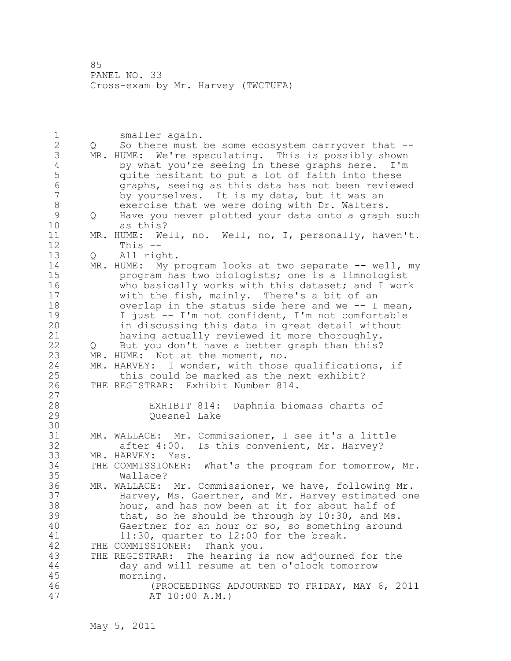1 smaller again.<br>2 0 So there must 2 Q So there must be some ecosystem carryover that -- 3 MR. HUME: We're speculating. This is possibly shown<br>4 by what you're seeing in these graphs here. I'm 4 by what you're seeing in these graphs here. I'm<br>5 quite hesitant to put a lot of faith into these 5 quite hesitant to put a lot of faith into these<br>6 (oraphs, seeing as this data has not been review 6 graphs, seeing as this data has not been reviewed by yourselves. It is my data, but it was an 8 exercise that we were doing with Dr. Walters.<br>9 0 Have you never plotted your data onto a graph 9 Q Have you never plotted your data onto a graph such as this? 11 MR. HUME: Well, no. Well, no, I, personally, haven't. 12 This -- 13 Q All right. 14 MR. HUME: My program looks at two separate -- well, my 15 program has two biologists; one is a limnologist 16 who basically works with this dataset; and I work 17 with the fish, mainly. There's a bit of an 18 overlap in the status side here and we -- I mean, 19 I just -- I'm not confident, I'm not comfortable<br>20 in discussing this data in great detail without in discussing this data in great detail without 21 having actually reviewed it more thoroughly. 22 Q But you don't have a better graph than this? 23 MR. HUME: Not at the moment, no. 24 MR. HARVEY: I wonder, with those qualifications, if 25 this could be marked as the next exhibit? 26 THE REGISTRAR: Exhibit Number 814.  $\frac{27}{28}$ EXHIBIT 814: Daphnia biomass charts of 29 Quesnel Lake 30<br>31 MR. WALLACE: Mr. Commissioner, I see it's a little 32 after 4:00. Is this convenient, Mr. Harvey? 33 MR. HARVEY: Yes. 34 THE COMMISSIONER: What's the program for tomorrow, Mr. 35 Wallace? 36 MR. WALLACE: Mr. Commissioner, we have, following Mr. 37 Harvey, Ms. Gaertner, and Mr. Harvey estimated one 38 hour, and has now been at it for about half of 39 that, so he should be through by 10:30, and Ms. 40 Gaertner for an hour or so, so something around 41 11:30, quarter to 12:00 for the break.<br>42 THE COMMISSIONER: Thank you. THE COMMISSIONER: Thank you. 43 THE REGISTRAR: The hearing is now adjourned for the 44 day and will resume at ten o'clock tomorrow 45 morning. 46 (PROCEEDINGS ADJOURNED TO FRIDAY, MAY 6, 2011 47 AT 10:00 A.M.)